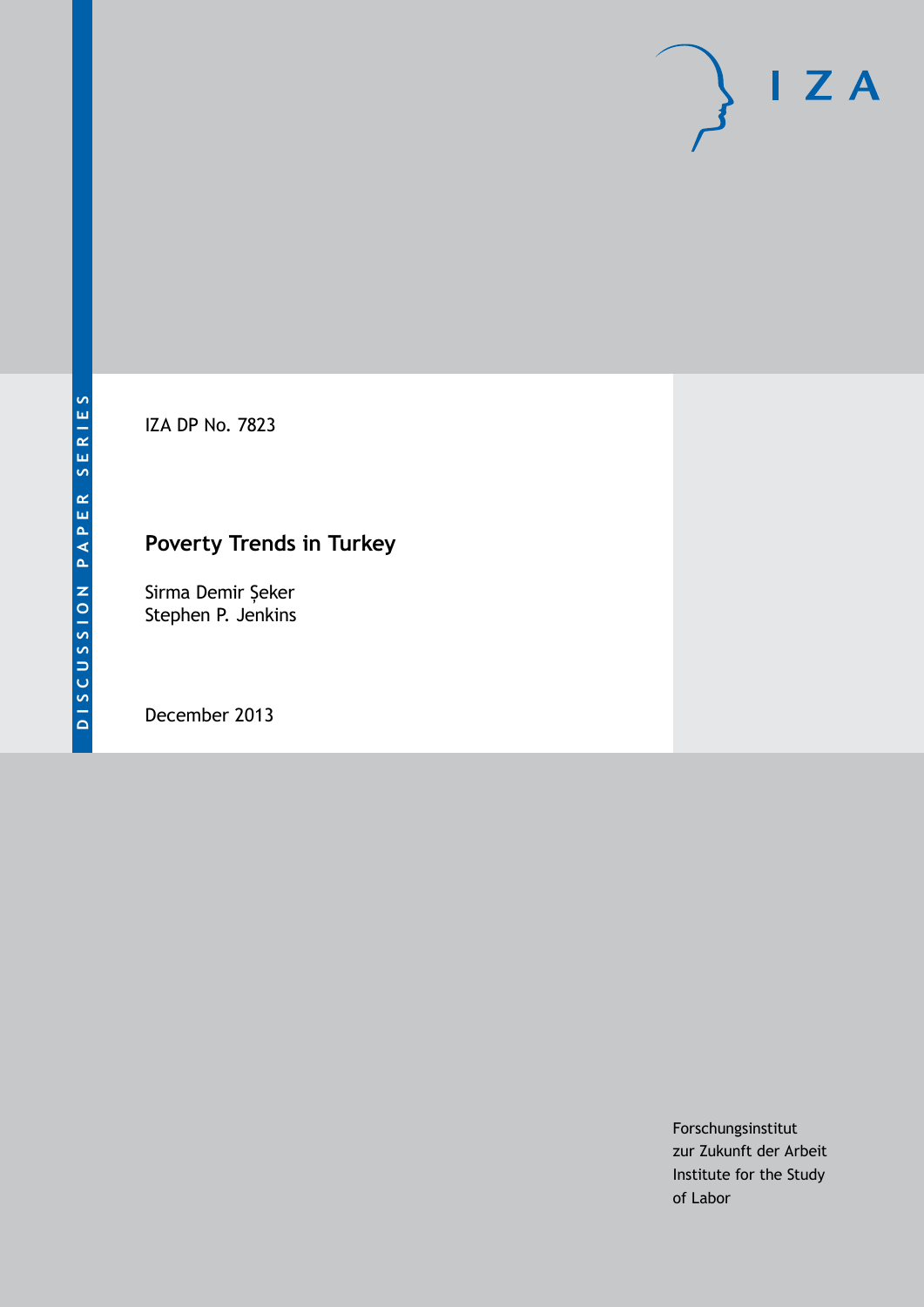IZA DP No. 7823

# **Poverty Trends in Turkey**

Sirma Demir Șeker Stephen P. Jenkins

December 2013

Forschungsinstitut zur Zukunft der Arbeit Institute for the Study of Labor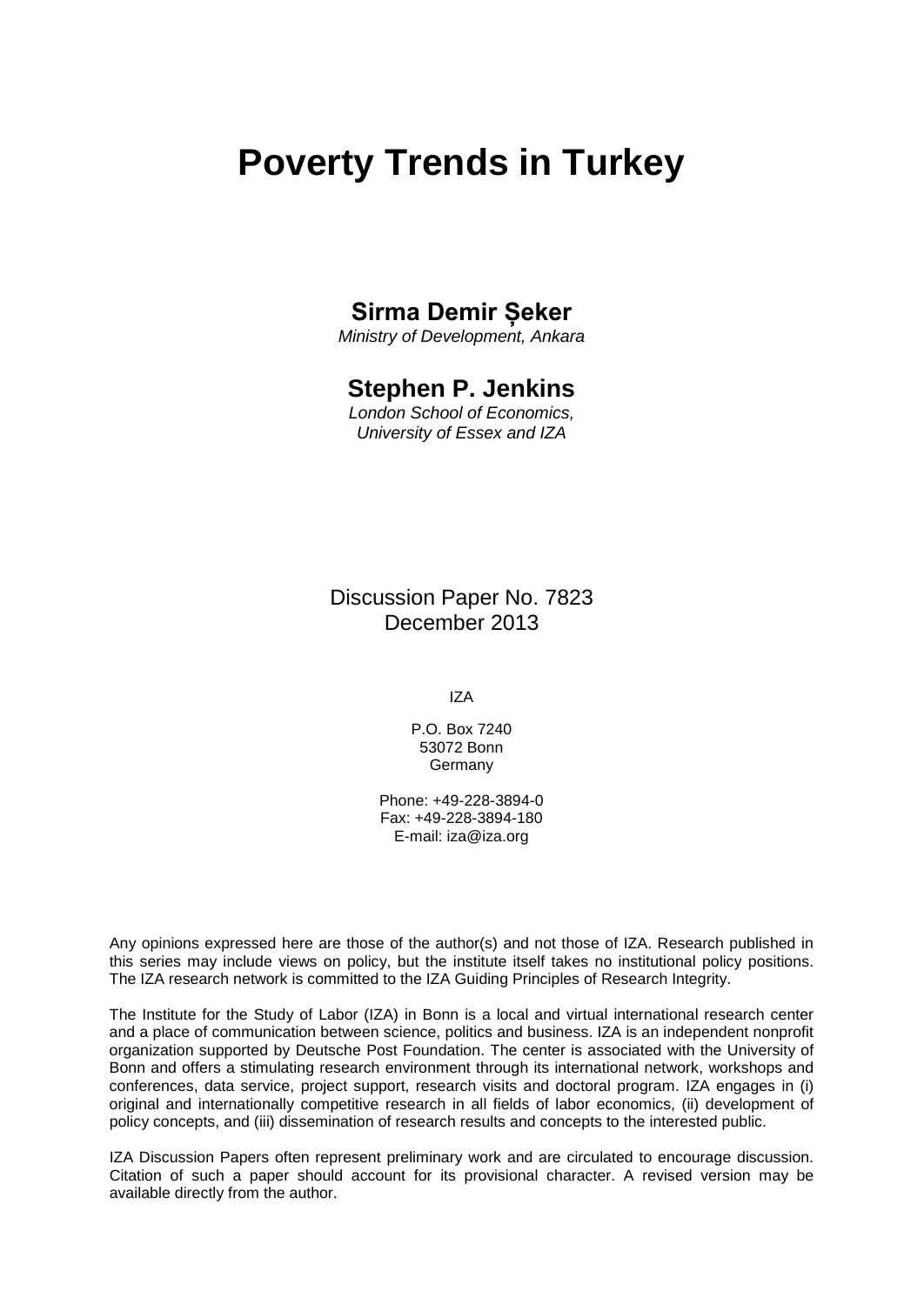# **Poverty Trends in Turkey**

### **Sirma Demir Șeker**

*Ministry of Development, Ankara*

### **Stephen P. Jenkins**

*London School of Economics, University of Essex and IZA*

Discussion Paper No. 7823 December 2013

IZA

P.O. Box 7240 53072 Bonn Germany

Phone: +49-228-3894-0 Fax: +49-228-3894-180 E-mail: [iza@iza.org](mailto:iza@iza.org)

Any opinions expressed here are those of the author(s) and not those of IZA. Research published in this series may include views on policy, but the institute itself takes no institutional policy positions. The IZA research network is committed to the IZA Guiding Principles of Research Integrity.

The Institute for the Study of Labor (IZA) in Bonn is a local and virtual international research center and a place of communication between science, politics and business. IZA is an independent nonprofit organization supported by Deutsche Post Foundation. The center is associated with the University of Bonn and offers a stimulating research environment through its international network, workshops and conferences, data service, project support, research visits and doctoral program. IZA engages in (i) original and internationally competitive research in all fields of labor economics, (ii) development of policy concepts, and (iii) dissemination of research results and concepts to the interested public.

<span id="page-1-0"></span>IZA Discussion Papers often represent preliminary work and are circulated to encourage discussion. Citation of such a paper should account for its provisional character. A revised version may be available directly from the author.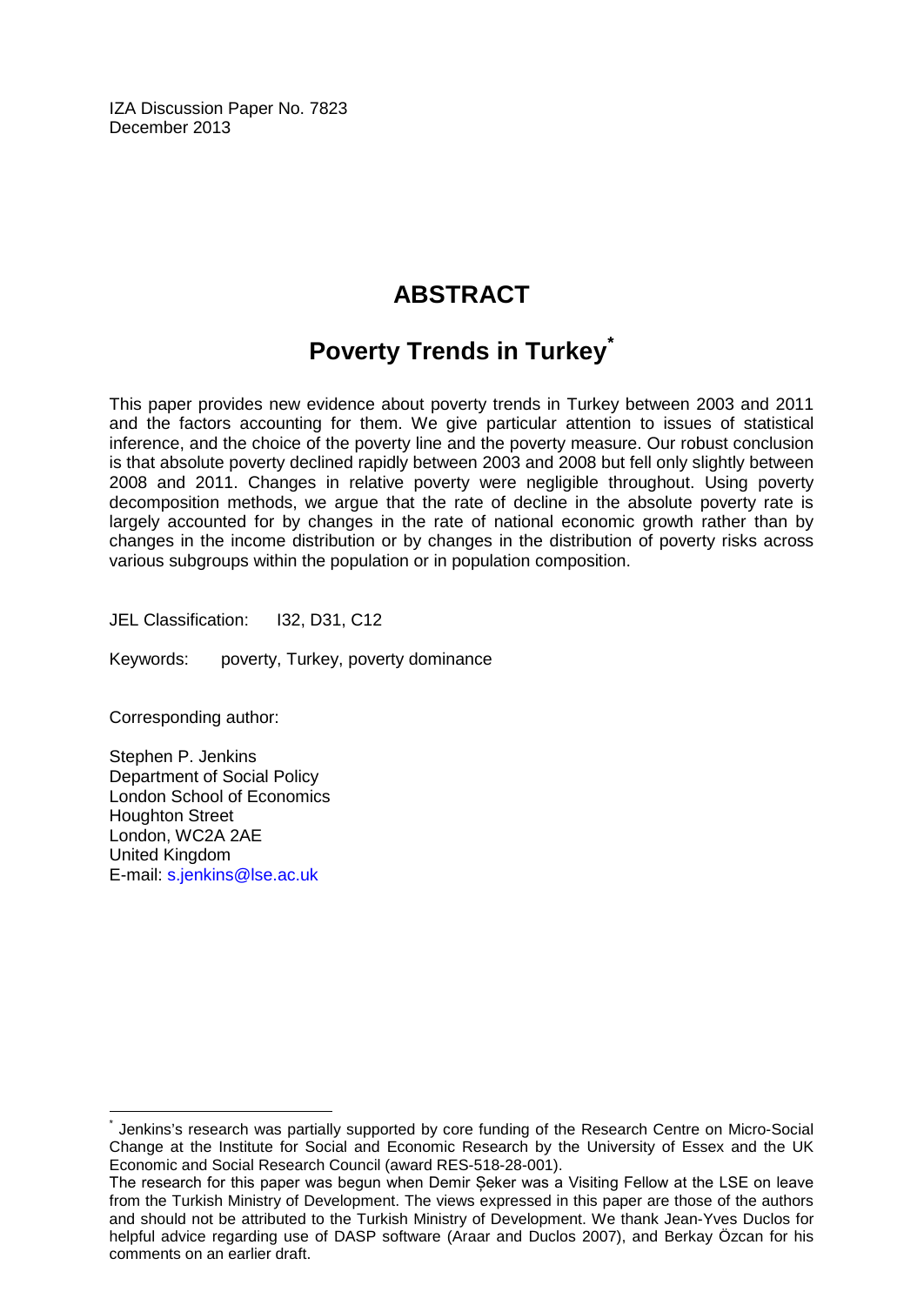IZA Discussion Paper No. 7823 December 2013

## **ABSTRACT**

# **Poverty Trends in Turkey[\\*](#page-1-0)**

This paper provides new evidence about poverty trends in Turkey between 2003 and 2011 and the factors accounting for them. We give particular attention to issues of statistical inference, and the choice of the poverty line and the poverty measure. Our robust conclusion is that absolute poverty declined rapidly between 2003 and 2008 but fell only slightly between 2008 and 2011. Changes in relative poverty were negligible throughout. Using poverty decomposition methods, we argue that the rate of decline in the absolute poverty rate is largely accounted for by changes in the rate of national economic growth rather than by changes in the income distribution or by changes in the distribution of poverty risks across various subgroups within the population or in population composition.

JEL Classification: I32, D31, C12

Keywords: poverty, Turkey, poverty dominance

Corresponding author:

Stephen P. Jenkins Department of Social Policy London School of Economics Houghton Street London, WC2A 2AE United Kingdom E-mail: [s.jenkins@lse.ac.uk](mailto:s.jenkins@lse.ac.uk)

Jenkins's research was partially supported by core funding of the Research Centre on Micro-Social Change at the Institute for Social and Economic Research by the University of Essex and the UK Economic and Social Research Council (award RES-518-28-001).

The research for this paper was begun when Demir Șeker was a Visiting Fellow at the LSE on leave from the Turkish Ministry of Development. The views expressed in this paper are those of the authors and should not be attributed to the Turkish Ministry of Development. We thank Jean-Yves Duclos for helpful advice regarding use of DASP software (Araar and Duclos 2007), and Berkay Özcan for his comments on an earlier draft.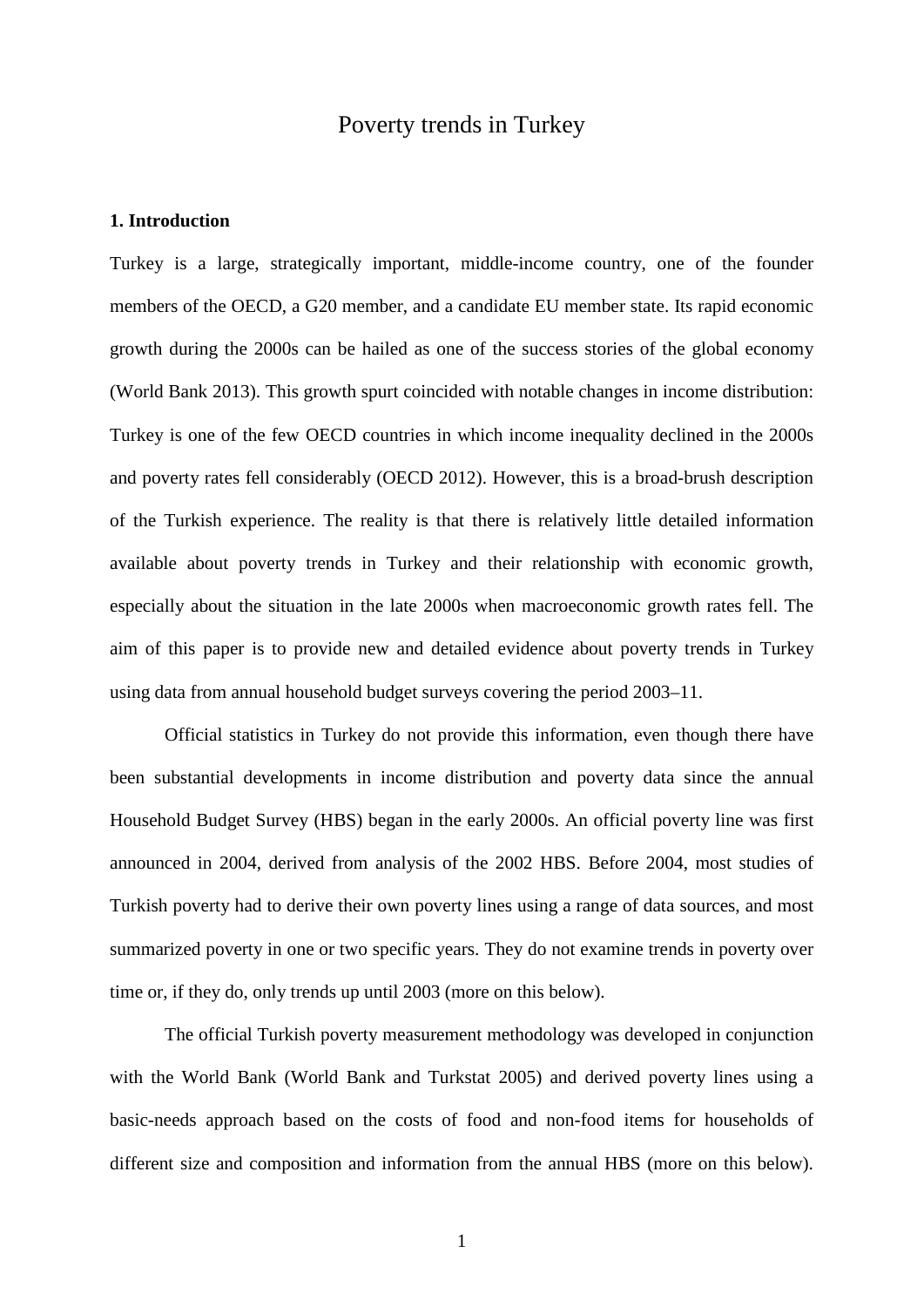### Poverty trends in Turkey

#### **1. Introduction**

Turkey is a large, strategically important, middle-income country, one of the founder members of the OECD, a G20 member, and a candidate EU member state. Its rapid economic growth during the 2000s can be hailed as one of the success stories of the global economy (World Bank 2013). This growth spurt coincided with notable changes in income distribution: Turkey is one of the few OECD countries in which income inequality declined in the 2000s and poverty rates fell considerably (OECD 2012). However, this is a broad-brush description of the Turkish experience. The reality is that there is relatively little detailed information available about poverty trends in Turkey and their relationship with economic growth, especially about the situation in the late 2000s when macroeconomic growth rates fell. The aim of this paper is to provide new and detailed evidence about poverty trends in Turkey using data from annual household budget surveys covering the period 2003–11.

Official statistics in Turkey do not provide this information, even though there have been substantial developments in income distribution and poverty data since the annual Household Budget Survey (HBS) began in the early 2000s. An official poverty line was first announced in 2004, derived from analysis of the 2002 HBS. Before 2004, most studies of Turkish poverty had to derive their own poverty lines using a range of data sources, and most summarized poverty in one or two specific years. They do not examine trends in poverty over time or, if they do, only trends up until 2003 (more on this below).

The official Turkish poverty measurement methodology was developed in conjunction with the World Bank (World Bank and Turkstat 2005) and derived poverty lines using a basic-needs approach based on the costs of food and non-food items for households of different size and composition and information from the annual HBS (more on this below).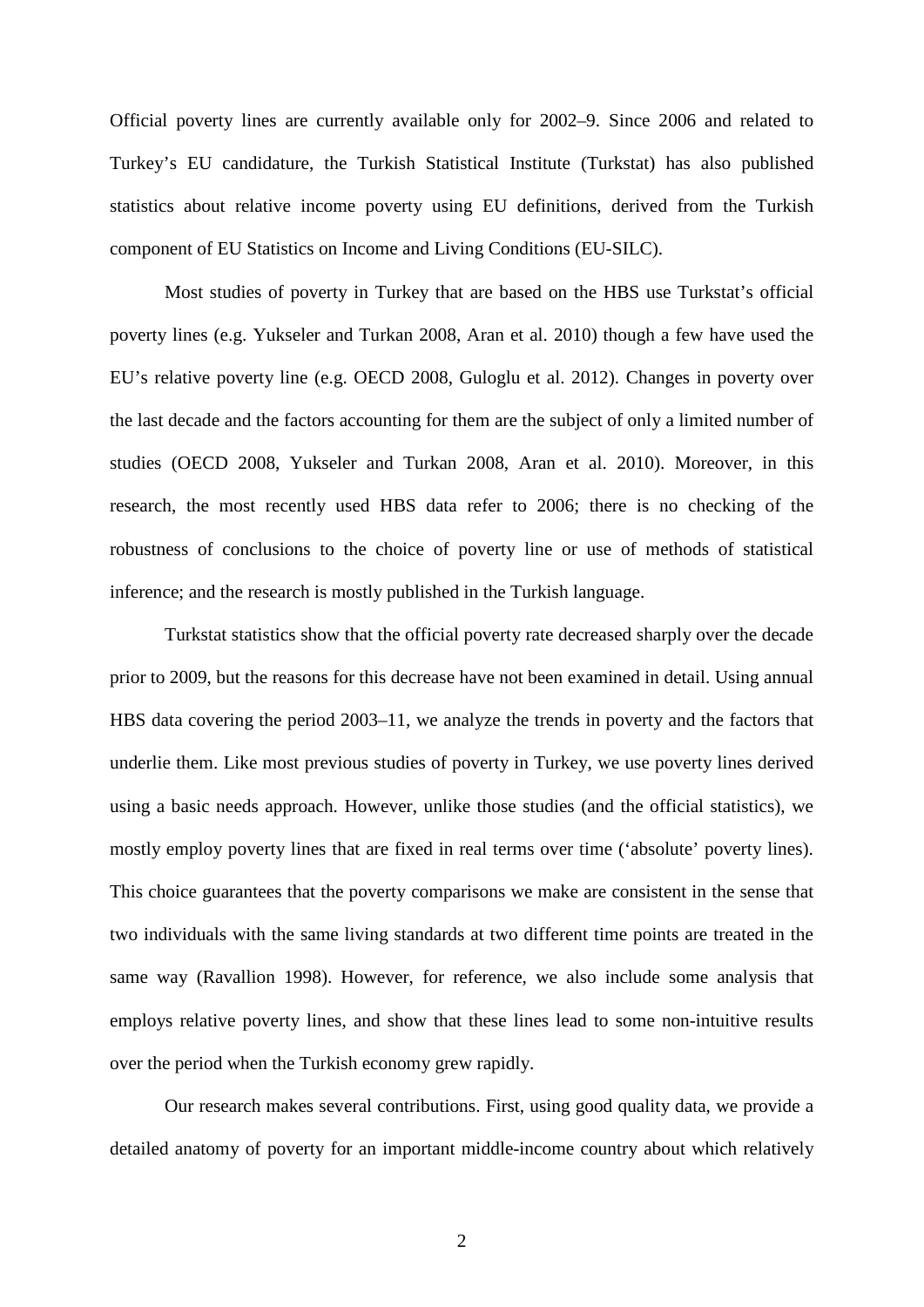Official poverty lines are currently available only for 2002–9. Since 2006 and related to Turkey's EU candidature, the Turkish Statistical Institute (Turkstat) has also published statistics about relative income poverty using EU definitions, derived from the Turkish component of EU Statistics on Income and Living Conditions (EU-SILC).

Most studies of poverty in Turkey that are based on the HBS use Turkstat's official poverty lines (e.g. Yukseler and Turkan 2008, Aran et al. 2010) though a few have used the EU's relative poverty line (e.g. OECD 2008, Guloglu et al. 2012). Changes in poverty over the last decade and the factors accounting for them are the subject of only a limited number of studies (OECD 2008, Yukseler and Turkan 2008, Aran et al. 2010). Moreover, in this research, the most recently used HBS data refer to 2006; there is no checking of the robustness of conclusions to the choice of poverty line or use of methods of statistical inference; and the research is mostly published in the Turkish language.

Turkstat statistics show that the official poverty rate decreased sharply over the decade prior to 2009, but the reasons for this decrease have not been examined in detail. Using annual HBS data covering the period 2003–11, we analyze the trends in poverty and the factors that underlie them. Like most previous studies of poverty in Turkey, we use poverty lines derived using a basic needs approach. However, unlike those studies (and the official statistics), we mostly employ poverty lines that are fixed in real terms over time ('absolute' poverty lines). This choice guarantees that the poverty comparisons we make are consistent in the sense that two individuals with the same living standards at two different time points are treated in the same way (Ravallion 1998). However, for reference, we also include some analysis that employs relative poverty lines, and show that these lines lead to some non-intuitive results over the period when the Turkish economy grew rapidly.

Our research makes several contributions. First, using good quality data, we provide a detailed anatomy of poverty for an important middle-income country about which relatively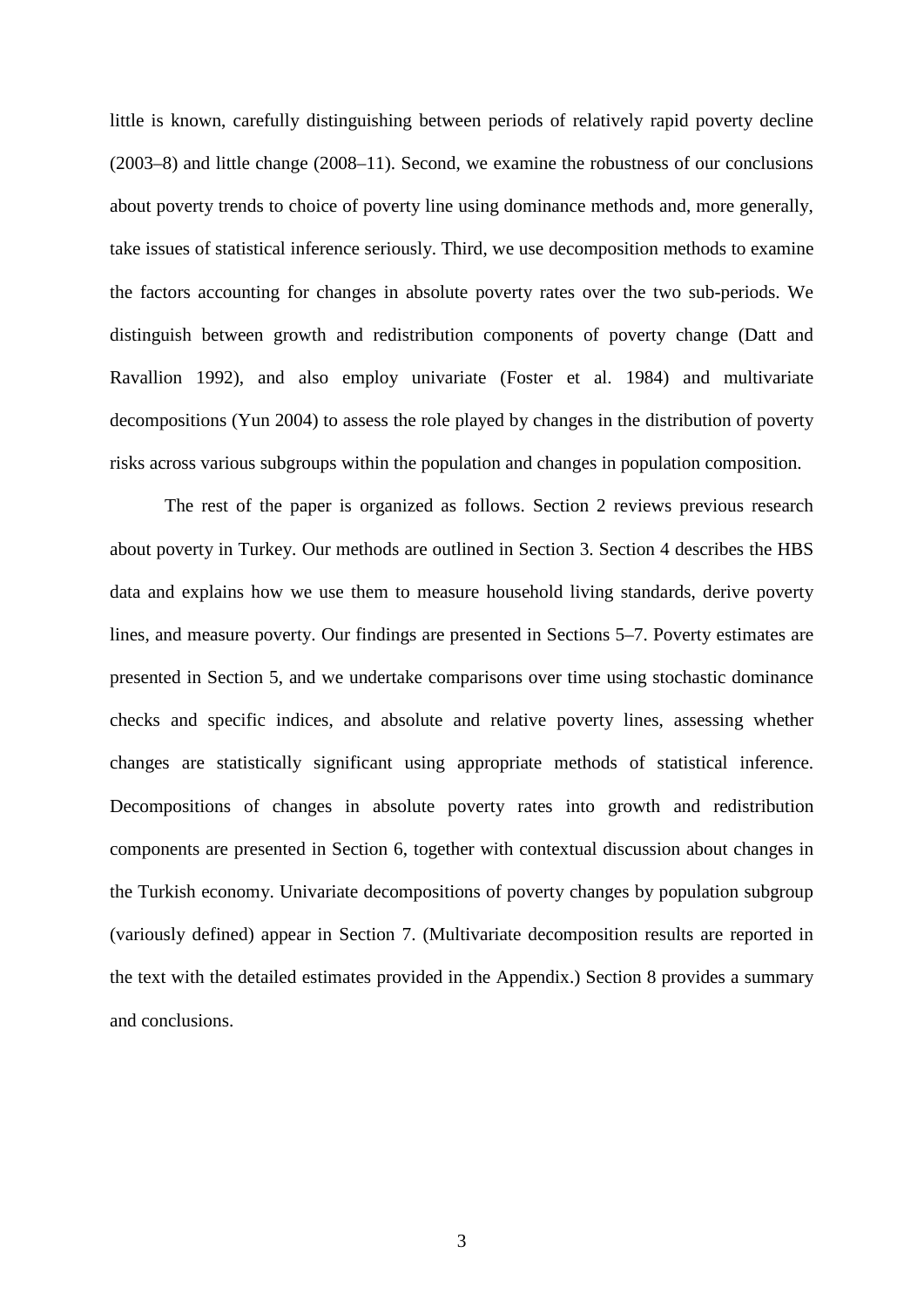little is known, carefully distinguishing between periods of relatively rapid poverty decline (2003–8) and little change (2008–11). Second, we examine the robustness of our conclusions about poverty trends to choice of poverty line using dominance methods and, more generally, take issues of statistical inference seriously. Third, we use decomposition methods to examine the factors accounting for changes in absolute poverty rates over the two sub-periods. We distinguish between growth and redistribution components of poverty change (Datt and Ravallion 1992), and also employ univariate (Foster et al. 1984) and multivariate decompositions (Yun 2004) to assess the role played by changes in the distribution of poverty risks across various subgroups within the population and changes in population composition.

The rest of the paper is organized as follows. Section 2 reviews previous research about poverty in Turkey. Our methods are outlined in Section 3. Section 4 describes the HBS data and explains how we use them to measure household living standards, derive poverty lines, and measure poverty. Our findings are presented in Sections 5–7. Poverty estimates are presented in Section 5, and we undertake comparisons over time using stochastic dominance checks and specific indices, and absolute and relative poverty lines, assessing whether changes are statistically significant using appropriate methods of statistical inference. Decompositions of changes in absolute poverty rates into growth and redistribution components are presented in Section 6, together with contextual discussion about changes in the Turkish economy. Univariate decompositions of poverty changes by population subgroup (variously defined) appear in Section 7. (Multivariate decomposition results are reported in the text with the detailed estimates provided in the Appendix.) Section 8 provides a summary and conclusions.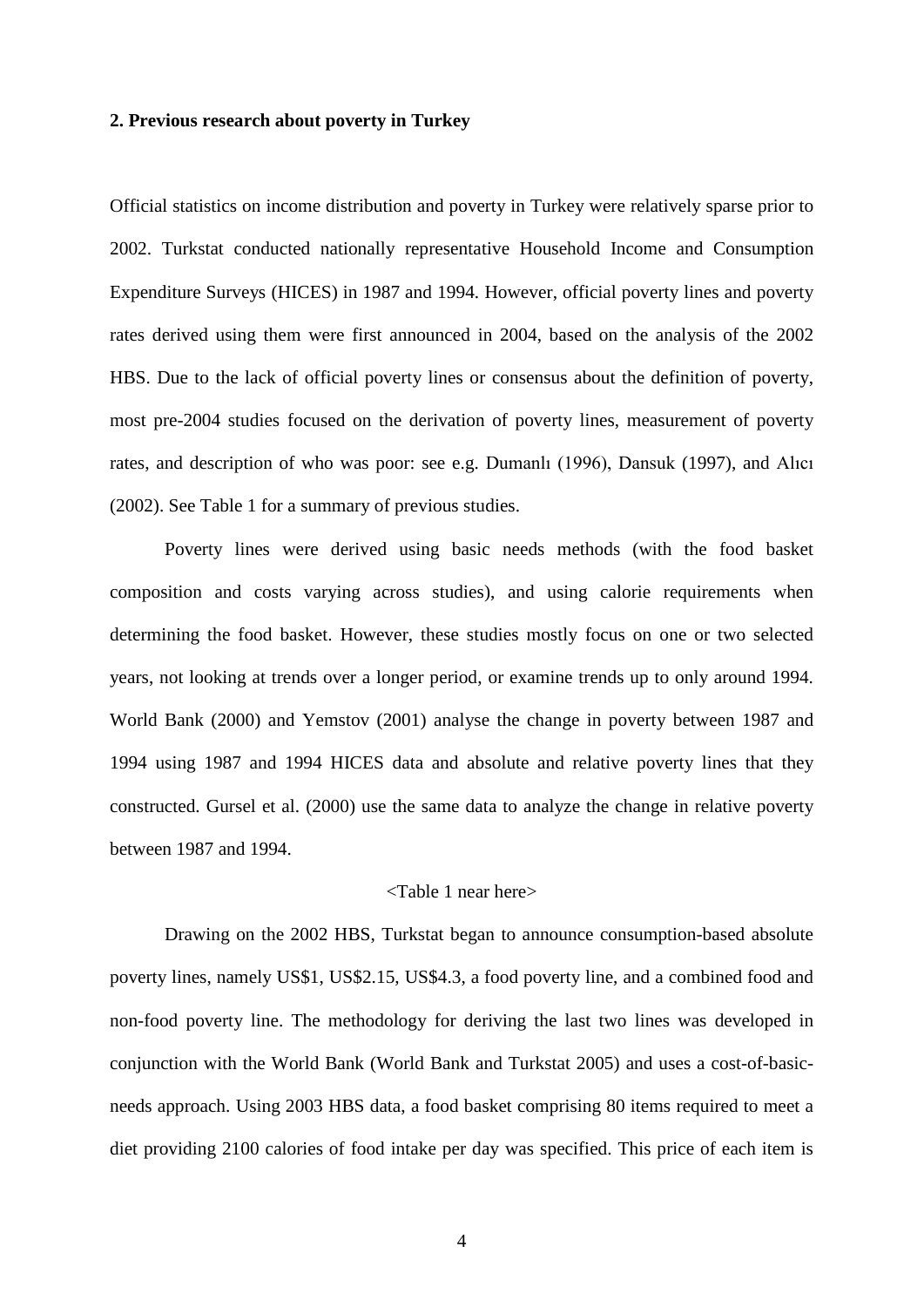#### **2. Previous research about poverty in Turkey**

Official statistics on income distribution and poverty in Turkey were relatively sparse prior to 2002. Turkstat conducted nationally representative Household Income and Consumption Expenditure Surveys (HICES) in 1987 and 1994. However, official poverty lines and poverty rates derived using them were first announced in 2004, based on the analysis of the 2002 HBS. Due to the lack of official poverty lines or consensus about the definition of poverty, most pre-2004 studies focused on the derivation of poverty lines, measurement of poverty rates, and description of who was poor: see e.g. Dumanlı (1996), Dansuk (1997), and Alıcı (2002). See Table 1 for a summary of previous studies.

Poverty lines were derived using basic needs methods (with the food basket composition and costs varying across studies), and using calorie requirements when determining the food basket. However, these studies mostly focus on one or two selected years, not looking at trends over a longer period, or examine trends up to only around 1994. World Bank (2000) and Yemstov (2001) analyse the change in poverty between 1987 and 1994 using 1987 and 1994 HICES data and absolute and relative poverty lines that they constructed. Gursel et al. (2000) use the same data to analyze the change in relative poverty between 1987 and 1994.

#### <Table 1 near here>

Drawing on the 2002 HBS, Turkstat began to announce consumption-based absolute poverty lines, namely US\$1, US\$2.15, US\$4.3, a food poverty line, and a combined food and non-food poverty line. The methodology for deriving the last two lines was developed in conjunction with the World Bank (World Bank and Turkstat 2005) and uses a cost-of-basicneeds approach. Using 2003 HBS data, a food basket comprising 80 items required to meet a diet providing 2100 calories of food intake per day was specified. This price of each item is

4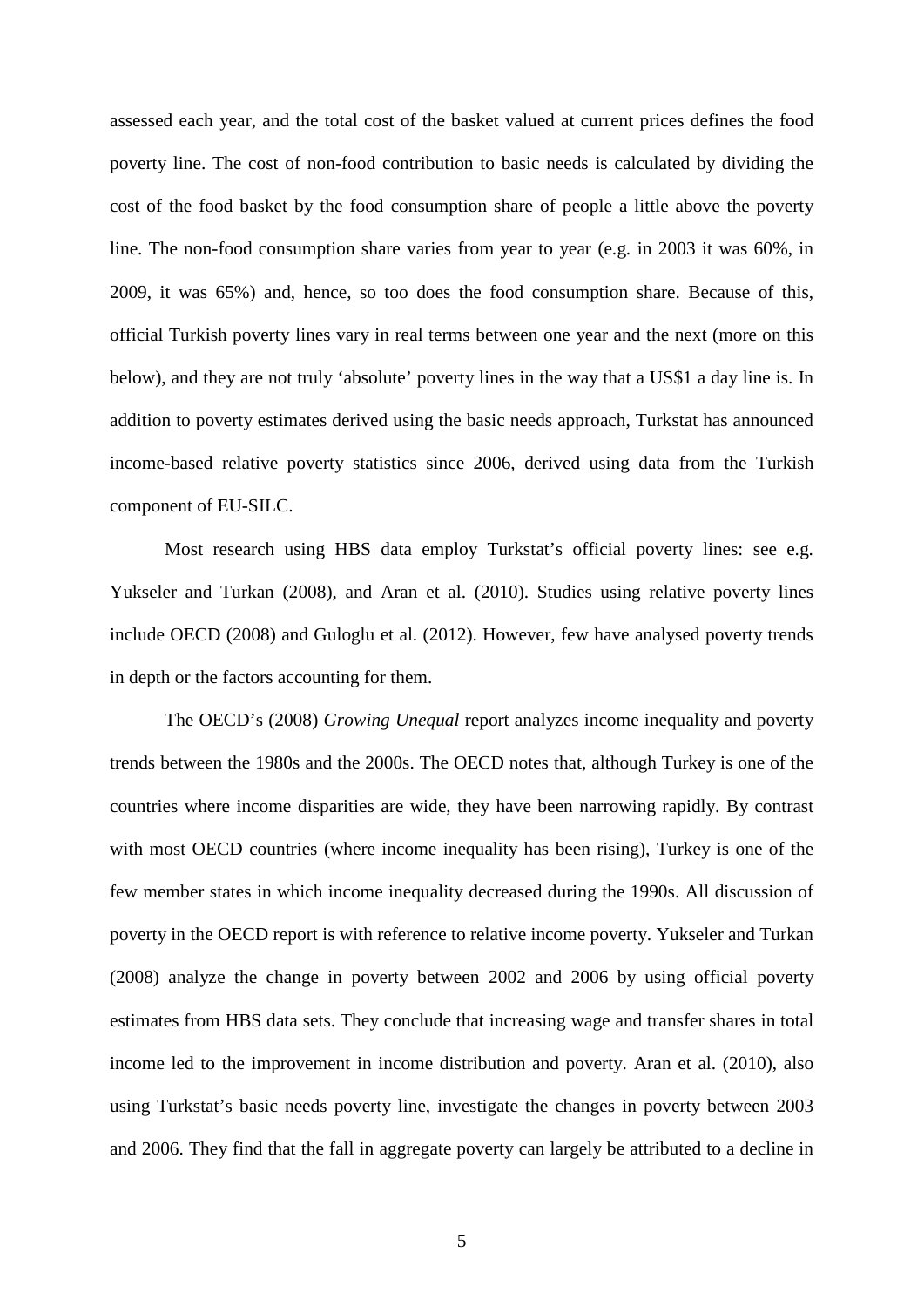assessed each year, and the total cost of the basket valued at current prices defines the food poverty line. The cost of non-food contribution to basic needs is calculated by dividing the cost of the food basket by the food consumption share of people a little above the poverty line. The non-food consumption share varies from year to year (e.g. in 2003 it was 60%, in 2009, it was 65%) and, hence, so too does the food consumption share. Because of this, official Turkish poverty lines vary in real terms between one year and the next (more on this below), and they are not truly 'absolute' poverty lines in the way that a US\$1 a day line is. In addition to poverty estimates derived using the basic needs approach, Turkstat has announced income-based relative poverty statistics since 2006, derived using data from the Turkish component of EU-SILC.

Most research using HBS data employ Turkstat's official poverty lines: see e.g. Yukseler and Turkan (2008), and Aran et al. (2010). Studies using relative poverty lines include OECD (2008) and Guloglu et al. (2012). However, few have analysed poverty trends in depth or the factors accounting for them.

The OECD's (2008) *Growing Unequal* report analyzes income inequality and poverty trends between the 1980s and the 2000s. The OECD notes that, although Turkey is one of the countries where income disparities are wide, they have been narrowing rapidly. By contrast with most OECD countries (where income inequality has been rising), Turkey is one of the few member states in which income inequality decreased during the 1990s. All discussion of poverty in the OECD report is with reference to relative income poverty. Yukseler and Turkan (2008) analyze the change in poverty between 2002 and 2006 by using official poverty estimates from HBS data sets. They conclude that increasing wage and transfer shares in total income led to the improvement in income distribution and poverty. Aran et al. (2010), also using Turkstat's basic needs poverty line, investigate the changes in poverty between 2003 and 2006. They find that the fall in aggregate poverty can largely be attributed to a decline in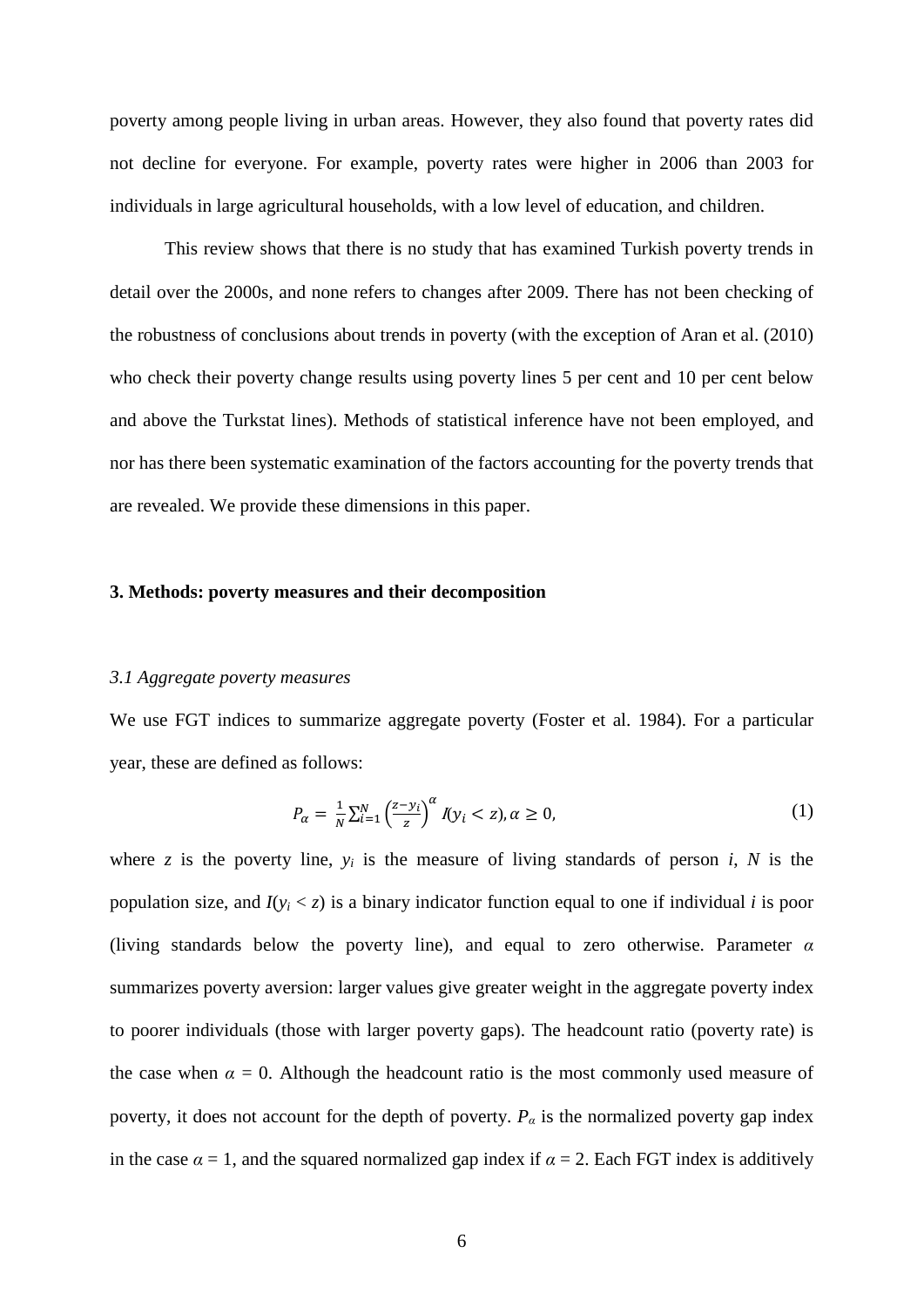poverty among people living in urban areas. However, they also found that poverty rates did not decline for everyone. For example, poverty rates were higher in 2006 than 2003 for individuals in large agricultural households, with a low level of education, and children.

This review shows that there is no study that has examined Turkish poverty trends in detail over the 2000s, and none refers to changes after 2009. There has not been checking of the robustness of conclusions about trends in poverty (with the exception of Aran et al. (2010) who check their poverty change results using poverty lines 5 per cent and 10 per cent below and above the Turkstat lines). Methods of statistical inference have not been employed, and nor has there been systematic examination of the factors accounting for the poverty trends that are revealed. We provide these dimensions in this paper.

#### **3. Methods: poverty measures and their decomposition**

#### *3.1 Aggregate poverty measures*

We use FGT indices to summarize aggregate poverty (Foster et al. 1984). For a particular year, these are defined as follows:

$$
P_{\alpha} = \frac{1}{N} \sum_{i=1}^{N} \left( \frac{z - y_i}{z} \right)^{\alpha} \mathcal{N} y_i < z, \alpha \ge 0,\tag{1}
$$

where  $z$  is the poverty line,  $y_i$  is the measure of living standards of person  $i$ ,  $N$  is the population size, and  $I(y_i \le z)$  is a binary indicator function equal to one if individual *i* is poor (living standards below the poverty line), and equal to zero otherwise. Parameter *α* summarizes poverty aversion: larger values give greater weight in the aggregate poverty index to poorer individuals (those with larger poverty gaps). The headcount ratio (poverty rate) is the case when  $\alpha = 0$ . Although the headcount ratio is the most commonly used measure of poverty, it does not account for the depth of poverty.  $P_\alpha$  is the normalized poverty gap index in the case  $\alpha = 1$ , and the squared normalized gap index if  $\alpha = 2$ . Each FGT index is additively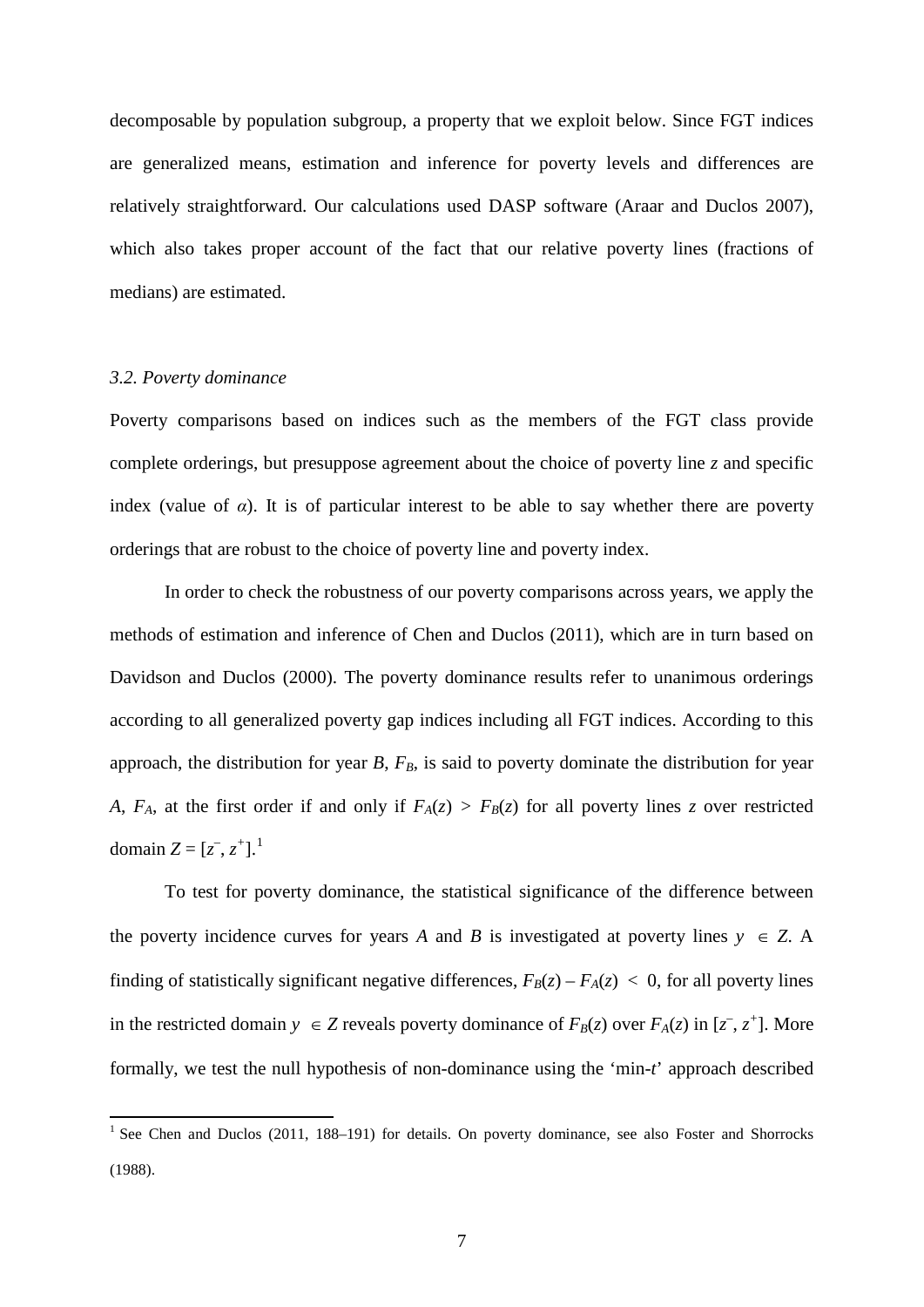decomposable by population subgroup, a property that we exploit below. Since FGT indices are generalized means, estimation and inference for poverty levels and differences are relatively straightforward. Our calculations used DASP software (Araar and Duclos 2007), which also takes proper account of the fact that our relative poverty lines (fractions of medians) are estimated.

#### *3.2. Poverty dominance*

Poverty comparisons based on indices such as the members of the FGT class provide complete orderings, but presuppose agreement about the choice of poverty line *z* and specific index (value of  $\alpha$ ). It is of particular interest to be able to say whether there are poverty orderings that are robust to the choice of poverty line and poverty index.

In order to check the robustness of our poverty comparisons across years, we apply the methods of estimation and inference of Chen and Duclos (2011), which are in turn based on Davidson and Duclos (2000). The poverty dominance results refer to unanimous orderings according to all generalized poverty gap indices including all FGT indices. According to this approach, the distribution for year  $B$ ,  $F_B$ , is said to poverty dominate the distribution for year *A*, *F<sub>A</sub>*, at the first order if and only if  $F_A(z) > F_B(z)$  for all poverty lines *z* over restricted domain  $Z = [z^-, z^+]$ .<sup>[1](#page-9-0)</sup>

To test for poverty dominance, the statistical significance of the difference between the poverty incidence curves for years *A* and *B* is investigated at poverty lines  $y \in Z$ . A finding of statistically significant negative differences,  $F_B(z) - F_A(z) < 0$ , for all poverty lines in the restricted domain  $y \in Z$  reveals poverty dominance of  $F_B(z)$  over  $F_A(z)$  in  $[z^-, z^+]$ . More formally, we test the null hypothesis of non-dominance using the 'min-*t*' approach described

<span id="page-9-0"></span><sup>&</sup>lt;sup>1</sup> See Chen and Duclos (2011, 188–191) for details. On poverty dominance, see also Foster and Shorrocks (1988).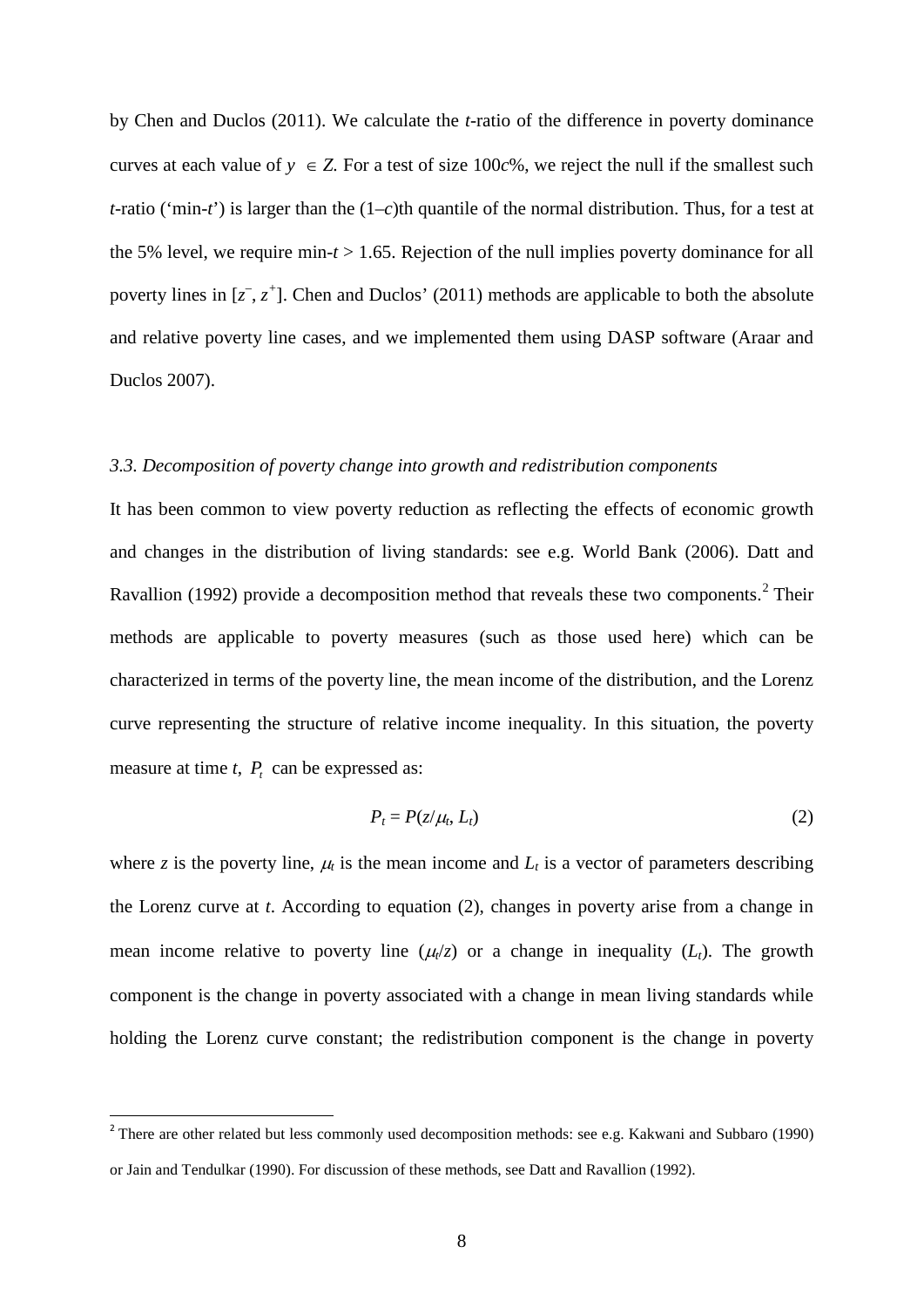by Chen and Duclos (2011). We calculate the *t*-ratio of the difference in poverty dominance curves at each value of  $y \in Z$ . For a test of size 100 $c$ %, we reject the null if the smallest such *t*-ratio ('min-*t*') is larger than the (1–*c*)th quantile of the normal distribution. Thus, for a test at the 5% level, we require min-*t* > 1.65. Rejection of the null implies poverty dominance for all poverty lines in  $[z^-, z^+]$ . Chen and Duclos' (2011) methods are applicable to both the absolute and relative poverty line cases, and we implemented them using DASP software (Araar and Duclos 2007).

#### *3.3. Decomposition of poverty change into growth and redistribution components*

It has been common to view poverty reduction as reflecting the effects of economic growth and changes in the distribution of living standards: see e.g. World Bank (2006). Datt and Ravallion (199[2](#page-10-0)) provide a decomposition method that reveals these two components.<sup>2</sup> Their methods are applicable to poverty measures (such as those used here) which can be characterized in terms of the poverty line, the mean income of the distribution, and the Lorenz curve representing the structure of relative income inequality. In this situation, the poverty measure at time  $t$ ,  $P_t$  can be expressed as:

$$
P_t = P(z/\mu_t, L_t) \tag{2}
$$

where *z* is the poverty line,  $\mu_t$  is the mean income and  $L_t$  is a vector of parameters describing the Lorenz curve at *t*. According to equation (2), changes in poverty arise from a change in mean income relative to poverty line  $(\mu/z)$  or a change in inequality  $(L_t)$ . The growth component is the change in poverty associated with a change in mean living standards while holding the Lorenz curve constant; the redistribution component is the change in poverty

<span id="page-10-0"></span><sup>&</sup>lt;sup>2</sup> There are other related but less commonly used decomposition methods: see e.g. Kakwani and Subbaro (1990) or Jain and Tendulkar (1990). For discussion of these methods, see Datt and Ravallion (1992).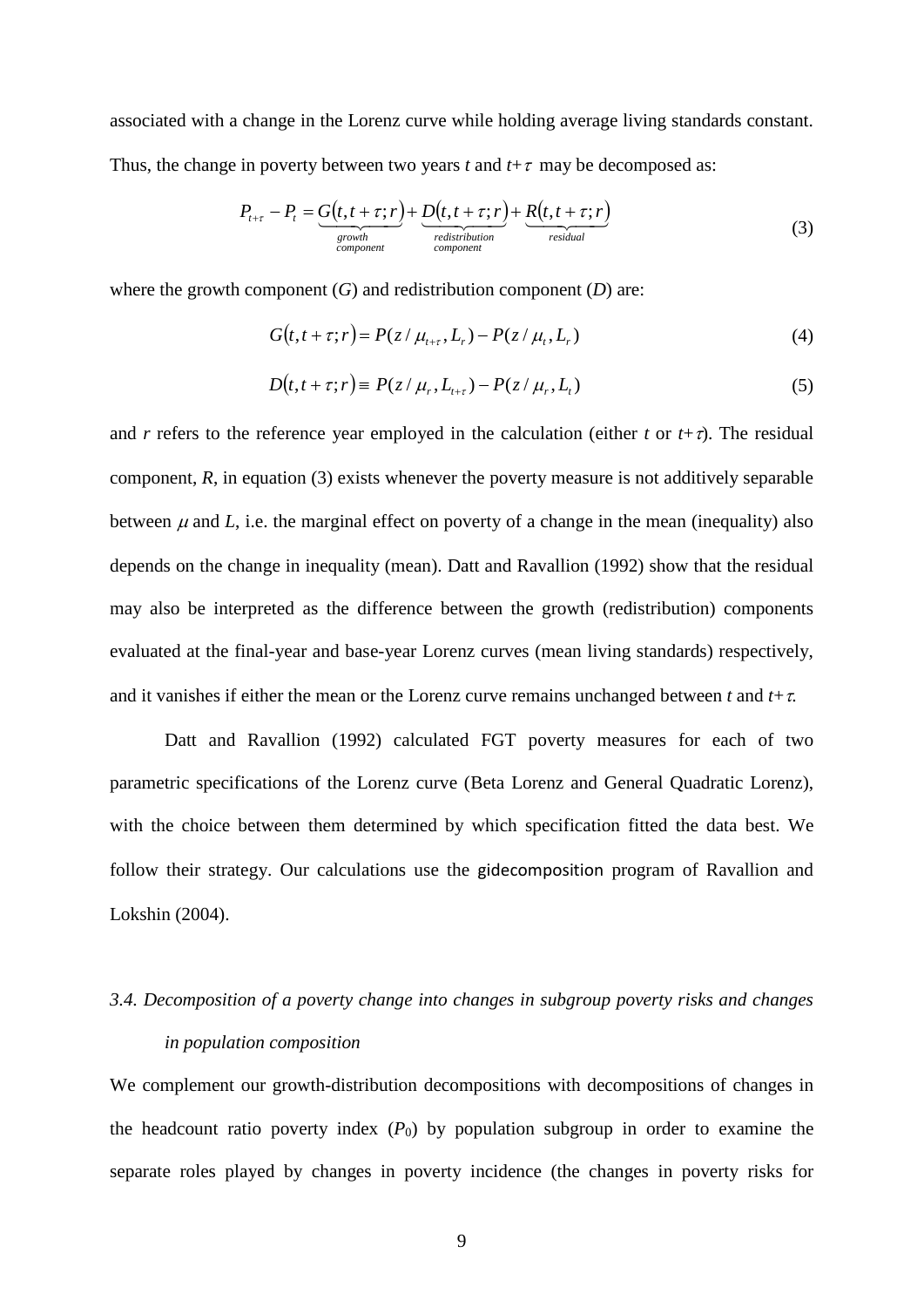associated with a change in the Lorenz curve while holding average living standards constant. Thus, the change in poverty between two years *t* and  $t + \tau$  may be decomposed as:

$$
P_{t+\tau} - P_t = \underbrace{G(t, t + \tau; r)}_{\substack{\text{growth} \\ \text{component}}} + \underbrace{D(t, t + \tau; r)}_{\substack{rel{\text{relistribution} \\ \text{component}}} + P_t} + \underbrace{R(t, t + \tau; r)}_{\substack{residual}} \tag{3}
$$

where the growth component  $(G)$  and redistribution component  $(D)$  are:

$$
G(t, t + \tau; r) = P(z / \mu_{t+\tau}, L_r) - P(z / \mu_t, L_r)
$$
\n(4)

$$
D(t, t + \tau; r) \equiv P(z/\mu_r, L_{t+\tau}) - P(z/\mu_r, L_t)
$$
\n
$$
(5)
$$

and *r* refers to the reference year employed in the calculation (either *t* or  $t + \tau$ ). The residual component, *R*, in equation (3) exists whenever the poverty measure is not additively separable between  $\mu$  and  $L$ , i.e. the marginal effect on poverty of a change in the mean (inequality) also depends on the change in inequality (mean). Datt and Ravallion (1992) show that the residual may also be interpreted as the difference between the growth (redistribution) components evaluated at the final-year and base-year Lorenz curves (mean living standards) respectively, and it vanishes if either the mean or the Lorenz curve remains unchanged between *t* and  $t + \tau$ .

Datt and Ravallion (1992) calculated FGT poverty measures for each of two parametric specifications of the Lorenz curve (Beta Lorenz and General Quadratic Lorenz), with the choice between them determined by which specification fitted the data best. We follow their strategy. Our calculations use the gidecomposition program of Ravallion and Lokshin (2004).

# *3.4. Decomposition of a poverty change into changes in subgroup poverty risks and changes in population composition*

We complement our growth-distribution decompositions with decompositions of changes in the headcount ratio poverty index  $(P_0)$  by population subgroup in order to examine the separate roles played by changes in poverty incidence (the changes in poverty risks for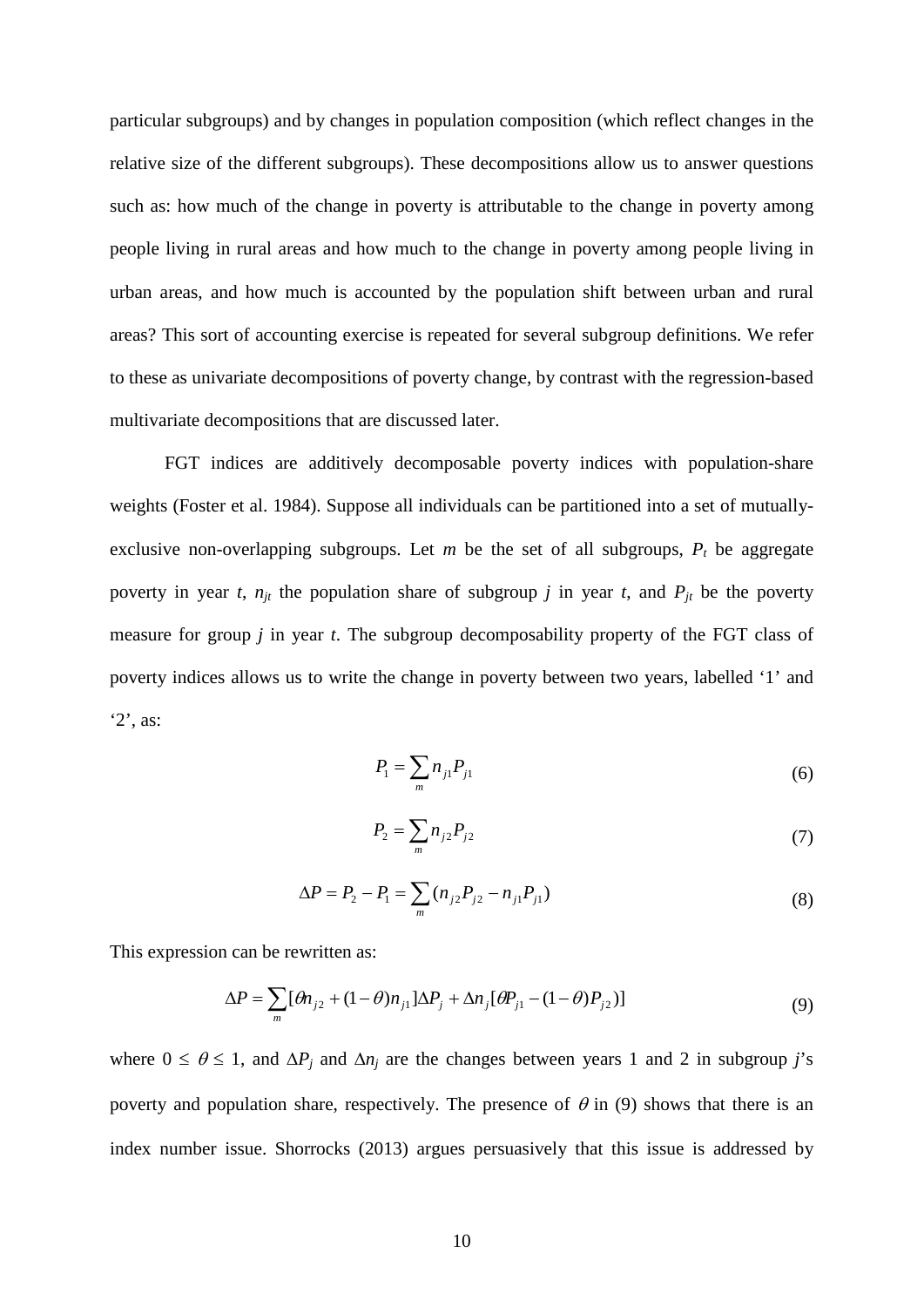particular subgroups) and by changes in population composition (which reflect changes in the relative size of the different subgroups). These decompositions allow us to answer questions such as: how much of the change in poverty is attributable to the change in poverty among people living in rural areas and how much to the change in poverty among people living in urban areas, and how much is accounted by the population shift between urban and rural areas? This sort of accounting exercise is repeated for several subgroup definitions. We refer to these as univariate decompositions of poverty change, by contrast with the regression-based multivariate decompositions that are discussed later.

FGT indices are additively decomposable poverty indices with population-share weights (Foster et al. 1984). Suppose all individuals can be partitioned into a set of mutuallyexclusive non-overlapping subgroups. Let  $m$  be the set of all subgroups,  $P_t$  be aggregate poverty in year *t*,  $n_{it}$  the population share of subgroup *j* in year *t*, and  $P_{it}$  be the poverty measure for group *j* in year *t*. The subgroup decomposability property of the FGT class of poverty indices allows us to write the change in poverty between two years, labelled '1' and '2', as:

$$
P_1 = \sum_m n_{j1} P_{j1} \tag{6}
$$

$$
P_2 = \sum_m n_{j2} P_{j2} \tag{7}
$$

$$
\Delta P = P_2 - P_1 = \sum_m (n_{j2} P_{j2} - n_{j1} P_{j1})
$$
\n(8)

This expression can be rewritten as:

$$
\Delta P = \sum_{m} [\theta n_{j2} + (1 - \theta) n_{j1}] \Delta P_j + \Delta n_j [\theta P_{j1} - (1 - \theta) P_{j2})]
$$
(9)

where  $0 \le \theta \le 1$ , and  $\Delta P_i$  and  $\Delta n_i$  are the changes between years 1 and 2 in subgroup *j*'s poverty and population share, respectively. The presence of  $\theta$  in (9) shows that there is an index number issue. Shorrocks (2013) argues persuasively that this issue is addressed by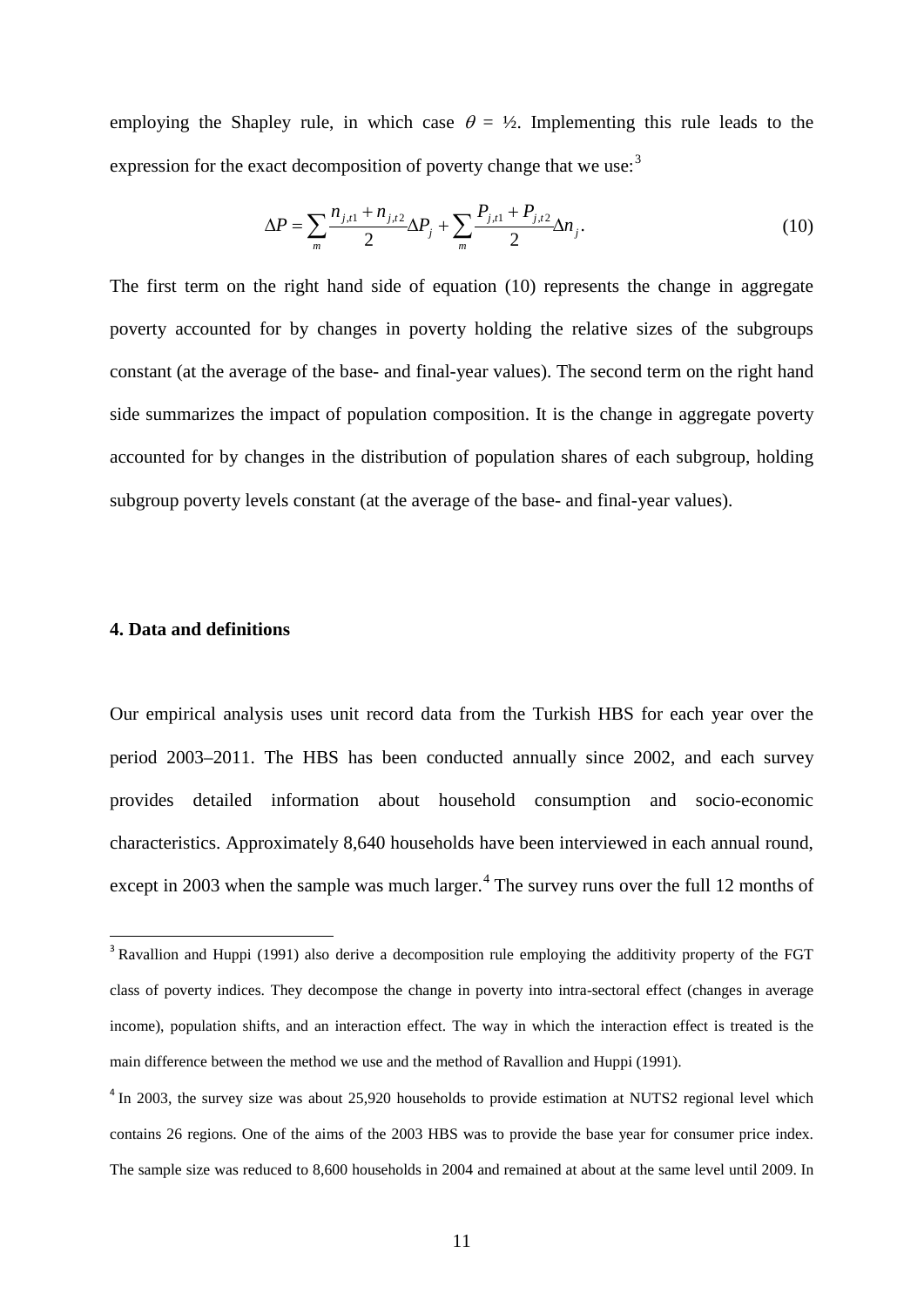employing the Shapley rule, in which case  $\theta = \frac{1}{2}$ . Implementing this rule leads to the expression for the exact decomposition of poverty change that we use:<sup>[3](#page-13-0)</sup>

$$
\Delta P = \sum_{m} \frac{n_{j,t1} + n_{j,t2}}{2} \Delta P_j + \sum_{m} \frac{P_{j,t1} + P_{j,t2}}{2} \Delta n_j.
$$
 (10)

The first term on the right hand side of equation (10) represents the change in aggregate poverty accounted for by changes in poverty holding the relative sizes of the subgroups constant (at the average of the base- and final-year values). The second term on the right hand side summarizes the impact of population composition. It is the change in aggregate poverty accounted for by changes in the distribution of population shares of each subgroup, holding subgroup poverty levels constant (at the average of the base- and final-year values).

#### **4. Data and definitions**

Our empirical analysis uses unit record data from the Turkish HBS for each year over the period 2003–2011. The HBS has been conducted annually since 2002, and each survey provides detailed information about household consumption and socio-economic characteristics. Approximately 8,640 households have been interviewed in each annual round, except in 2003 when the sample was much larger.<sup>[4](#page-13-1)</sup> The survey runs over the full 12 months of

<span id="page-13-0"></span><sup>&</sup>lt;sup>3</sup> Ravallion and Huppi (1991) also derive a decomposition rule employing the additivity property of the FGT class of poverty indices. They decompose the change in poverty into intra-sectoral effect (changes in average income), population shifts, and an interaction effect. The way in which the interaction effect is treated is the main difference between the method we use and the method of Ravallion and Huppi (1991).

<span id="page-13-1"></span><sup>&</sup>lt;sup>4</sup> In 2003, the survey size was about 25,920 households to provide estimation at NUTS2 regional level which contains 26 regions. One of the aims of the 2003 HBS was to provide the base year for consumer price index. The sample size was reduced to 8,600 households in 2004 and remained at about at the same level until 2009. In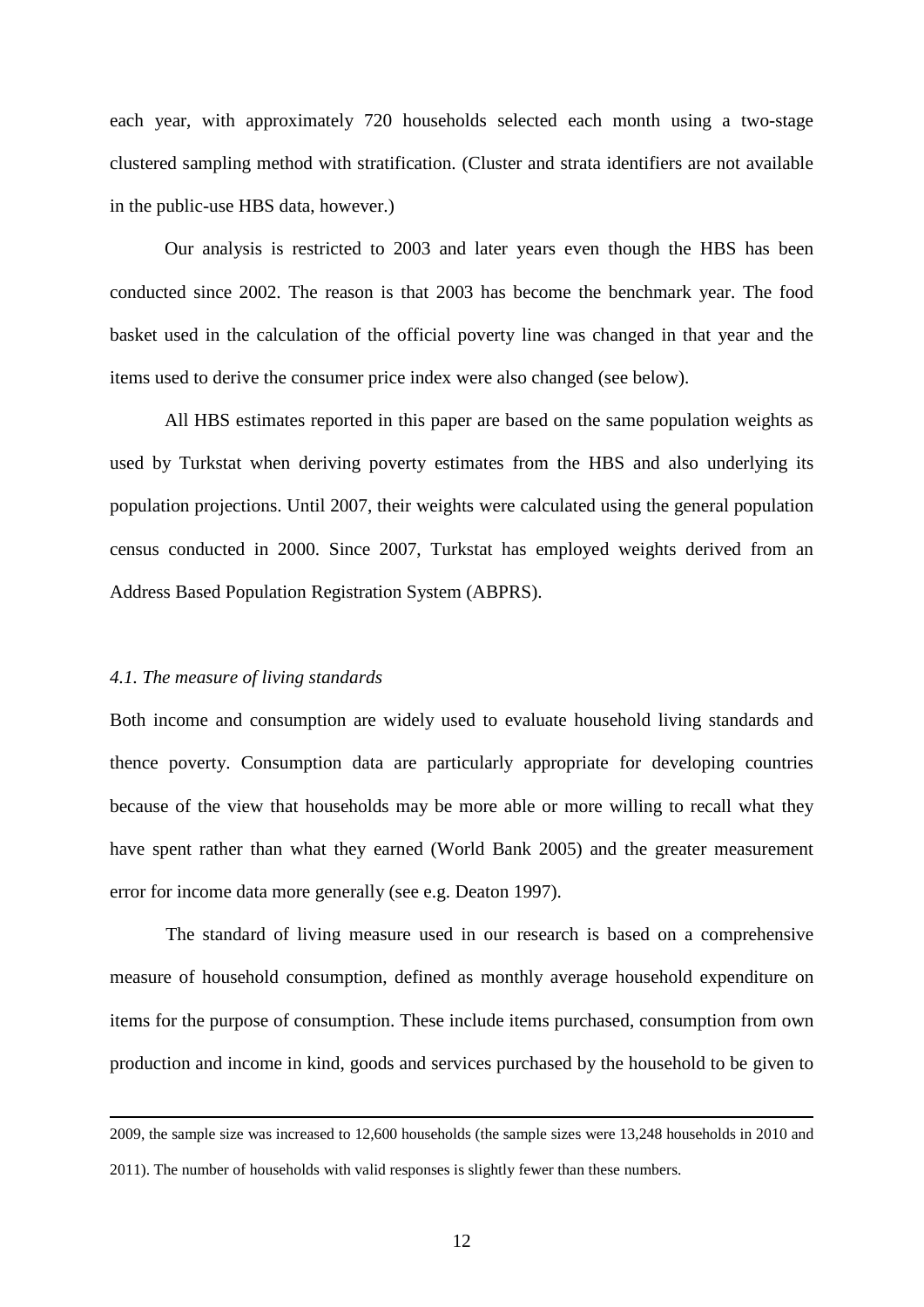each year, with approximately 720 households selected each month using a two-stage clustered sampling method with stratification. (Cluster and strata identifiers are not available in the public-use HBS data, however.)

Our analysis is restricted to 2003 and later years even though the HBS has been conducted since 2002. The reason is that 2003 has become the benchmark year. The food basket used in the calculation of the official poverty line was changed in that year and the items used to derive the consumer price index were also changed (see below).

All HBS estimates reported in this paper are based on the same population weights as used by Turkstat when deriving poverty estimates from the HBS and also underlying its population projections. Until 2007, their weights were calculated using the general population census conducted in 2000. Since 2007, Turkstat has employed weights derived from an Address Based Population Registration System (ABPRS).

#### *4.1. The measure of living standards*

1

Both income and consumption are widely used to evaluate household living standards and thence poverty. Consumption data are particularly appropriate for developing countries because of the view that households may be more able or more willing to recall what they have spent rather than what they earned (World Bank 2005) and the greater measurement error for income data more generally (see e.g. Deaton 1997).

The standard of living measure used in our research is based on a comprehensive measure of household consumption, defined as monthly average household expenditure on items for the purpose of consumption. These include items purchased, consumption from own production and income in kind, goods and services purchased by the household to be given to

<sup>2009,</sup> the sample size was increased to 12,600 households (the sample sizes were 13,248 households in 2010 and 2011). The number of households with valid responses is slightly fewer than these numbers.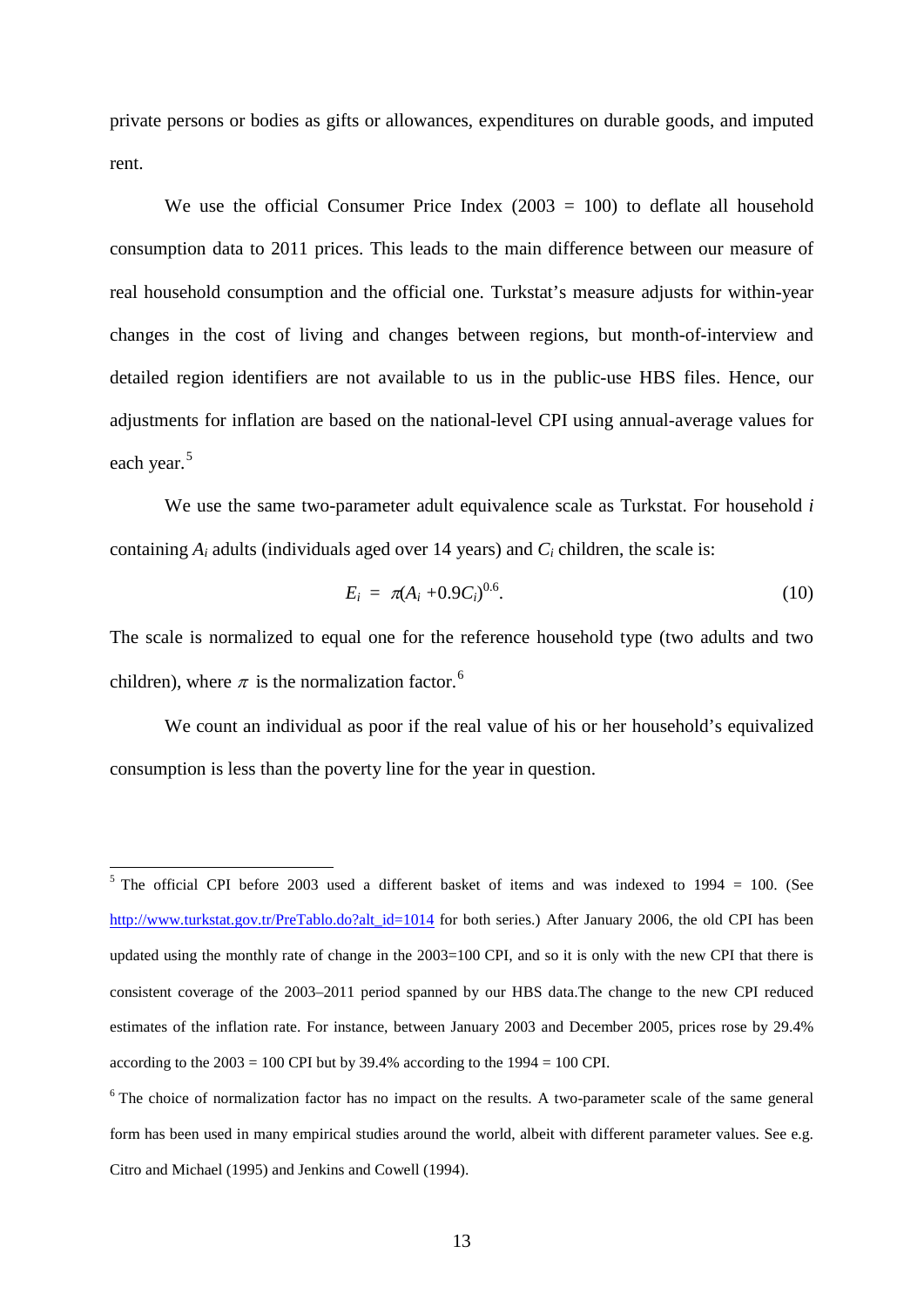private persons or bodies as gifts or allowances, expenditures on durable goods, and imputed rent.

We use the official Consumer Price Index  $(2003 = 100)$  to deflate all household consumption data to 2011 prices. This leads to the main difference between our measure of real household consumption and the official one. Turkstat's measure adjusts for within-year changes in the cost of living and changes between regions, but month-of-interview and detailed region identifiers are not available to us in the public-use HBS files. Hence, our adjustments for inflation are based on the national-level CPI using annual-average values for each year.<sup>[5](#page-15-0)</sup>

We use the same two-parameter adult equivalence scale as Turkstat. For household *i* containing *Ai* adults (individuals aged over 14 years) and *Ci* children, the scale is:

$$
E_i = \pi (A_i + 0.9 C_i)^{0.6}.
$$
 (10)

The scale is normalized to equal one for the reference household type (two adults and two children), where  $\pi$  is the normalization factor.<sup>[6](#page-15-1)</sup>

We count an individual as poor if the real value of his or her household's equivalized consumption is less than the poverty line for the year in question.

<span id="page-15-0"></span><sup>&</sup>lt;sup>5</sup> The official CPI before 2003 used a different basket of items and was indexed to 1994 = 100. (See [http://www.turkstat.gov.tr/PreTablo.do?alt\\_id=1014](http://www.turkstat.gov.tr/PreTablo.do?alt_id=1014) for both series.) After January 2006, the old CPI has been updated using the monthly rate of change in the 2003=100 CPI, and so it is only with the new CPI that there is consistent coverage of the 2003–2011 period spanned by our HBS data.The change to the new CPI reduced estimates of the inflation rate. For instance, between January 2003 and December 2005, prices rose by 29.4% according to the  $2003 = 100$  CPI but by 39.4% according to the  $1994 = 100$  CPI.

<span id="page-15-1"></span><sup>&</sup>lt;sup>6</sup> The choice of normalization factor has no impact on the results. A two-parameter scale of the same general form has been used in many empirical studies around the world, albeit with different parameter values. See e.g. Citro and Michael (1995) and Jenkins and Cowell (1994).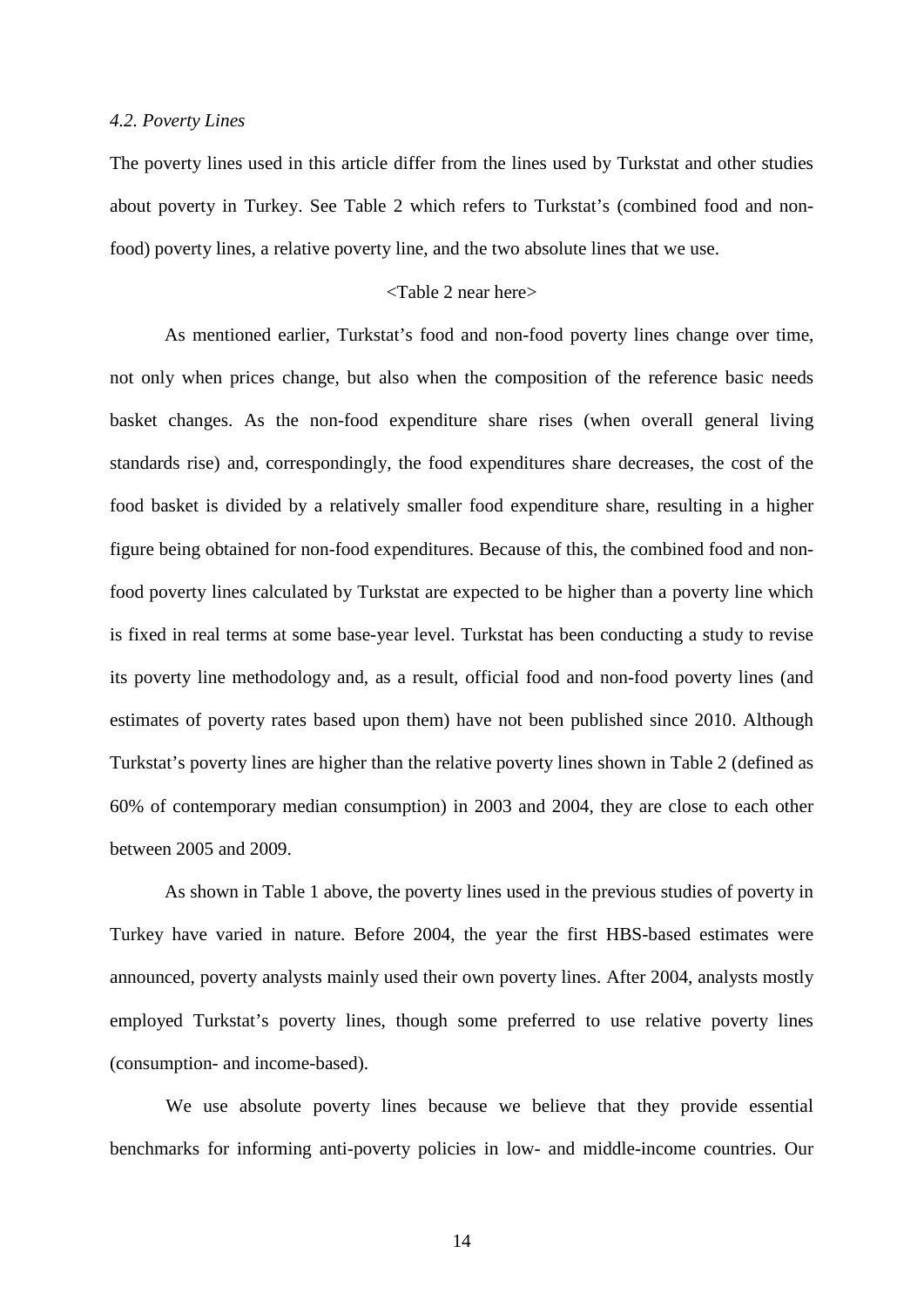#### *4.2. Poverty Lines*

The poverty lines used in this article differ from the lines used by Turkstat and other studies about poverty in Turkey. See Table 2 which refers to Turkstat's (combined food and nonfood) poverty lines, a relative poverty line, and the two absolute lines that we use.

#### <Table 2 near here>

As mentioned earlier, Turkstat's food and non-food poverty lines change over time, not only when prices change, but also when the composition of the reference basic needs basket changes. As the non-food expenditure share rises (when overall general living standards rise) and, correspondingly, the food expenditures share decreases, the cost of the food basket is divided by a relatively smaller food expenditure share, resulting in a higher figure being obtained for non-food expenditures. Because of this, the combined food and nonfood poverty lines calculated by Turkstat are expected to be higher than a poverty line which is fixed in real terms at some base-year level. Turkstat has been conducting a study to revise its poverty line methodology and, as a result, official food and non-food poverty lines (and estimates of poverty rates based upon them) have not been published since 2010. Although Turkstat's poverty lines are higher than the relative poverty lines shown in Table 2 (defined as 60% of contemporary median consumption) in 2003 and 2004, they are close to each other between 2005 and 2009.

As shown in Table 1 above, the poverty lines used in the previous studies of poverty in Turkey have varied in nature. Before 2004, the year the first HBS-based estimates were announced, poverty analysts mainly used their own poverty lines. After 2004, analysts mostly employed Turkstat's poverty lines, though some preferred to use relative poverty lines (consumption- and income-based).

We use absolute poverty lines because we believe that they provide essential benchmarks for informing anti-poverty policies in low- and middle-income countries. Our

14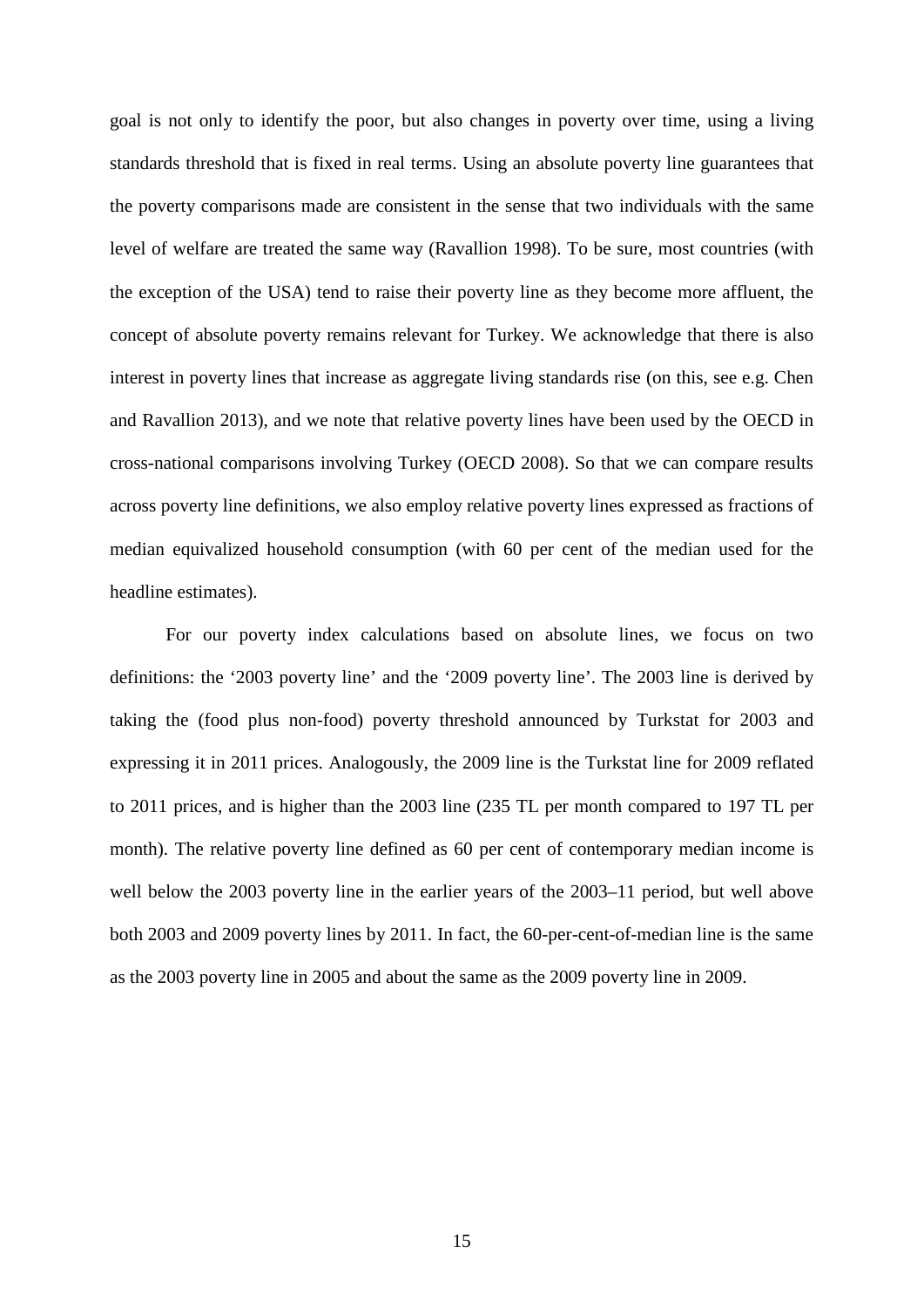goal is not only to identify the poor, but also changes in poverty over time, using a living standards threshold that is fixed in real terms. Using an absolute poverty line guarantees that the poverty comparisons made are consistent in the sense that two individuals with the same level of welfare are treated the same way (Ravallion 1998). To be sure, most countries (with the exception of the USA) tend to raise their poverty line as they become more affluent, the concept of absolute poverty remains relevant for Turkey. We acknowledge that there is also interest in poverty lines that increase as aggregate living standards rise (on this, see e.g. Chen and Ravallion 2013), and we note that relative poverty lines have been used by the OECD in cross-national comparisons involving Turkey (OECD 2008). So that we can compare results across poverty line definitions, we also employ relative poverty lines expressed as fractions of median equivalized household consumption (with 60 per cent of the median used for the headline estimates).

For our poverty index calculations based on absolute lines, we focus on two definitions: the '2003 poverty line' and the '2009 poverty line'. The 2003 line is derived by taking the (food plus non-food) poverty threshold announced by Turkstat for 2003 and expressing it in 2011 prices. Analogously, the 2009 line is the Turkstat line for 2009 reflated to 2011 prices, and is higher than the 2003 line (235 TL per month compared to 197 TL per month). The relative poverty line defined as 60 per cent of contemporary median income is well below the 2003 poverty line in the earlier years of the 2003–11 period, but well above both 2003 and 2009 poverty lines by 2011. In fact, the 60-per-cent-of-median line is the same as the 2003 poverty line in 2005 and about the same as the 2009 poverty line in 2009.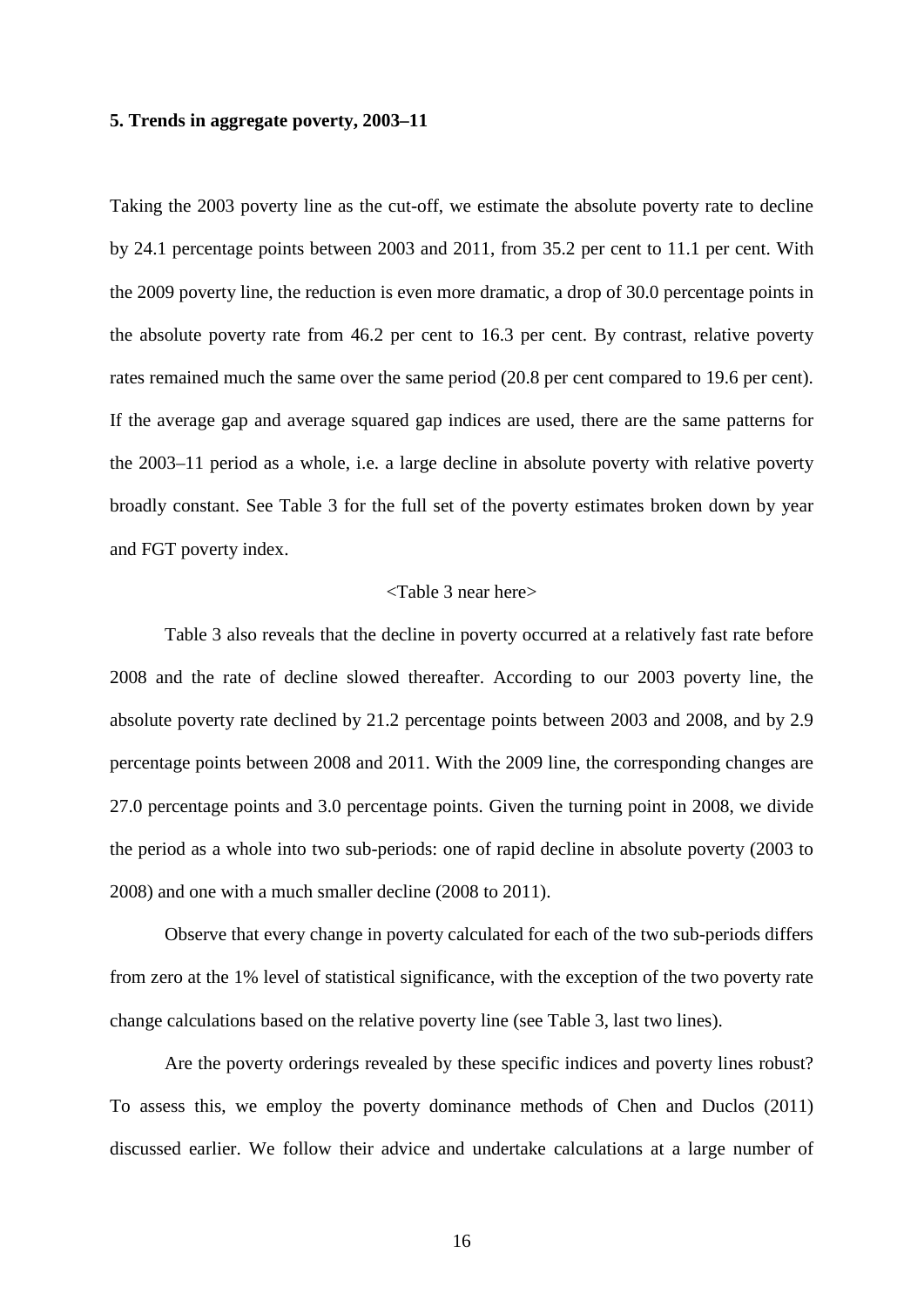#### **5. Trends in aggregate poverty, 2003–11**

Taking the 2003 poverty line as the cut-off, we estimate the absolute poverty rate to decline by 24.1 percentage points between 2003 and 2011, from 35.2 per cent to 11.1 per cent. With the 2009 poverty line, the reduction is even more dramatic, a drop of 30.0 percentage points in the absolute poverty rate from 46.2 per cent to 16.3 per cent. By contrast, relative poverty rates remained much the same over the same period (20.8 per cent compared to 19.6 per cent). If the average gap and average squared gap indices are used, there are the same patterns for the 2003–11 period as a whole, i.e. a large decline in absolute poverty with relative poverty broadly constant. See Table 3 for the full set of the poverty estimates broken down by year and FGT poverty index.

#### <Table 3 near here>

Table 3 also reveals that the decline in poverty occurred at a relatively fast rate before 2008 and the rate of decline slowed thereafter. According to our 2003 poverty line, the absolute poverty rate declined by 21.2 percentage points between 2003 and 2008, and by 2.9 percentage points between 2008 and 2011. With the 2009 line, the corresponding changes are 27.0 percentage points and 3.0 percentage points. Given the turning point in 2008, we divide the period as a whole into two sub-periods: one of rapid decline in absolute poverty (2003 to 2008) and one with a much smaller decline (2008 to 2011).

Observe that every change in poverty calculated for each of the two sub-periods differs from zero at the 1% level of statistical significance, with the exception of the two poverty rate change calculations based on the relative poverty line (see Table 3, last two lines).

Are the poverty orderings revealed by these specific indices and poverty lines robust? To assess this, we employ the poverty dominance methods of Chen and Duclos (2011) discussed earlier. We follow their advice and undertake calculations at a large number of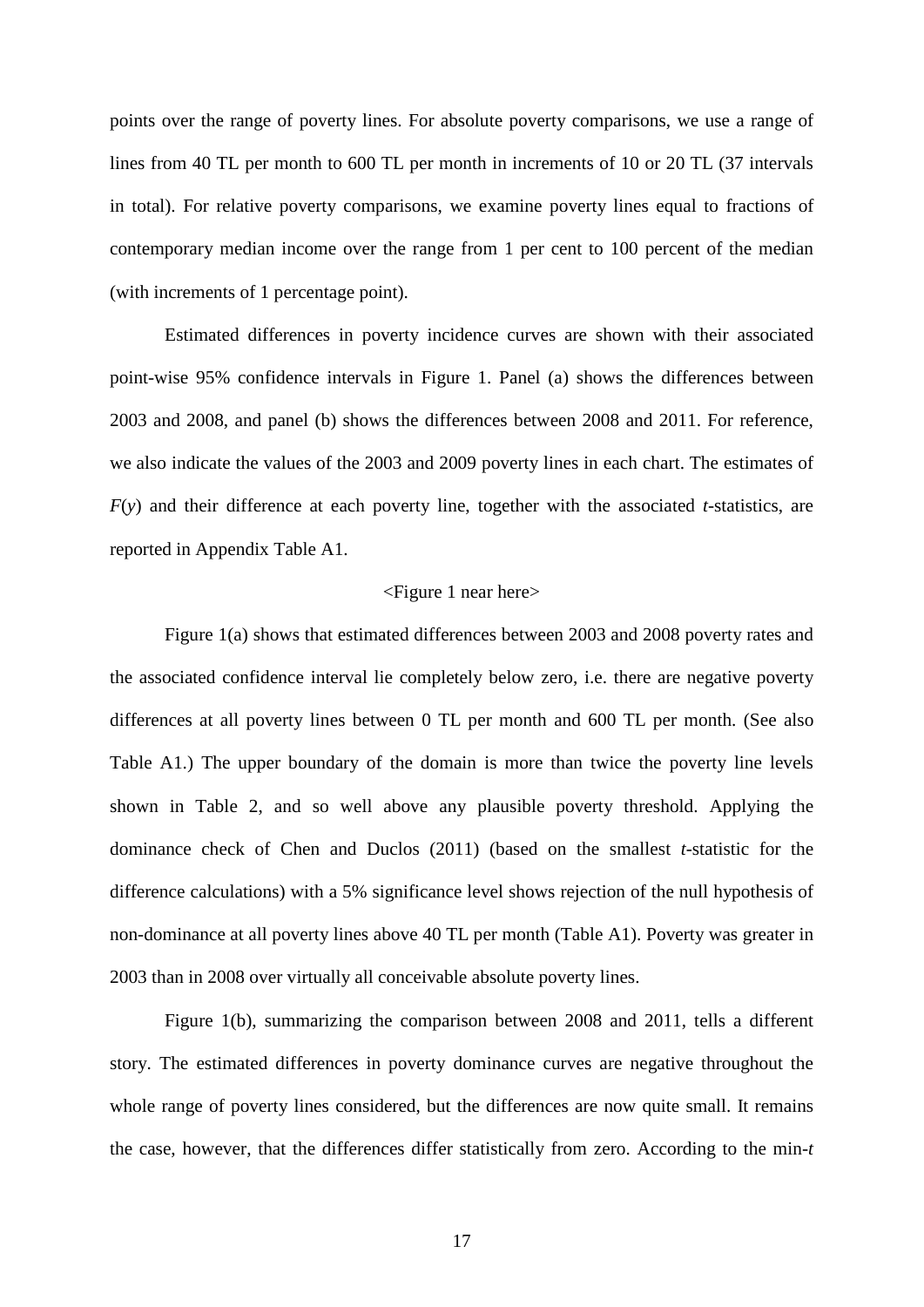points over the range of poverty lines. For absolute poverty comparisons, we use a range of lines from 40 TL per month to 600 TL per month in increments of 10 or 20 TL (37 intervals in total). For relative poverty comparisons, we examine poverty lines equal to fractions of contemporary median income over the range from 1 per cent to 100 percent of the median (with increments of 1 percentage point).

Estimated differences in poverty incidence curves are shown with their associated point-wise 95% confidence intervals in Figure 1. Panel (a) shows the differences between 2003 and 2008, and panel (b) shows the differences between 2008 and 2011. For reference, we also indicate the values of the 2003 and 2009 poverty lines in each chart. The estimates of *F*(*y*) and their difference at each poverty line, together with the associated *t*-statistics, are reported in Appendix Table A1.

#### <Figure 1 near here>

Figure 1(a) shows that estimated differences between 2003 and 2008 poverty rates and the associated confidence interval lie completely below zero, i.e. there are negative poverty differences at all poverty lines between 0 TL per month and 600 TL per month. (See also Table A1.) The upper boundary of the domain is more than twice the poverty line levels shown in Table 2, and so well above any plausible poverty threshold. Applying the dominance check of Chen and Duclos (2011) (based on the smallest *t*-statistic for the difference calculations) with a 5% significance level shows rejection of the null hypothesis of non-dominance at all poverty lines above 40 TL per month (Table A1). Poverty was greater in 2003 than in 2008 over virtually all conceivable absolute poverty lines.

Figure 1(b), summarizing the comparison between 2008 and 2011, tells a different story. The estimated differences in poverty dominance curves are negative throughout the whole range of poverty lines considered, but the differences are now quite small. It remains the case, however, that the differences differ statistically from zero. According to the min-*t*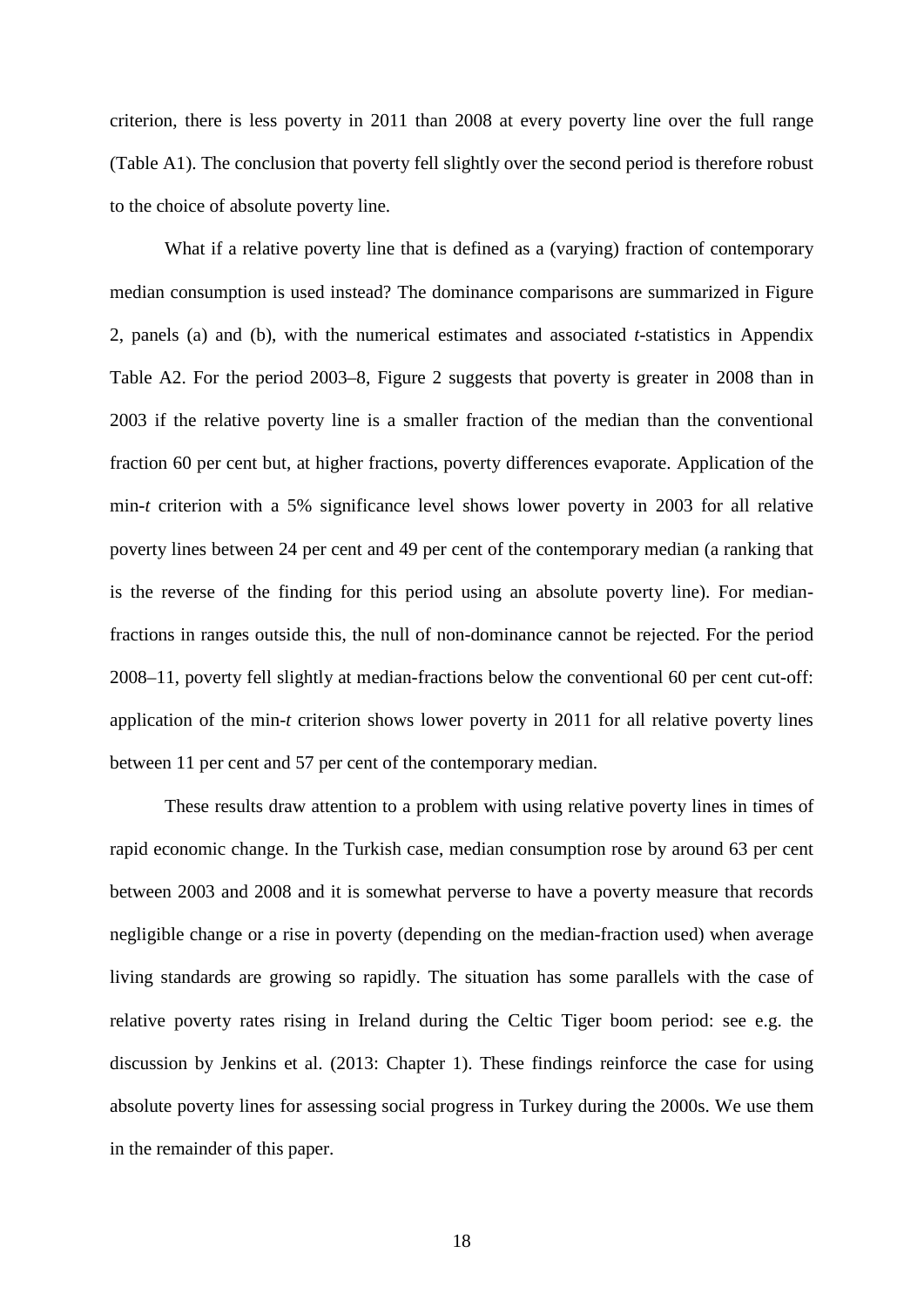criterion, there is less poverty in 2011 than 2008 at every poverty line over the full range (Table A1). The conclusion that poverty fell slightly over the second period is therefore robust to the choice of absolute poverty line.

What if a relative poverty line that is defined as a (varying) fraction of contemporary median consumption is used instead? The dominance comparisons are summarized in Figure 2, panels (a) and (b), with the numerical estimates and associated *t*-statistics in Appendix Table A2. For the period 2003–8, Figure 2 suggests that poverty is greater in 2008 than in 2003 if the relative poverty line is a smaller fraction of the median than the conventional fraction 60 per cent but, at higher fractions, poverty differences evaporate. Application of the min-*t* criterion with a 5% significance level shows lower poverty in 2003 for all relative poverty lines between 24 per cent and 49 per cent of the contemporary median (a ranking that is the reverse of the finding for this period using an absolute poverty line). For medianfractions in ranges outside this, the null of non-dominance cannot be rejected. For the period 2008–11, poverty fell slightly at median-fractions below the conventional 60 per cent cut-off: application of the min-*t* criterion shows lower poverty in 2011 for all relative poverty lines between 11 per cent and 57 per cent of the contemporary median.

These results draw attention to a problem with using relative poverty lines in times of rapid economic change. In the Turkish case, median consumption rose by around 63 per cent between 2003 and 2008 and it is somewhat perverse to have a poverty measure that records negligible change or a rise in poverty (depending on the median-fraction used) when average living standards are growing so rapidly. The situation has some parallels with the case of relative poverty rates rising in Ireland during the Celtic Tiger boom period: see e.g. the discussion by Jenkins et al. (2013: Chapter 1). These findings reinforce the case for using absolute poverty lines for assessing social progress in Turkey during the 2000s. We use them in the remainder of this paper.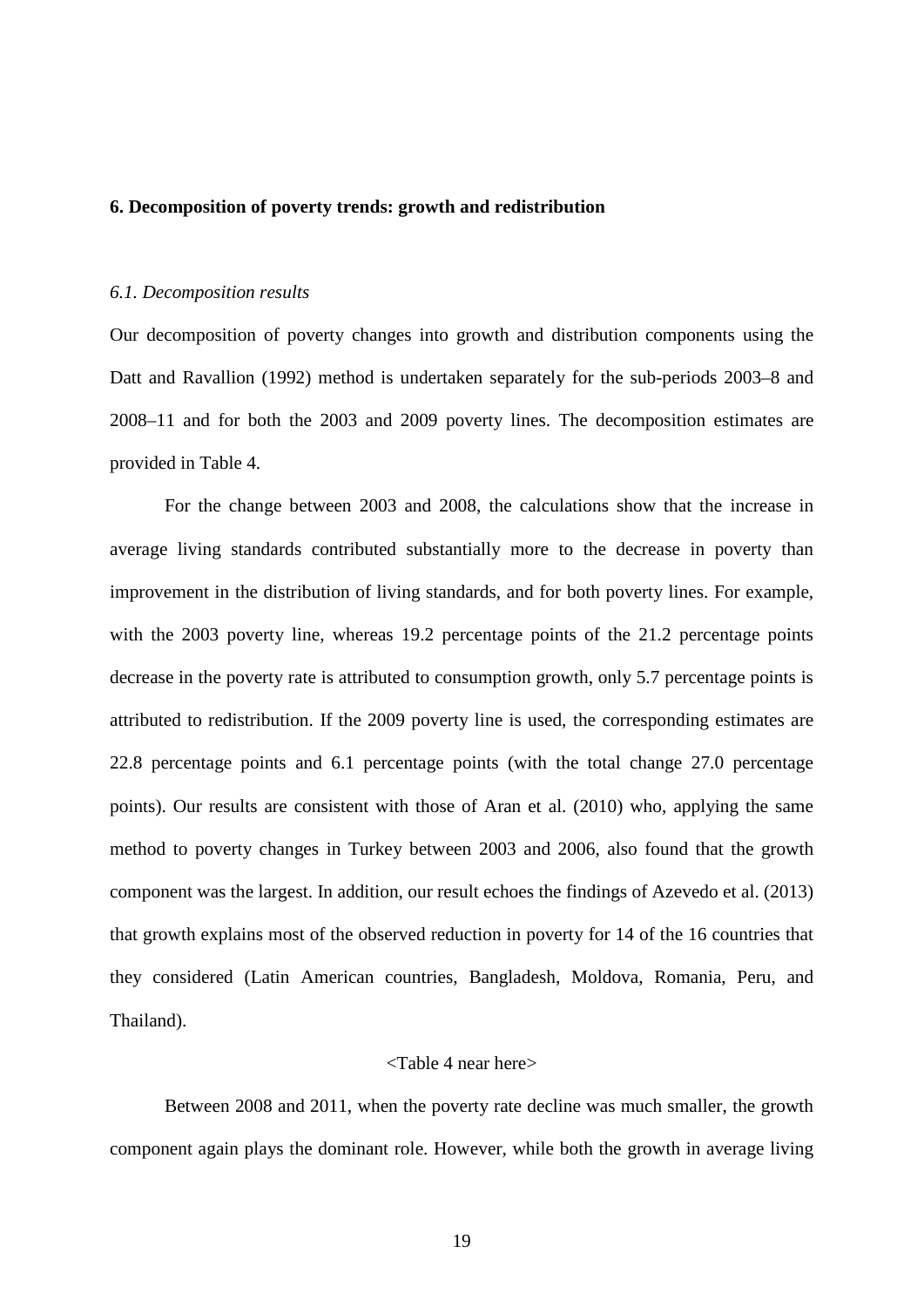#### **6. Decomposition of poverty trends: growth and redistribution**

#### *6.1. Decomposition results*

Our decomposition of poverty changes into growth and distribution components using the Datt and Ravallion (1992) method is undertaken separately for the sub-periods 2003–8 and 2008–11 and for both the 2003 and 2009 poverty lines. The decomposition estimates are provided in Table 4.

For the change between 2003 and 2008, the calculations show that the increase in average living standards contributed substantially more to the decrease in poverty than improvement in the distribution of living standards, and for both poverty lines. For example, with the 2003 poverty line, whereas 19.2 percentage points of the 21.2 percentage points decrease in the poverty rate is attributed to consumption growth, only 5.7 percentage points is attributed to redistribution. If the 2009 poverty line is used, the corresponding estimates are 22.8 percentage points and 6.1 percentage points (with the total change 27.0 percentage points). Our results are consistent with those of Aran et al. (2010) who, applying the same method to poverty changes in Turkey between 2003 and 2006, also found that the growth component was the largest. In addition, our result echoes the findings of Azevedo et al. (2013) that growth explains most of the observed reduction in poverty for 14 of the 16 countries that they considered (Latin American countries, Bangladesh, Moldova, Romania, Peru, and Thailand).

#### <Table 4 near here>

Between 2008 and 2011, when the poverty rate decline was much smaller, the growth component again plays the dominant role. However, while both the growth in average living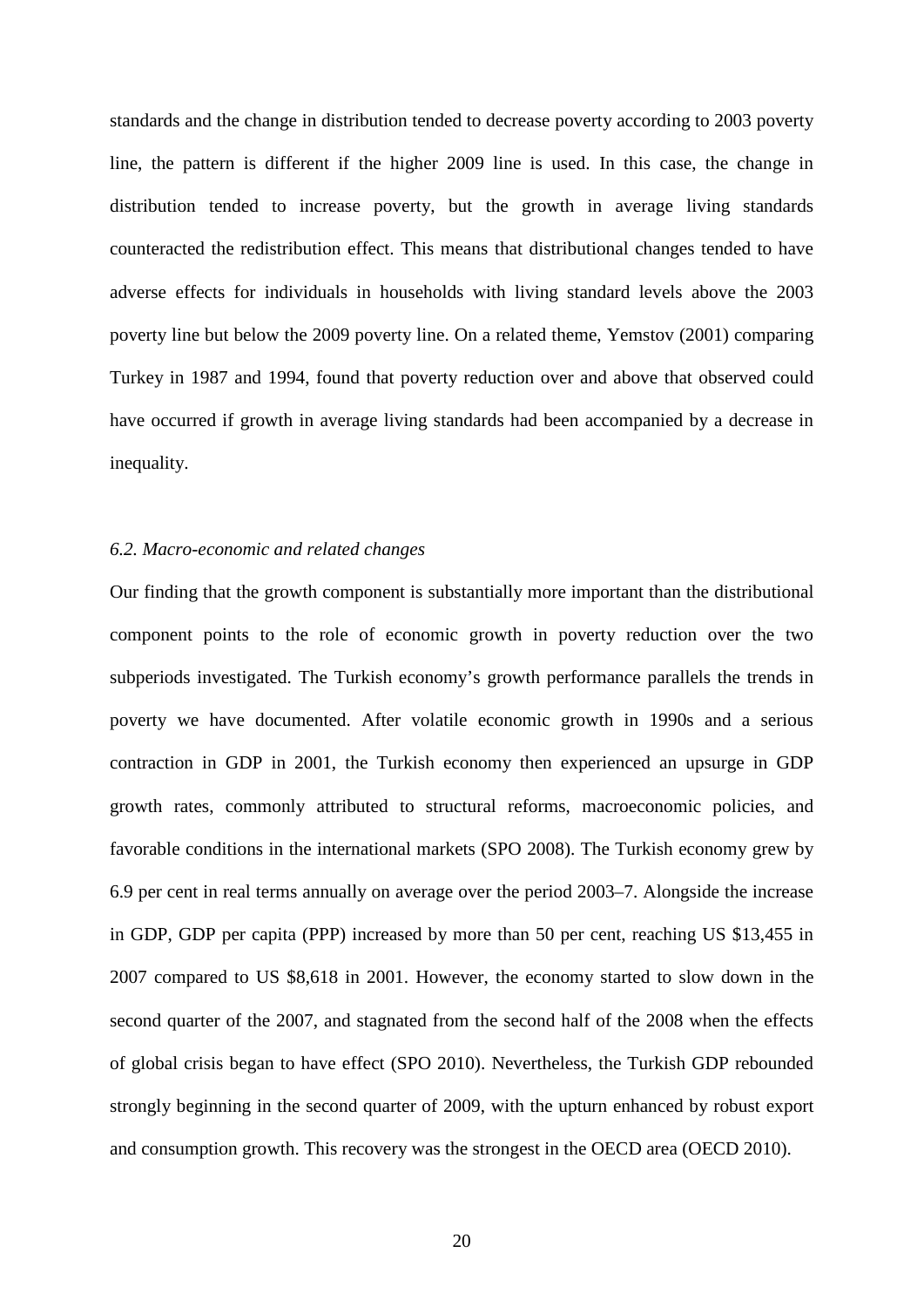standards and the change in distribution tended to decrease poverty according to 2003 poverty line, the pattern is different if the higher 2009 line is used. In this case, the change in distribution tended to increase poverty, but the growth in average living standards counteracted the redistribution effect. This means that distributional changes tended to have adverse effects for individuals in households with living standard levels above the 2003 poverty line but below the 2009 poverty line. On a related theme, Yemstov (2001) comparing Turkey in 1987 and 1994, found that poverty reduction over and above that observed could have occurred if growth in average living standards had been accompanied by a decrease in inequality.

#### *6.2. Macro-economic and related changes*

Our finding that the growth component is substantially more important than the distributional component points to the role of economic growth in poverty reduction over the two subperiods investigated. The Turkish economy's growth performance parallels the trends in poverty we have documented. After volatile economic growth in 1990s and a serious contraction in GDP in 2001, the Turkish economy then experienced an upsurge in GDP growth rates, commonly attributed to structural reforms, macroeconomic policies, and favorable conditions in the international markets (SPO 2008). The Turkish economy grew by 6.9 per cent in real terms annually on average over the period 2003–7. Alongside the increase in GDP, GDP per capita (PPP) increased by more than 50 per cent, reaching US \$13,455 in 2007 compared to US \$8,618 in 2001. However, the economy started to slow down in the second quarter of the 2007, and stagnated from the second half of the 2008 when the effects of global crisis began to have effect (SPO 2010). Nevertheless, the Turkish GDP rebounded strongly beginning in the second quarter of 2009, with the upturn enhanced by robust export and consumption growth. This recovery was the strongest in the OECD area (OECD 2010).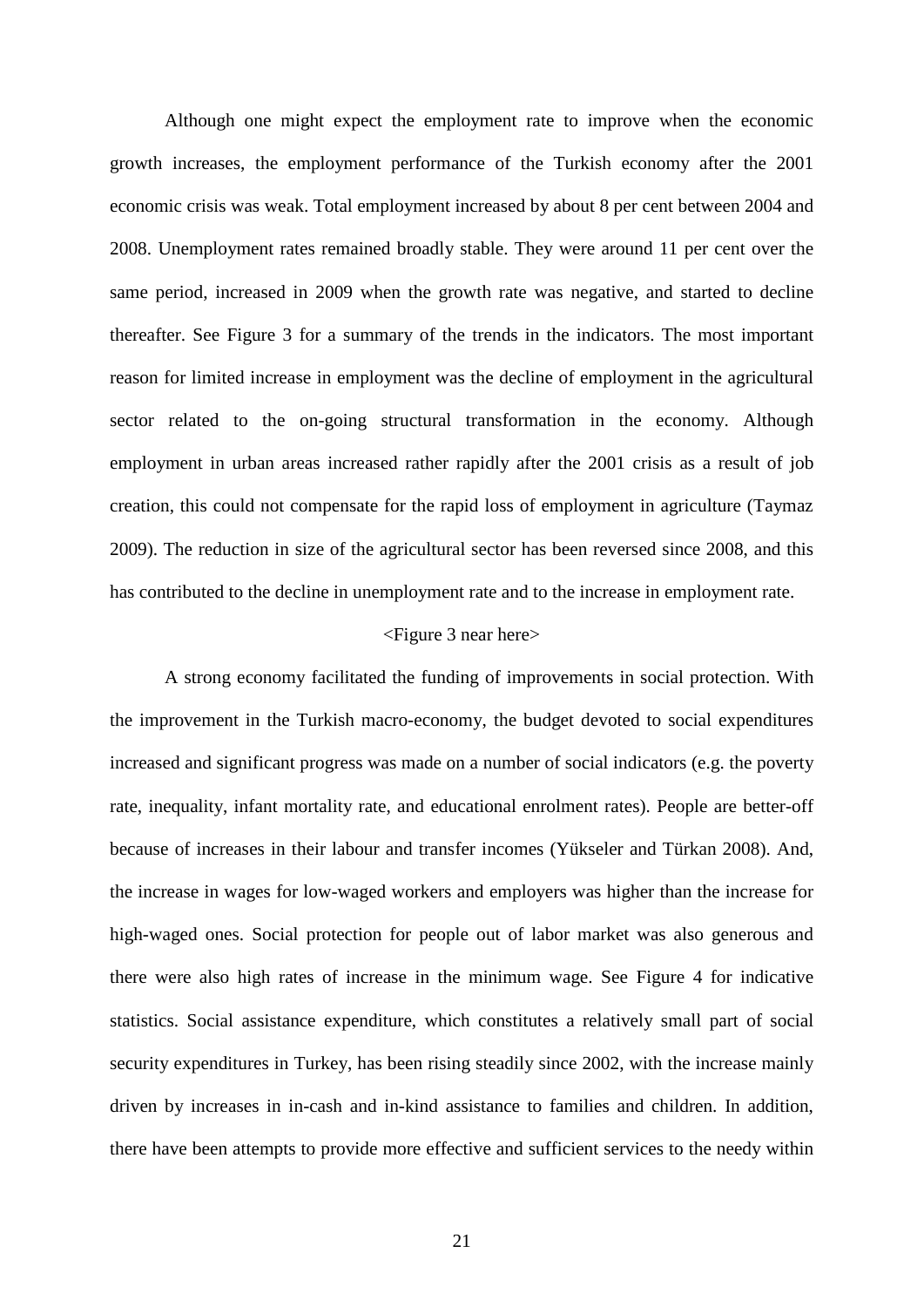Although one might expect the employment rate to improve when the economic growth increases, the employment performance of the Turkish economy after the 2001 economic crisis was weak. Total employment increased by about 8 per cent between 2004 and 2008. Unemployment rates remained broadly stable. They were around 11 per cent over the same period, increased in 2009 when the growth rate was negative, and started to decline thereafter. See Figure 3 for a summary of the trends in the indicators. The most important reason for limited increase in employment was the decline of employment in the agricultural sector related to the on-going structural transformation in the economy. Although employment in urban areas increased rather rapidly after the 2001 crisis as a result of job creation, this could not compensate for the rapid loss of employment in agriculture (Taymaz 2009). The reduction in size of the agricultural sector has been reversed since 2008, and this has contributed to the decline in unemployment rate and to the increase in employment rate.

#### <Figure 3 near here>

A strong economy facilitated the funding of improvements in social protection. With the improvement in the Turkish macro-economy, the budget devoted to social expenditures increased and significant progress was made on a number of social indicators (e.g. the poverty rate, inequality, infant mortality rate, and educational enrolment rates). People are better-off because of increases in their labour and transfer incomes (Yükseler and Türkan 2008). And, the increase in wages for low-waged workers and employers was higher than the increase for high-waged ones. Social protection for people out of labor market was also generous and there were also high rates of increase in the minimum wage. See Figure 4 for indicative statistics. Social assistance expenditure, which constitutes a relatively small part of social security expenditures in Turkey, has been rising steadily since 2002, with the increase mainly driven by increases in in-cash and in-kind assistance to families and children. In addition, there have been attempts to provide more effective and sufficient services to the needy within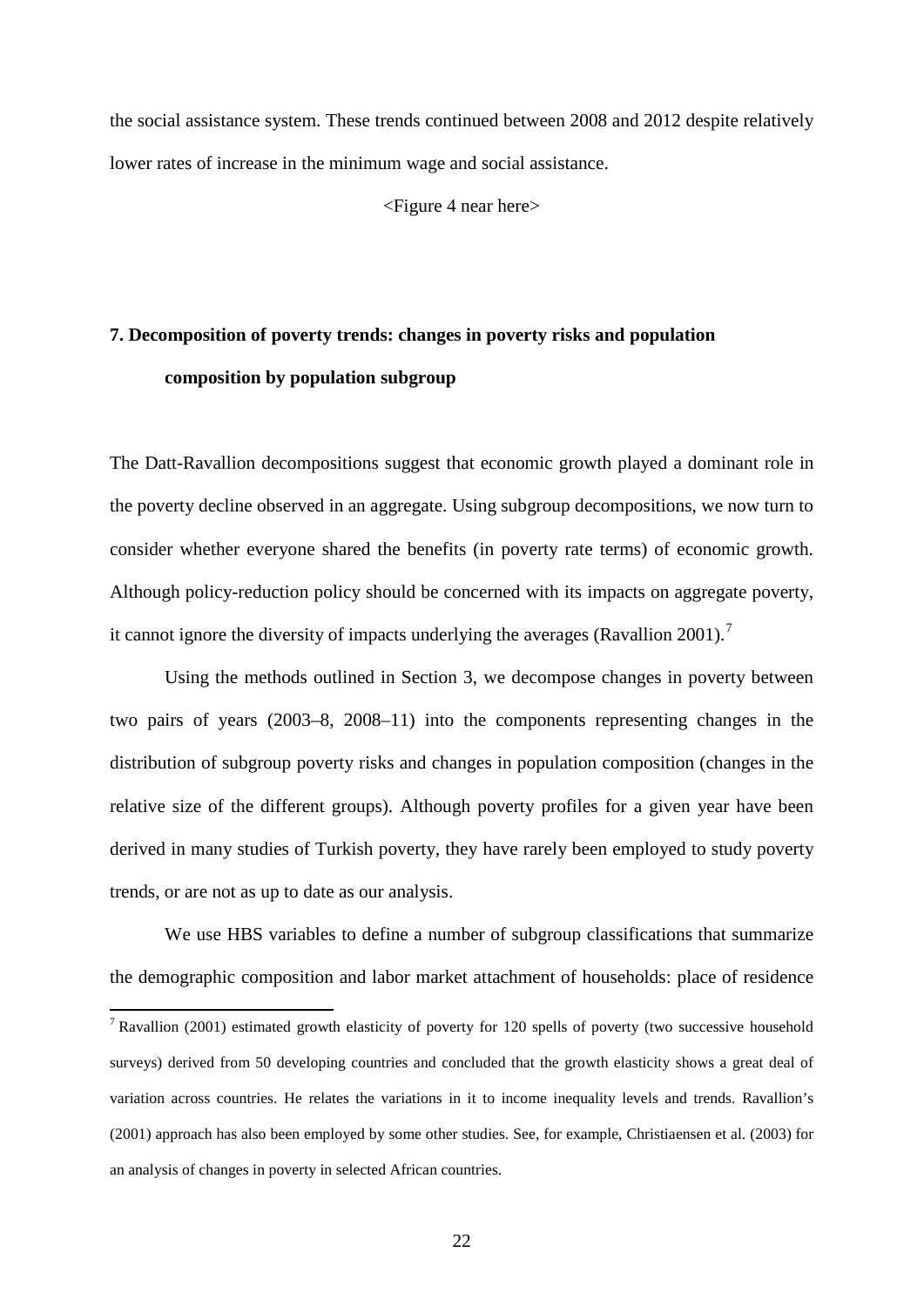the social assistance system. These trends continued between 2008 and 2012 despite relatively lower rates of increase in the minimum wage and social assistance.

<Figure 4 near here>

# **7. Decomposition of poverty trends: changes in poverty risks and population composition by population subgroup**

The Datt-Ravallion decompositions suggest that economic growth played a dominant role in the poverty decline observed in an aggregate. Using subgroup decompositions, we now turn to consider whether everyone shared the benefits (in poverty rate terms) of economic growth. Although policy-reduction policy should be concerned with its impacts on aggregate poverty, it cannot ignore the diversity of impacts underlying the averages (Ravallion 2001).[7](#page-24-0)

Using the methods outlined in Section 3, we decompose changes in poverty between two pairs of years (2003–8, 2008–11) into the components representing changes in the distribution of subgroup poverty risks and changes in population composition (changes in the relative size of the different groups). Although poverty profiles for a given year have been derived in many studies of Turkish poverty, they have rarely been employed to study poverty trends, or are not as up to date as our analysis.

We use HBS variables to define a number of subgroup classifications that summarize the demographic composition and labor market attachment of households: place of residence

<span id="page-24-0"></span> $7$  Ravallion (2001) estimated growth elasticity of poverty for 120 spells of poverty (two successive household surveys) derived from 50 developing countries and concluded that the growth elasticity shows a great deal of variation across countries. He relates the variations in it to income inequality levels and trends. Ravallion's (2001) approach has also been employed by some other studies. See, for example, Christiaensen et al. (2003) for an analysis of changes in poverty in selected African countries.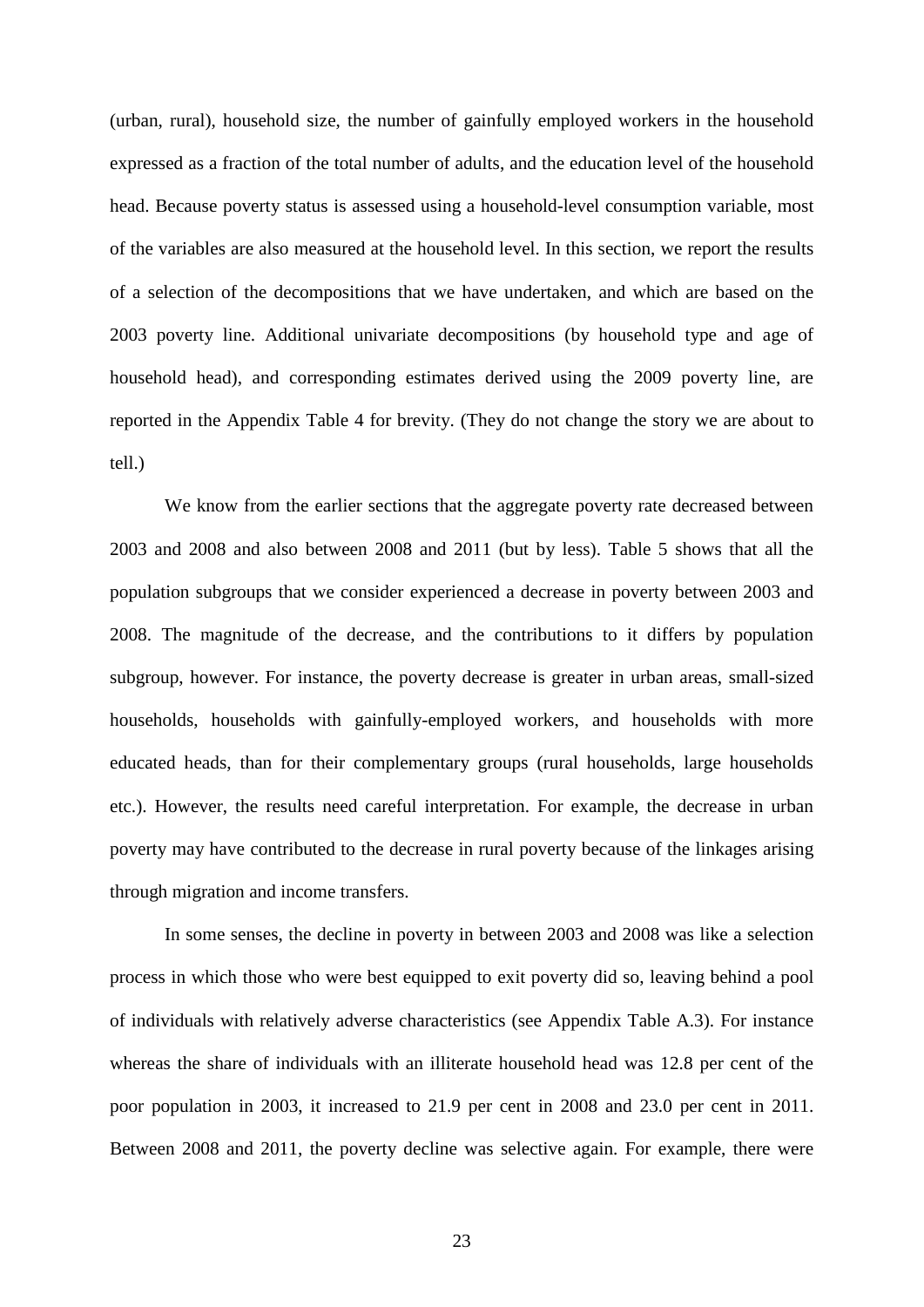(urban, rural), household size, the number of gainfully employed workers in the household expressed as a fraction of the total number of adults, and the education level of the household head. Because poverty status is assessed using a household-level consumption variable, most of the variables are also measured at the household level. In this section, we report the results of a selection of the decompositions that we have undertaken, and which are based on the 2003 poverty line. Additional univariate decompositions (by household type and age of household head), and corresponding estimates derived using the 2009 poverty line, are reported in the Appendix Table 4 for brevity. (They do not change the story we are about to tell.)

We know from the earlier sections that the aggregate poverty rate decreased between 2003 and 2008 and also between 2008 and 2011 (but by less). Table 5 shows that all the population subgroups that we consider experienced a decrease in poverty between 2003 and 2008. The magnitude of the decrease, and the contributions to it differs by population subgroup, however. For instance, the poverty decrease is greater in urban areas, small-sized households, households with gainfully-employed workers, and households with more educated heads, than for their complementary groups (rural households, large households etc.). However, the results need careful interpretation. For example, the decrease in urban poverty may have contributed to the decrease in rural poverty because of the linkages arising through migration and income transfers.

In some senses, the decline in poverty in between 2003 and 2008 was like a selection process in which those who were best equipped to exit poverty did so, leaving behind a pool of individuals with relatively adverse characteristics (see Appendix Table A.3). For instance whereas the share of individuals with an illiterate household head was 12.8 per cent of the poor population in 2003, it increased to 21.9 per cent in 2008 and 23.0 per cent in 2011. Between 2008 and 2011, the poverty decline was selective again. For example, there were

23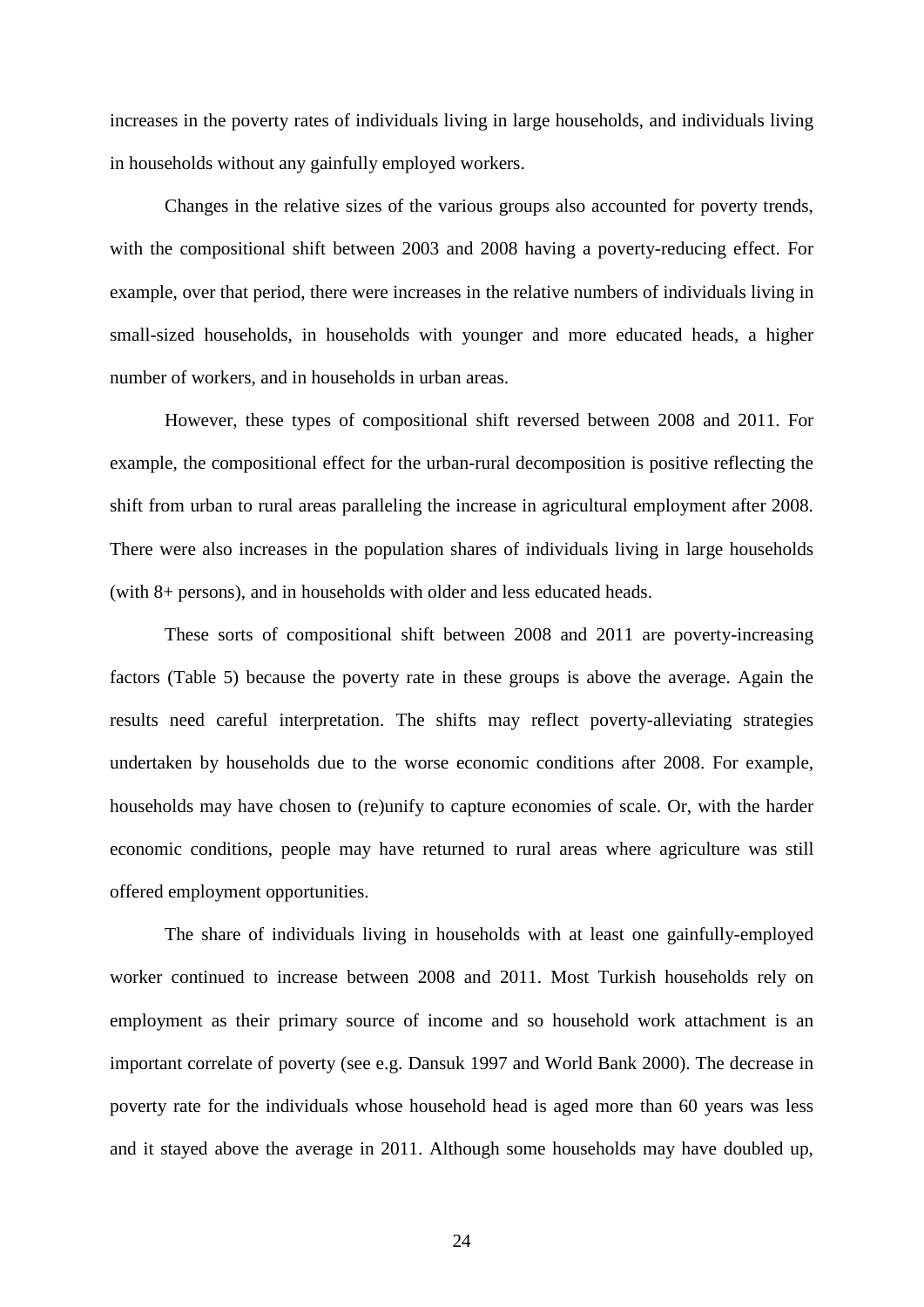increases in the poverty rates of individuals living in large households, and individuals living in households without any gainfully employed workers.

Changes in the relative sizes of the various groups also accounted for poverty trends, with the compositional shift between 2003 and 2008 having a poverty-reducing effect. For example, over that period, there were increases in the relative numbers of individuals living in small-sized households, in households with younger and more educated heads, a higher number of workers, and in households in urban areas.

However, these types of compositional shift reversed between 2008 and 2011. For example, the compositional effect for the urban-rural decomposition is positive reflecting the shift from urban to rural areas paralleling the increase in agricultural employment after 2008. There were also increases in the population shares of individuals living in large households (with 8+ persons), and in households with older and less educated heads.

These sorts of compositional shift between 2008 and 2011 are poverty-increasing factors (Table 5) because the poverty rate in these groups is above the average. Again the results need careful interpretation. The shifts may reflect poverty-alleviating strategies undertaken by households due to the worse economic conditions after 2008. For example, households may have chosen to (re)unify to capture economies of scale. Or, with the harder economic conditions, people may have returned to rural areas where agriculture was still offered employment opportunities.

The share of individuals living in households with at least one gainfully-employed worker continued to increase between 2008 and 2011. Most Turkish households rely on employment as their primary source of income and so household work attachment is an important correlate of poverty (see e.g. Dansuk 1997 and World Bank 2000). The decrease in poverty rate for the individuals whose household head is aged more than 60 years was less and it stayed above the average in 2011. Although some households may have doubled up,

24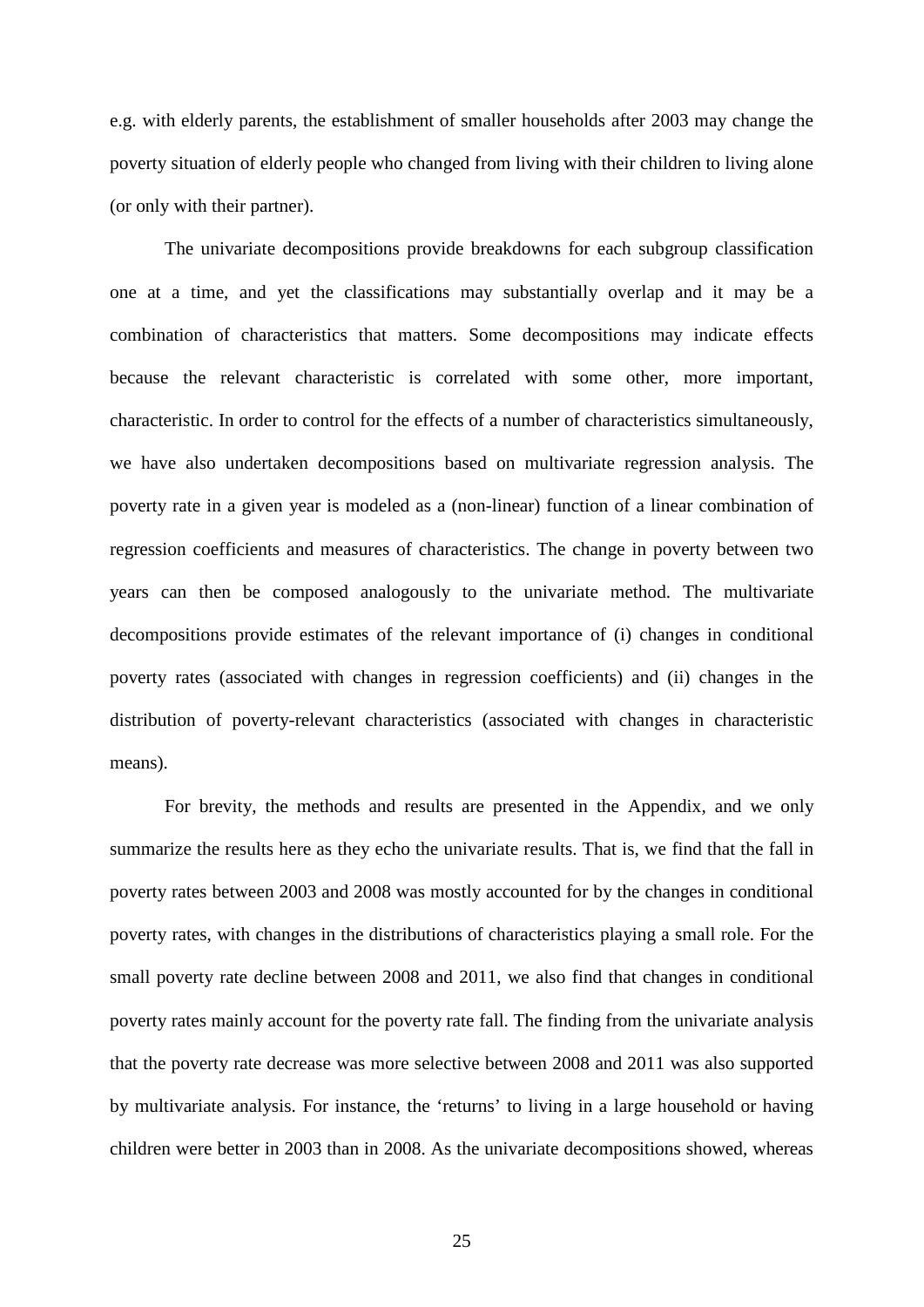e.g. with elderly parents, the establishment of smaller households after 2003 may change the poverty situation of elderly people who changed from living with their children to living alone (or only with their partner).

The univariate decompositions provide breakdowns for each subgroup classification one at a time, and yet the classifications may substantially overlap and it may be a combination of characteristics that matters. Some decompositions may indicate effects because the relevant characteristic is correlated with some other, more important, characteristic. In order to control for the effects of a number of characteristics simultaneously, we have also undertaken decompositions based on multivariate regression analysis. The poverty rate in a given year is modeled as a (non-linear) function of a linear combination of regression coefficients and measures of characteristics. The change in poverty between two years can then be composed analogously to the univariate method. The multivariate decompositions provide estimates of the relevant importance of (i) changes in conditional poverty rates (associated with changes in regression coefficients) and (ii) changes in the distribution of poverty-relevant characteristics (associated with changes in characteristic means).

For brevity, the methods and results are presented in the Appendix, and we only summarize the results here as they echo the univariate results. That is, we find that the fall in poverty rates between 2003 and 2008 was mostly accounted for by the changes in conditional poverty rates, with changes in the distributions of characteristics playing a small role. For the small poverty rate decline between 2008 and 2011, we also find that changes in conditional poverty rates mainly account for the poverty rate fall. The finding from the univariate analysis that the poverty rate decrease was more selective between 2008 and 2011 was also supported by multivariate analysis. For instance, the 'returns' to living in a large household or having children were better in 2003 than in 2008. As the univariate decompositions showed, whereas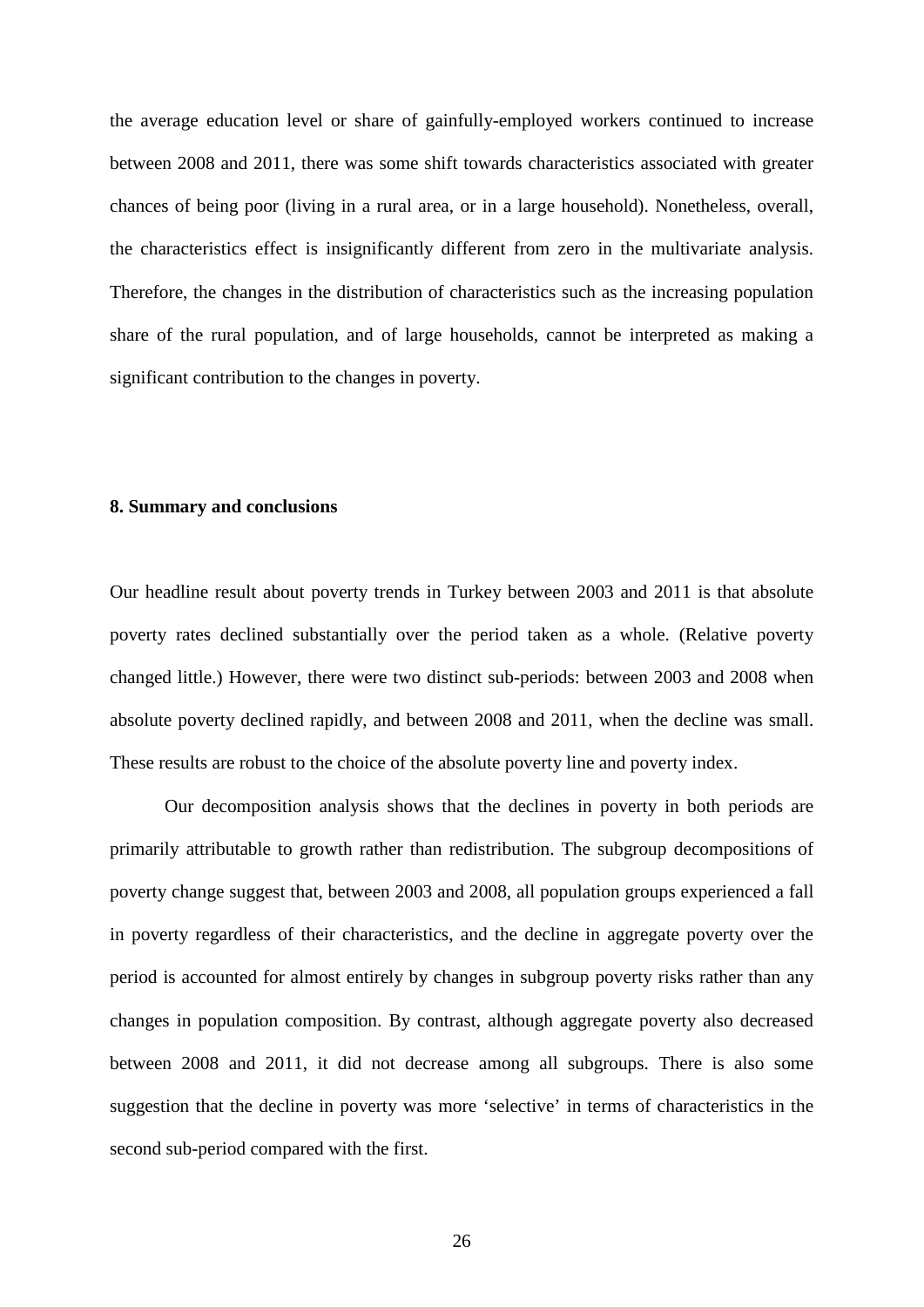the average education level or share of gainfully-employed workers continued to increase between 2008 and 2011, there was some shift towards characteristics associated with greater chances of being poor (living in a rural area, or in a large household). Nonetheless, overall, the characteristics effect is insignificantly different from zero in the multivariate analysis. Therefore, the changes in the distribution of characteristics such as the increasing population share of the rural population, and of large households, cannot be interpreted as making a significant contribution to the changes in poverty.

#### **8. Summary and conclusions**

Our headline result about poverty trends in Turkey between 2003 and 2011 is that absolute poverty rates declined substantially over the period taken as a whole. (Relative poverty changed little.) However, there were two distinct sub-periods: between 2003 and 2008 when absolute poverty declined rapidly, and between 2008 and 2011, when the decline was small. These results are robust to the choice of the absolute poverty line and poverty index.

Our decomposition analysis shows that the declines in poverty in both periods are primarily attributable to growth rather than redistribution. The subgroup decompositions of poverty change suggest that, between 2003 and 2008, all population groups experienced a fall in poverty regardless of their characteristics, and the decline in aggregate poverty over the period is accounted for almost entirely by changes in subgroup poverty risks rather than any changes in population composition. By contrast, although aggregate poverty also decreased between 2008 and 2011, it did not decrease among all subgroups. There is also some suggestion that the decline in poverty was more 'selective' in terms of characteristics in the second sub-period compared with the first.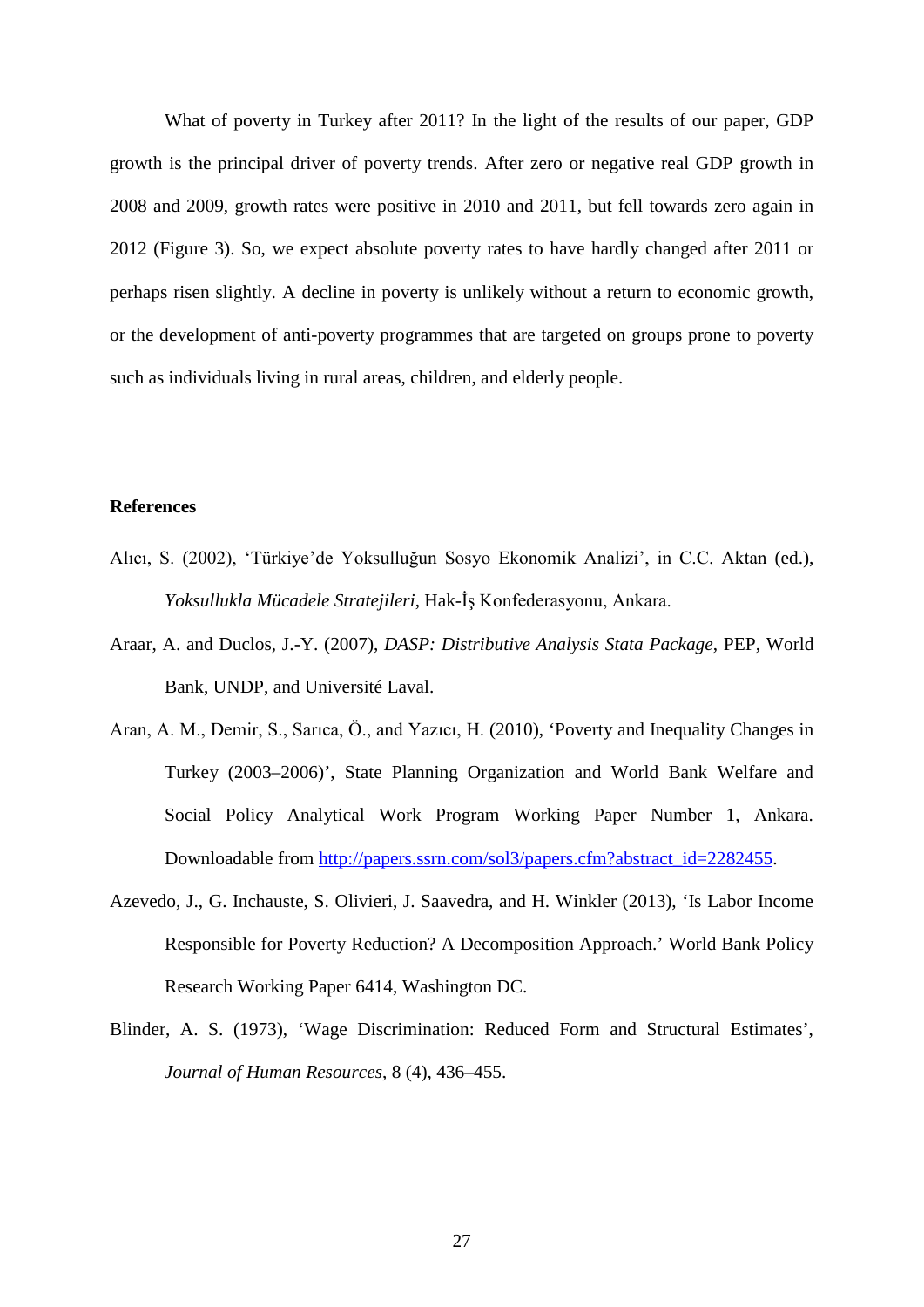What of poverty in Turkey after 2011? In the light of the results of our paper, GDP growth is the principal driver of poverty trends. After zero or negative real GDP growth in 2008 and 2009, growth rates were positive in 2010 and 2011, but fell towards zero again in 2012 (Figure 3). So, we expect absolute poverty rates to have hardly changed after 2011 or perhaps risen slightly. A decline in poverty is unlikely without a return to economic growth, or the development of anti-poverty programmes that are targeted on groups prone to poverty such as individuals living in rural areas, children, and elderly people.

#### **References**

- Alıcı, S. (2002), 'Türkiye'de Yoksulluğun Sosyo Ekonomik Analizi', in C.C. Aktan (ed.), *Yoksullukla Mücadele Stratejileri*, Hak-İş Konfederasyonu, Ankara.
- Araar, A. and Duclos, J.-Y. (2007), *DASP: Distributive Analysis Stata Package*, PEP, World Bank, UNDP, and Université Laval.
- Aran, A. M., Demir, S., Sarıca, Ö., and Yazıcı, H. (2010), 'Poverty and Inequality Changes in Turkey (2003–2006)', State Planning Organization and World Bank Welfare and Social Policy Analytical Work Program Working Paper Number 1, Ankara. Downloadable from [http://papers.ssrn.com/sol3/papers.cfm?abstract\\_id=2282455.](http://papers.ssrn.com/sol3/papers.cfm?abstract_id=2282455)
- Azevedo, J., G. Inchauste, S. Olivieri, J. Saavedra, and H. Winkler (2013), 'Is Labor Income Responsible for Poverty Reduction? A Decomposition Approach.' World Bank Policy Research Working Paper 6414, Washington DC.
- Blinder, A. S. (1973), 'Wage Discrimination: Reduced Form and Structural Estimates', *Journal of Human Resources*, 8 (4), 436–455.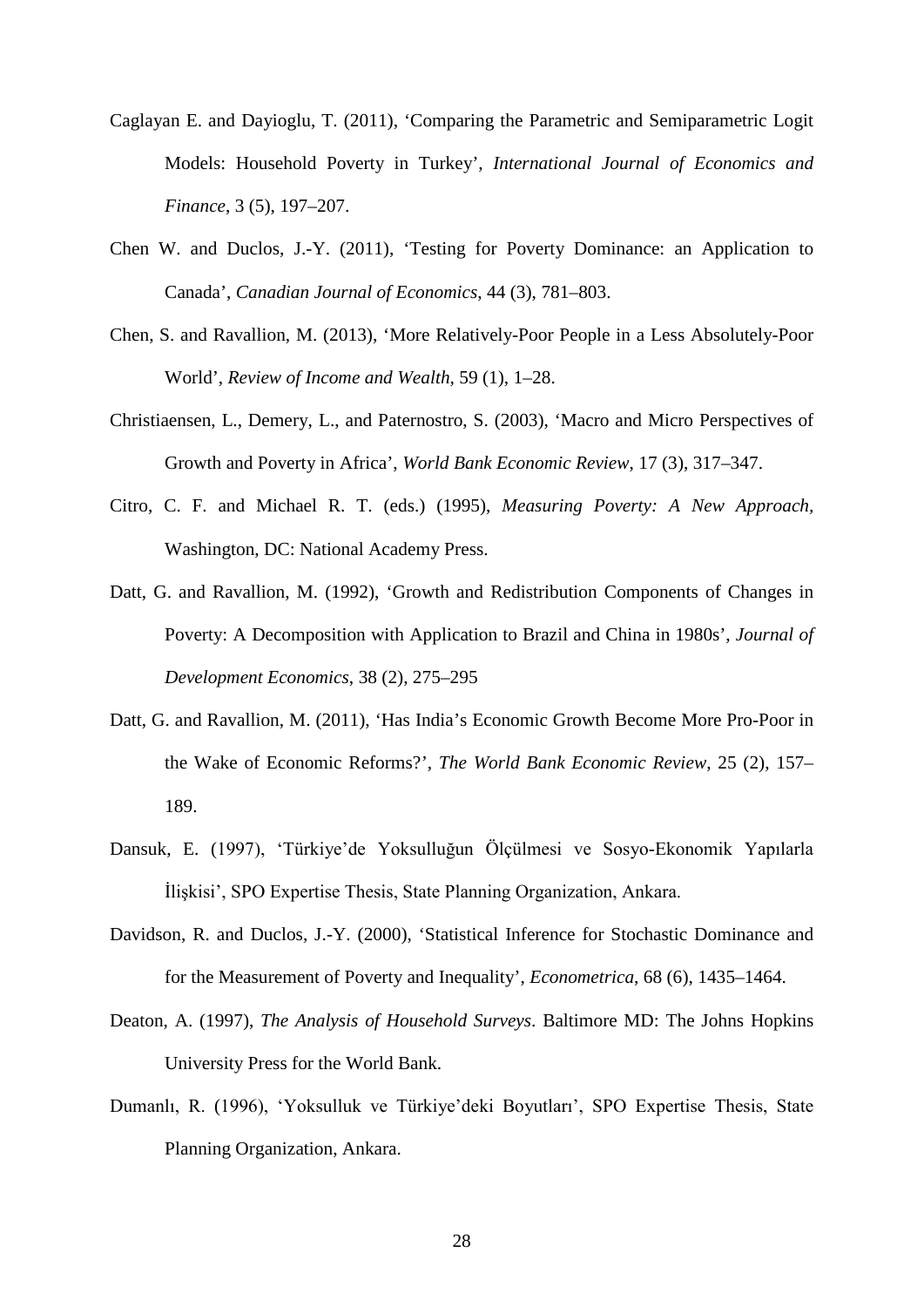- Caglayan E. and Dayioglu, T. (2011), 'Comparing the Parametric and Semiparametric Logit Models: Household Poverty in Turkey', *International Journal of Economics and Finance*, 3 (5), 197–207.
- Chen W. and Duclos, J.-Y. (2011), 'Testing for Poverty Dominance: an Application to Canada', *Canadian Journal of Economics*, 44 (3), 781–803.
- Chen, S. and Ravallion, M. (2013), 'More Relatively-Poor People in a Less Absolutely-Poor World', *Review of Income and Wealth*, 59 (1), 1–28.
- Christiaensen, L., Demery, L., and Paternostro, S. (2003), 'Macro and Micro Perspectives of Growth and Poverty in Africa', *World Bank Economic Review*, 17 (3), 317–347.
- Citro, C. F. and Michael R. T. (eds.) (1995), *Measuring Poverty: A New Approach,* Washington, DC: National Academy Press.
- Datt, G. and Ravallion, M. (1992), 'Growth and Redistribution Components of Changes in Poverty: A Decomposition with Application to Brazil and China in 1980s', *Journal of Development Economics*, 38 (2), 275–295
- Datt, G. and Ravallion, M. (2011), 'Has India's Economic Growth Become More Pro-Poor in the Wake of Economic Reforms?', *The World Bank Economic Review*, 25 (2), 157– 189.
- Dansuk, E. (1997), 'Türkiye'de Yoksulluğun Ölçülmesi ve Sosyo-Ekonomik Yapılarla İlişkisi', SPO Expertise Thesis, State Planning Organization, Ankara.
- Davidson, R. and Duclos, J.-Y. (2000), 'Statistical Inference for Stochastic Dominance and for the Measurement of Poverty and Inequality', *Econometrica*, 68 (6), 1435–1464.
- Deaton, A. (1997), *The Analysis of Household Surveys*. Baltimore MD: The Johns Hopkins University Press for the World Bank.
- Dumanlı, R. (1996), 'Yoksulluk ve Türkiye'deki Boyutları', SPO Expertise Thesis, State Planning Organization, Ankara.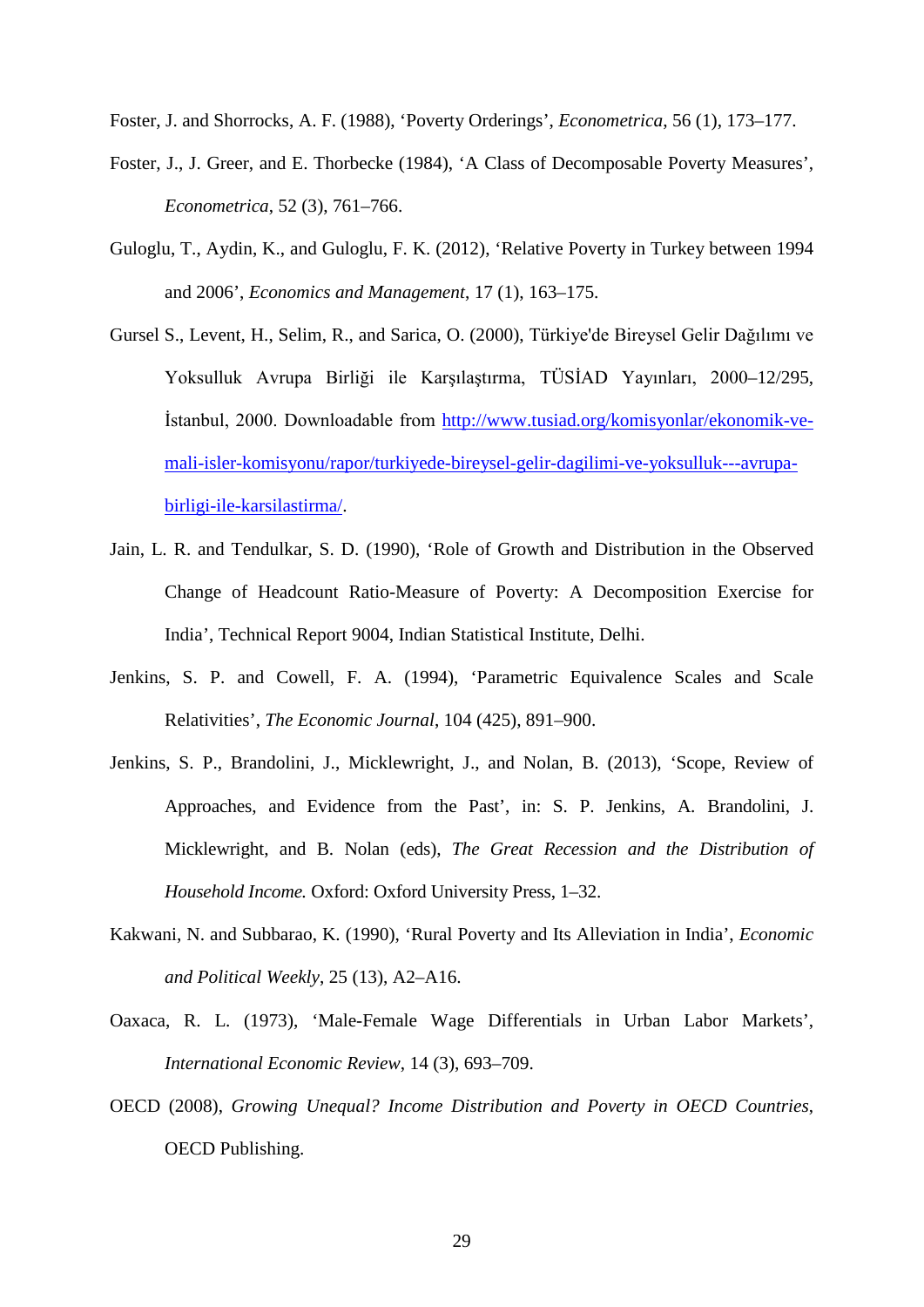Foster, J. and Shorrocks, A. F. (1988), 'Poverty Orderings', *Econometrica*, 56 (1), 173–177.

- Foster, J., J. Greer, and E. Thorbecke (1984), 'A Class of Decomposable Poverty Measures', *Econometrica*, 52 (3), 761–766.
- Guloglu, T., Aydin, K., and Guloglu, F. K. (2012), 'Relative Poverty in Turkey between 1994 and 2006', *Economics and Management*, 17 (1), 163–175.
- Gursel S., Levent, H., Selim, R., and Sarica, O. (2000), [Türkiye'de Bireysel Gelir Dağılımı ve](http://www.tusiad.org/__rsc/shared/file/tbgdyabk.pdf)  [Yoksulluk Avrupa Birliği ile Karşılaştırma,](http://www.tusiad.org/__rsc/shared/file/tbgdyabk.pdf) TÜSİAD Yayınları, 2000–12/295, İstanbul, 2000. Downloadable from [http://www.tusiad.org/komisyonlar/ekonomik-ve](http://www.tusiad.org/komisyonlar/ekonomik-ve-mali-isler-komisyonu/rapor/turkiyede-bireysel-gelir-dagilimi-ve-yoksulluk---avrupa-birligi-ile-karsilastirma/)[mali-isler-komisyonu/rapor/turkiyede-bireysel-gelir-dagilimi-ve-yoksulluk---avrupa](http://www.tusiad.org/komisyonlar/ekonomik-ve-mali-isler-komisyonu/rapor/turkiyede-bireysel-gelir-dagilimi-ve-yoksulluk---avrupa-birligi-ile-karsilastirma/)[birligi-ile-karsilastirma/.](http://www.tusiad.org/komisyonlar/ekonomik-ve-mali-isler-komisyonu/rapor/turkiyede-bireysel-gelir-dagilimi-ve-yoksulluk---avrupa-birligi-ile-karsilastirma/)
- Jain, L. R. and Tendulkar, S. D. (1990), 'Role of Growth and Distribution in the Observed Change of Headcount Ratio-Measure of Poverty: A Decomposition Exercise for India', Technical Report 9004, Indian Statistical Institute, Delhi.
- Jenkins, S. P. and Cowell, F. A. (1994), 'Parametric Equivalence Scales and Scale Relativities', *The Economic Journal*, 104 (425), 891–900.
- Jenkins, S. P., Brandolini, J., Micklewright, J., and Nolan, B. (2013), 'Scope, Review of Approaches, and Evidence from the Past', in: S. P. Jenkins, A. Brandolini, J. Micklewright, and B. Nolan (eds), *The Great Recession and the Distribution of Household Income.* Oxford: Oxford University Press, 1–32.
- Kakwani, N. and Subbarao, K. (1990), 'Rural Poverty and Its Alleviation in India', *Economic and Political Weekly*, 25 (13), A2–A16.
- Oaxaca, R. L. (1973), 'Male-Female Wage Differentials in Urban Labor Markets', *International Economic Review*, 14 (3), 693–709.
- OECD (2008), *Growing Unequal? Income Distribution and Poverty in OECD Countries*, OECD Publishing.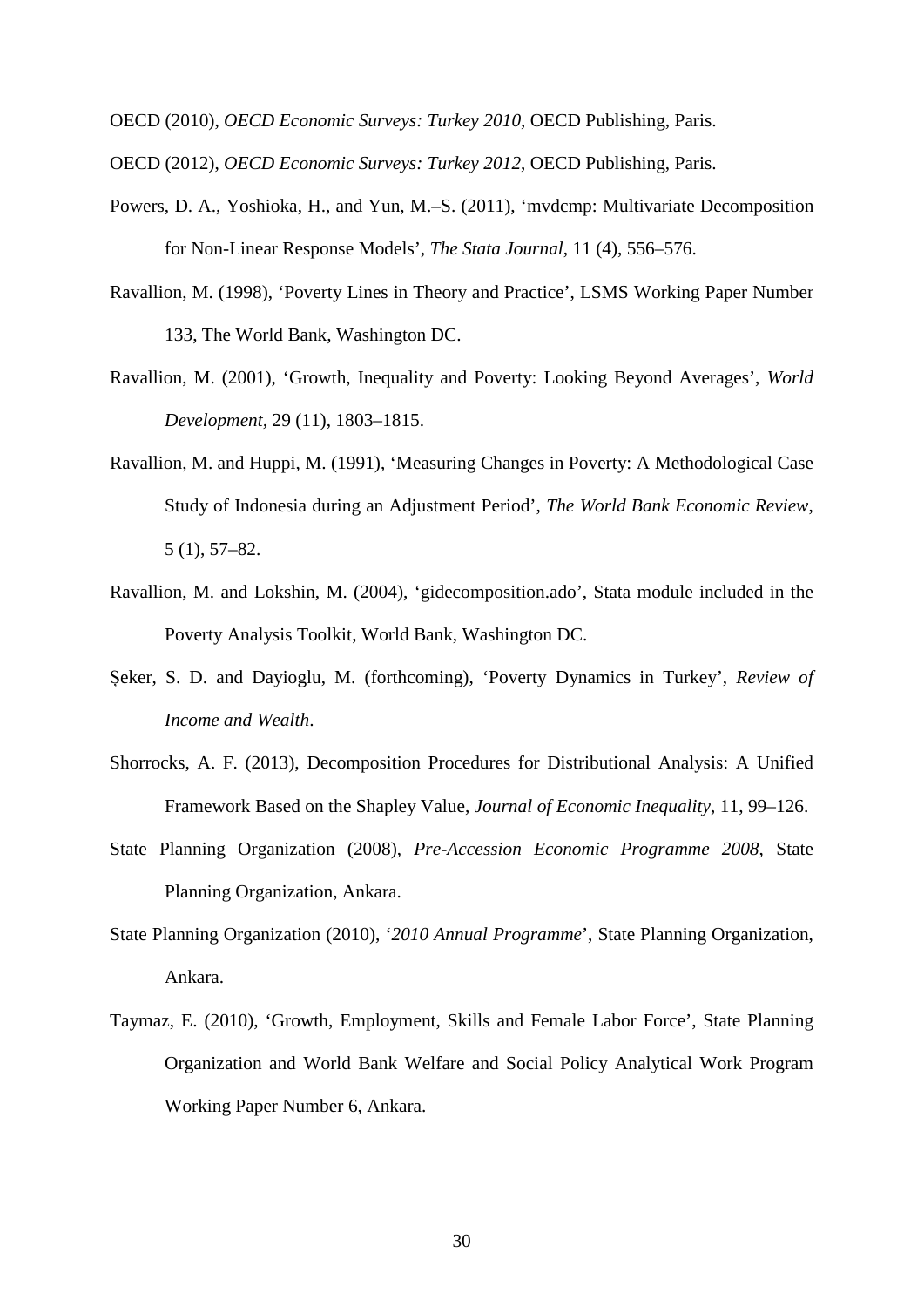OECD (2010), *OECD Economic Surveys: Turkey 2010*, OECD Publishing, Paris.

OECD (2012), *OECD Economic Surveys: Turkey 2012*, OECD Publishing, Paris.

- Powers, D. A., Yoshioka, H., and Yun, M.–S. (2011), 'mvdcmp: Multivariate Decomposition for Non-Linear Response Models', *The Stata Journal*, 11 (4), 556–576.
- Ravallion, M. (1998), 'Poverty Lines in Theory and Practice', LSMS Working Paper Number 133, The World Bank, Washington DC.
- Ravallion, M. (2001), 'Growth, Inequality and Poverty: Looking Beyond Averages', *World Development,* 29 (11), 1803–1815.
- Ravallion, M. and Huppi, M. (1991), 'Measuring Changes in Poverty: A Methodological Case Study of Indonesia during an Adjustment Period', *The World Bank Economic Review*, 5 (1), 57–82.
- Ravallion, M. and Lokshin, M. (2004), 'gidecomposition.ado', Stata module included in the Poverty Analysis Toolkit, World Bank, Washington DC.
- Șeker, S. D. and Dayioglu, M. (forthcoming), 'Poverty Dynamics in Turkey', *Review of Income and Wealth*.
- Shorrocks, A. F. (2013), Decomposition Procedures for Distributional Analysis: A Unified Framework Based on the Shapley Value, *Journal of Economic Inequality*, 11, 99–126.
- State Planning Organization (2008), *Pre-Accession Economic Programme 2008*, State Planning Organization, Ankara.
- State Planning Organization (2010), '*2010 Annual Programme*', State Planning Organization, Ankara.
- Taymaz, E. (2010), 'Growth, Employment, Skills and Female Labor Force', State Planning Organization and World Bank Welfare and Social Policy Analytical Work Program Working Paper Number 6, Ankara.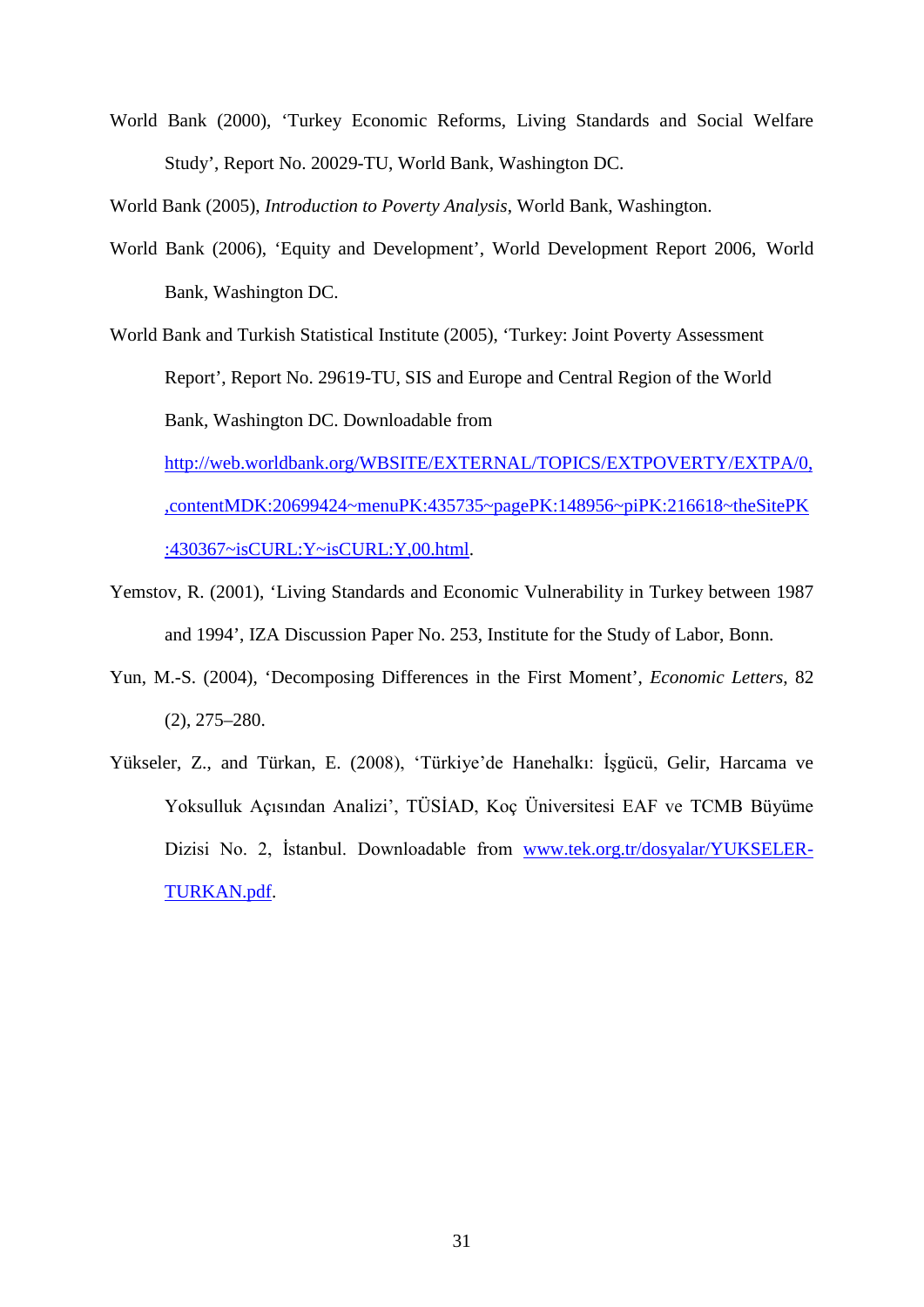World Bank (2000), 'Turkey Economic Reforms, Living Standards and Social Welfare Study', Report No. 20029-TU, World Bank, Washington DC.

World Bank (2005), *Introduction to Poverty Analysis*, World Bank, Washington.

World Bank (2006), 'Equity and Development', World Development Report 2006, World Bank, Washington DC.

World Bank and Turkish Statistical Institute (2005), 'Turkey: Joint Poverty Assessment Report', Report No. 29619-TU, SIS and Europe and Central Region of the World Bank, Washington DC. Downloadable from [http://web.worldbank.org/WBSITE/EXTERNAL/TOPICS/EXTPOVERTY/EXTPA/0,](http://web.worldbank.org/WBSITE/EXTERNAL/TOPICS/EXTPOVERTY/EXTPA/0,,contentMDK:20699424~menuPK:435735~pagePK:148956~piPK:216618~theSitePK:430367~isCURL:Y~isCURL:Y,00.html) [,contentMDK:20699424~menuPK:435735~pagePK:148956~piPK:216618~theSitePK](http://web.worldbank.org/WBSITE/EXTERNAL/TOPICS/EXTPOVERTY/EXTPA/0,,contentMDK:20699424~menuPK:435735~pagePK:148956~piPK:216618~theSitePK:430367~isCURL:Y~isCURL:Y,00.html) [:430367~isCURL:Y~isCURL:Y,00.html.](http://web.worldbank.org/WBSITE/EXTERNAL/TOPICS/EXTPOVERTY/EXTPA/0,,contentMDK:20699424~menuPK:435735~pagePK:148956~piPK:216618~theSitePK:430367~isCURL:Y~isCURL:Y,00.html)

- Yemstov, R. (2001), 'Living Standards and Economic Vulnerability in Turkey between 1987 and 1994', IZA Discussion Paper No. 253, Institute for the Study of Labor, Bonn.
- Yun, M.-S. (2004), 'Decomposing Differences in the First Moment', *Economic Letters*, 82 (2), 275–280.
- Yükseler, Z., and Türkan, E. (2008), 'Türkiye'de Hanehalkı: İşgücü, Gelir, Harcama ve Yoksulluk Açısından Analizi', TÜSİAD, Koç Üniversitesi EAF ve TCMB Büyüme Dizisi No. 2, İstanbul. Downloadable from [www.tek.org.tr/dosyalar/YUKSELER-](http://www.tek.org.tr/dosyalar/YUKSELER-TURKAN.pdf)[TURKAN.pdf.](http://www.tek.org.tr/dosyalar/YUKSELER-TURKAN.pdf)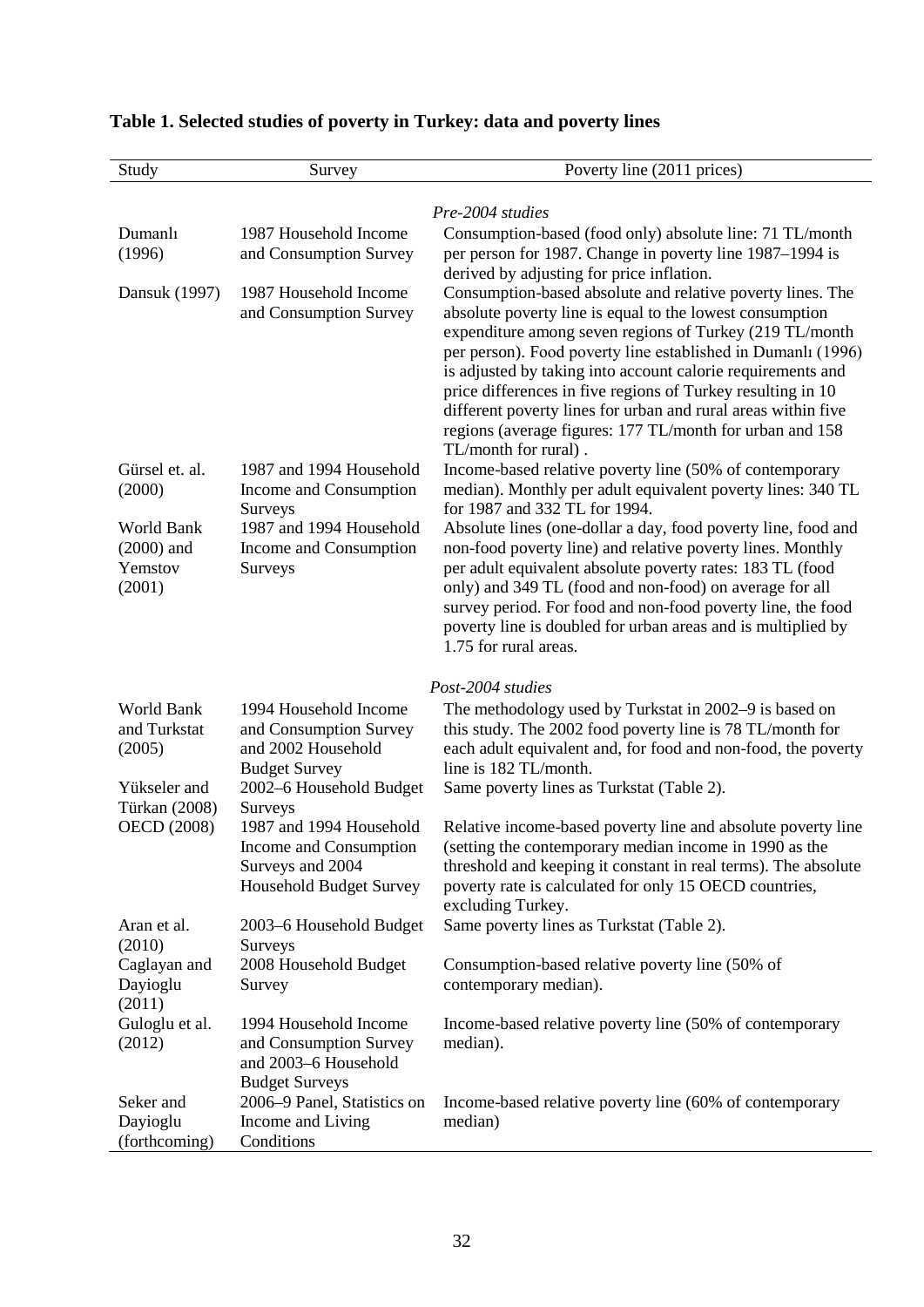| Study                                                | Survey                                                                                                  | Poverty line (2011 prices)                                                                                                                                                                                                                                                                                                                                                                                                                                                                                                           |
|------------------------------------------------------|---------------------------------------------------------------------------------------------------------|--------------------------------------------------------------------------------------------------------------------------------------------------------------------------------------------------------------------------------------------------------------------------------------------------------------------------------------------------------------------------------------------------------------------------------------------------------------------------------------------------------------------------------------|
|                                                      |                                                                                                         |                                                                                                                                                                                                                                                                                                                                                                                                                                                                                                                                      |
| Dumanlı                                              | 1987 Household Income                                                                                   | Pre-2004 studies<br>Consumption-based (food only) absolute line: 71 TL/month                                                                                                                                                                                                                                                                                                                                                                                                                                                         |
| (1996)                                               | and Consumption Survey                                                                                  | per person for 1987. Change in poverty line 1987–1994 is                                                                                                                                                                                                                                                                                                                                                                                                                                                                             |
|                                                      |                                                                                                         | derived by adjusting for price inflation.                                                                                                                                                                                                                                                                                                                                                                                                                                                                                            |
| Dansuk (1997)                                        | 1987 Household Income<br>and Consumption Survey                                                         | Consumption-based absolute and relative poverty lines. The<br>absolute poverty line is equal to the lowest consumption<br>expenditure among seven regions of Turkey (219 TL/month<br>per person). Food poverty line established in Dumanlı (1996)<br>is adjusted by taking into account calorie requirements and<br>price differences in five regions of Turkey resulting in 10<br>different poverty lines for urban and rural areas within five<br>regions (average figures: 177 TL/month for urban and 158<br>TL/month for rural). |
| Gürsel et. al.<br>(2000)                             | 1987 and 1994 Household<br>Income and Consumption                                                       | Income-based relative poverty line (50% of contemporary<br>median). Monthly per adult equivalent poverty lines: 340 TL<br>for 1987 and 332 TL for 1994.                                                                                                                                                                                                                                                                                                                                                                              |
| World Bank<br>$(2000)$ and<br>Yemstov<br>(2001)      | Surveys<br>1987 and 1994 Household<br>Income and Consumption<br>Surveys                                 | Absolute lines (one-dollar a day, food poverty line, food and<br>non-food poverty line) and relative poverty lines. Monthly<br>per adult equivalent absolute poverty rates: 183 TL (food<br>only) and 349 TL (food and non-food) on average for all<br>survey period. For food and non-food poverty line, the food<br>poverty line is doubled for urban areas and is multiplied by<br>1.75 for rural areas.                                                                                                                          |
|                                                      |                                                                                                         | Post-2004 studies                                                                                                                                                                                                                                                                                                                                                                                                                                                                                                                    |
| World Bank<br>and Turkstat<br>(2005)<br>Yükseler and | 1994 Household Income<br>and Consumption Survey<br>and 2002 Household<br><b>Budget Survey</b>           | The methodology used by Turkstat in 2002–9 is based on<br>this study. The 2002 food poverty line is 78 TL/month for<br>each adult equivalent and, for food and non-food, the poverty<br>line is 182 TL/month.                                                                                                                                                                                                                                                                                                                        |
| Türkan (2008)                                        | 2002-6 Household Budget<br>Surveys                                                                      | Same poverty lines as Turkstat (Table 2).                                                                                                                                                                                                                                                                                                                                                                                                                                                                                            |
| <b>OECD</b> (2008)                                   | 1987 and 1994 Household<br>Income and Consumption<br>Surveys and 2004<br><b>Household Budget Survey</b> | Relative income-based poverty line and absolute poverty line<br>(setting the contemporary median income in 1990 as the<br>threshold and keeping it constant in real terms). The absolute<br>poverty rate is calculated for only 15 OECD countries,<br>excluding Turkey.                                                                                                                                                                                                                                                              |
| Aran et al.                                          | 2003–6 Household Budget                                                                                 | Same poverty lines as Turkstat (Table 2).                                                                                                                                                                                                                                                                                                                                                                                                                                                                                            |
| (2010)<br>Caglayan and<br>Dayioglu<br>(2011)         | Surveys<br>2008 Household Budget<br>Survey                                                              | Consumption-based relative poverty line (50% of<br>contemporary median).                                                                                                                                                                                                                                                                                                                                                                                                                                                             |
| Guloglu et al.<br>(2012)                             | 1994 Household Income<br>and Consumption Survey<br>and 2003-6 Household<br><b>Budget Surveys</b>        | Income-based relative poverty line (50% of contemporary<br>median).                                                                                                                                                                                                                                                                                                                                                                                                                                                                  |
| Seker and<br>Dayioglu<br>(forthcoming)               | 2006–9 Panel, Statistics on<br>Income and Living<br>Conditions                                          | Income-based relative poverty line (60% of contemporary<br>median)                                                                                                                                                                                                                                                                                                                                                                                                                                                                   |

# **Table 1. Selected studies of poverty in Turkey: data and poverty lines**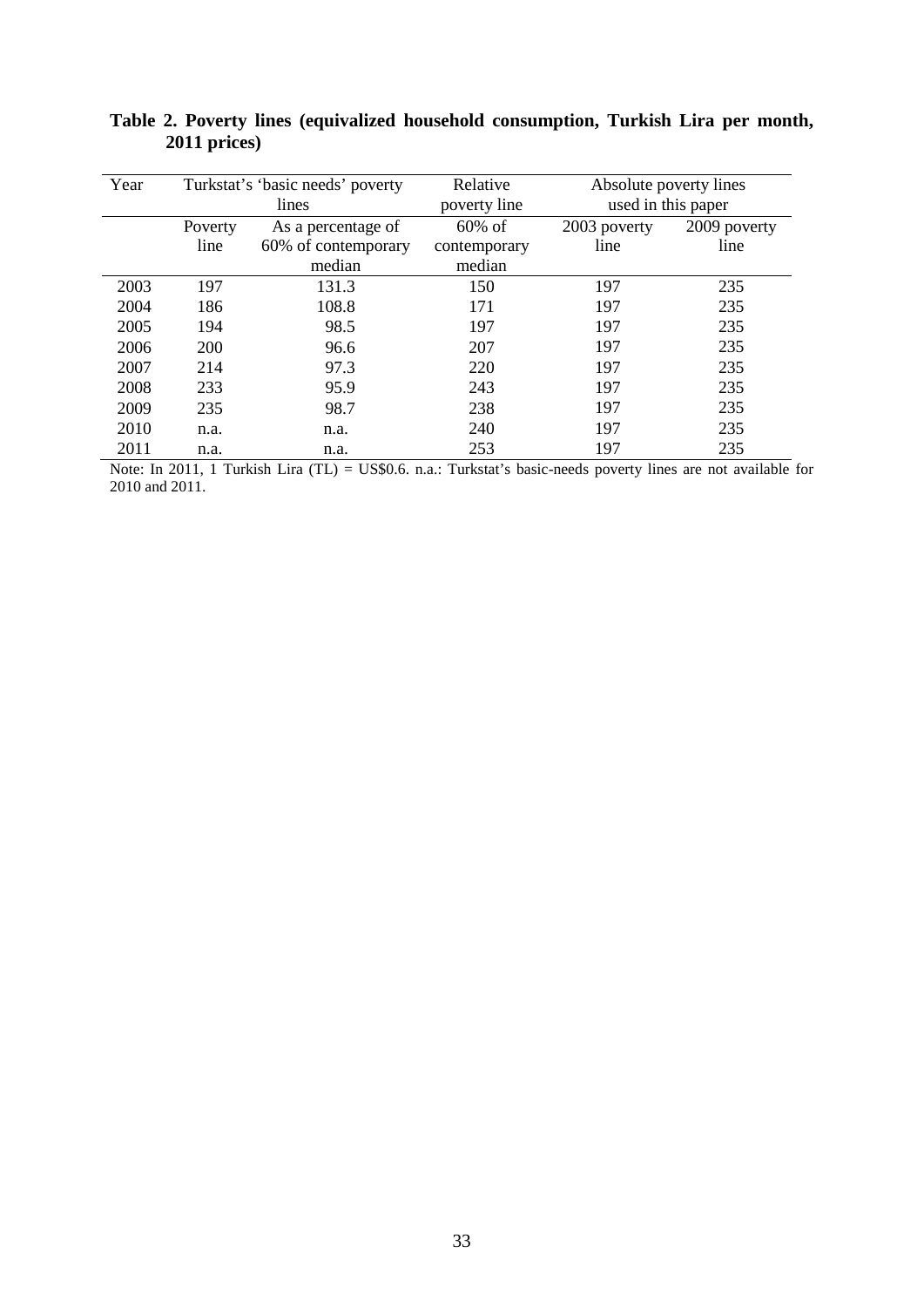| Year |            | Turkstat's 'basic needs' poverty<br>lines | Relative<br>poverty line | Absolute poverty lines<br>used in this paper |              |  |
|------|------------|-------------------------------------------|--------------------------|----------------------------------------------|--------------|--|
|      | Poverty    | As a percentage of                        | $60\%$ of                | 2003 poverty                                 | 2009 poverty |  |
|      | line       | 60% of contemporary<br>median             | contemporary<br>median   | line                                         | line         |  |
| 2003 | 197        | 131.3                                     | 150                      | 197                                          | 235          |  |
| 2004 | 186        | 108.8                                     | 171                      | 197                                          | 235          |  |
| 2005 | 194        | 98.5                                      | 197                      | 197                                          | 235          |  |
| 2006 | <b>200</b> | 96.6                                      | 207                      | 197                                          | 235          |  |
| 2007 | 214        | 97.3                                      | 220                      | 197                                          | 235          |  |
| 2008 | 233        | 95.9                                      | 243                      | 197                                          | 235          |  |
| 2009 | 235        | 98.7                                      | 238                      | 197                                          | 235          |  |
| 2010 | n.a.       | n.a.                                      | 240                      | 197                                          | 235          |  |
| 2011 | n.a.       | n.a.                                      | 253                      | 197                                          | 235          |  |

**Table 2. Poverty lines (equivalized household consumption, Turkish Lira per month, 2011 prices)**

Note: In 2011, 1 Turkish Lira (TL) = US\$0.6. n.a.: Turkstat's basic-needs poverty lines are not available for 2010 and 2011.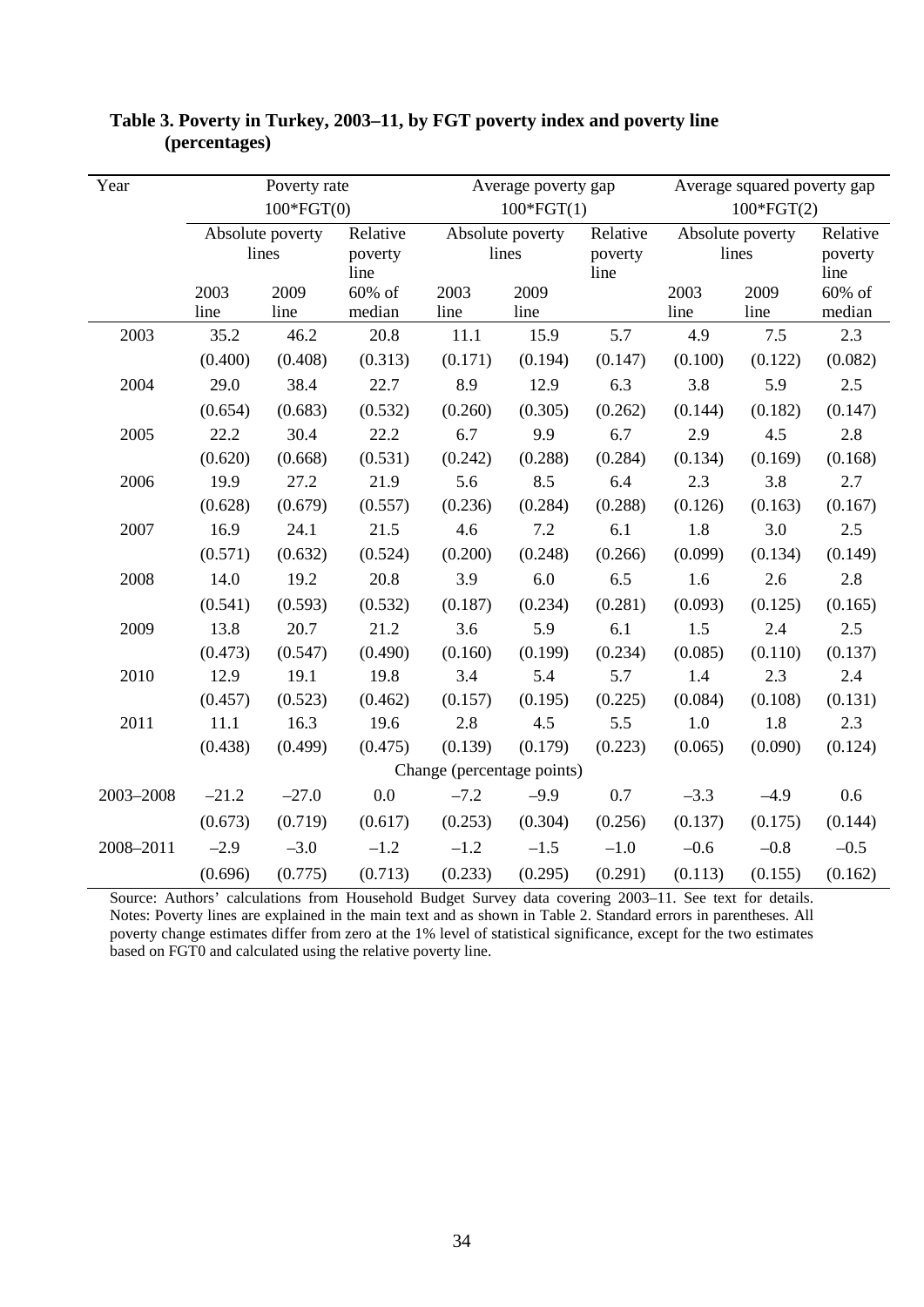| Year                         |                           | Poverty rate<br>$100*FGT(0)$ |                              |         | Average poverty gap<br>$100*FGT(1)$ |                              | Average squared poverty gap<br>$100*FGT(2)$ |                  |                             |
|------------------------------|---------------------------|------------------------------|------------------------------|---------|-------------------------------------|------------------------------|---------------------------------------------|------------------|-----------------------------|
|                              | Absolute poverty<br>lines |                              | Relative<br>poverty<br>line  |         | Absolute poverty<br>lines           | Relative<br>poverty<br>line  | Absolute poverty<br>lines                   |                  | Relative<br>poverty<br>line |
| 2009<br>2003<br>line<br>line |                           | 60% of<br>median             | 2009<br>2003<br>line<br>line |         |                                     | 2009<br>2003<br>line<br>line |                                             | 60% of<br>median |                             |
| 2003                         | 35.2                      | 46.2                         | 20.8                         | 11.1    | 15.9                                | 5.7                          | 4.9                                         | 7.5              | 2.3                         |
|                              | (0.400)                   | (0.408)                      | (0.313)                      | (0.171) | (0.194)                             | (0.147)                      | (0.100)                                     | (0.122)          | (0.082)                     |
| 2004                         | 29.0                      | 38.4                         | 22.7                         | 8.9     | 12.9                                | 6.3                          | 3.8                                         | 5.9              | 2.5                         |
|                              | (0.654)                   | (0.683)                      | (0.532)                      | (0.260) | (0.305)                             | (0.262)                      | (0.144)                                     | (0.182)          | (0.147)                     |
| 2005                         | 22.2                      | 30.4                         | 22.2                         | 6.7     | 9.9                                 | 6.7                          | 2.9                                         | 4.5              | 2.8                         |
|                              | (0.620)<br>(0.668)        |                              | (0.531)                      | (0.242) | (0.288)                             | (0.284)                      | (0.134)                                     | (0.169)          | (0.168)                     |
| 2006                         | 19.9                      | 27.2                         | 21.9                         | 5.6     | 8.5                                 | 6.4                          | 2.3                                         | 3.8              | 2.7                         |
|                              | (0.628)                   | (0.679)                      | (0.557)                      | (0.236) | (0.284)                             | (0.288)                      | (0.126)                                     | (0.163)          | (0.167)                     |
| 2007                         | 16.9                      | 24.1                         | 21.5                         | 4.6     | 7.2                                 | 6.1                          | 1.8                                         | 3.0              | 2.5                         |
|                              | (0.571)                   | (0.632)                      | (0.524)                      | (0.200) | (0.248)                             | (0.266)                      | (0.099)                                     | (0.134)          | (0.149)                     |
| 2008                         | 14.0                      | 19.2                         | 20.8                         | 3.9     | 6.0                                 | 6.5                          | 1.6                                         | 2.6              | 2.8                         |
|                              | (0.541)                   | (0.593)                      | (0.532)                      | (0.187) | (0.234)                             | (0.281)                      | (0.093)                                     | (0.125)          | (0.165)                     |
| 2009                         | 13.8                      | 20.7                         | 21.2                         | 3.6     | 5.9                                 | 6.1                          | 1.5                                         | 2.4              | 2.5                         |
|                              | (0.473)                   | (0.547)                      | (0.490)                      | (0.160) | (0.199)                             | (0.234)                      | (0.085)                                     | (0.110)          | (0.137)                     |
| 2010                         | 12.9                      | 19.1                         | 19.8                         | 3.4     | 5.4                                 | 5.7                          | 1.4                                         | 2.3              | 2.4                         |
|                              | (0.457)                   | (0.523)                      | (0.462)                      | (0.157) | (0.195)                             | (0.225)                      | (0.084)                                     | (0.108)          | (0.131)                     |
| 2011                         | 11.1                      | 16.3                         | 19.6                         | 2.8     | 4.5                                 | 5.5                          | $1.0\,$                                     | 1.8              | 2.3                         |
|                              | (0.438)                   | (0.499)                      | (0.475)                      | (0.139) | (0.179)                             | (0.223)                      | (0.065)                                     | (0.090)          | (0.124)                     |
| Change (percentage points)   |                           |                              |                              |         |                                     |                              |                                             |                  |                             |
| 2003-2008                    | $-21.2$                   | $-27.0$                      | 0.0                          | $-7.2$  | $-9.9$                              | 0.7                          | $-3.3$                                      | $-4.9$           | 0.6                         |
|                              | (0.673)                   | (0.719)                      | (0.617)                      | (0.253) | (0.304)                             | (0.256)                      | (0.137)                                     | (0.175)          | (0.144)                     |
| 2008-2011                    | $-2.9$                    | $-3.0$                       | $-1.2$                       | $-1.2$  | $-1.5$                              | $-1.0$                       | $-0.6$                                      | $-0.8$           | $-0.5$                      |
|                              | (0.696)                   | (0.775)                      | (0.713)                      | (0.233) | (0.295)                             | (0.291)                      | (0.113)                                     | (0.155)          | (0.162)                     |

### **Table 3. Poverty in Turkey, 2003–11, by FGT poverty index and poverty line (percentages)**

Source: Authors' calculations from Household Budget Survey data covering 2003–11. See text for details. Notes: Poverty lines are explained in the main text and as shown in Table 2. Standard errors in parentheses. All poverty change estimates differ from zero at the 1% level of statistical significance, except for the two estimates based on FGT0 and calculated using the relative poverty line.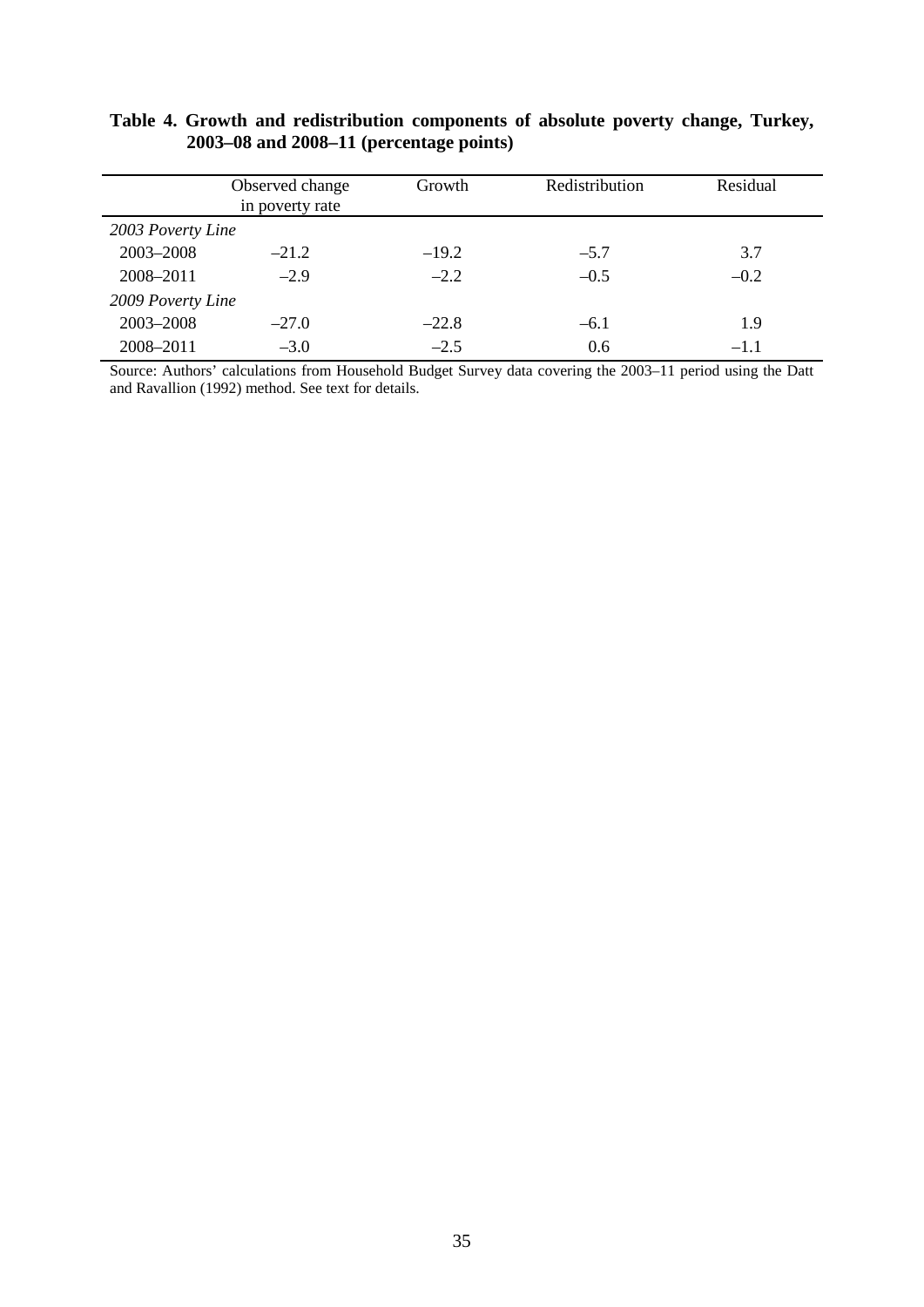|                   | Observed change<br>in poverty rate | Growth  | Redistribution | Residual |  |  |
|-------------------|------------------------------------|---------|----------------|----------|--|--|
| 2003 Poverty Line |                                    |         |                |          |  |  |
| 2003-2008         | $-21.2$                            | $-19.2$ | $-5.7$         | 3.7      |  |  |
| 2008-2011         | $-2.9$                             | $-2.2$  | $-0.5$         | $-0.2$   |  |  |
| 2009 Poverty Line |                                    |         |                |          |  |  |
| 2003-2008         | $-27.0$                            | $-22.8$ | $-6.1$         | 1.9      |  |  |
| 2008-2011         | $-3.0$                             | $-2.5$  | 0.6            | $-1.1$   |  |  |

### **Table 4. Growth and redistribution components of absolute poverty change, Turkey, 2003–08 and 2008–11 (percentage points)**

Source: Authors' calculations from Household Budget Survey data covering the 2003–11 period using the Datt and Ravallion (1992) method. See text for details.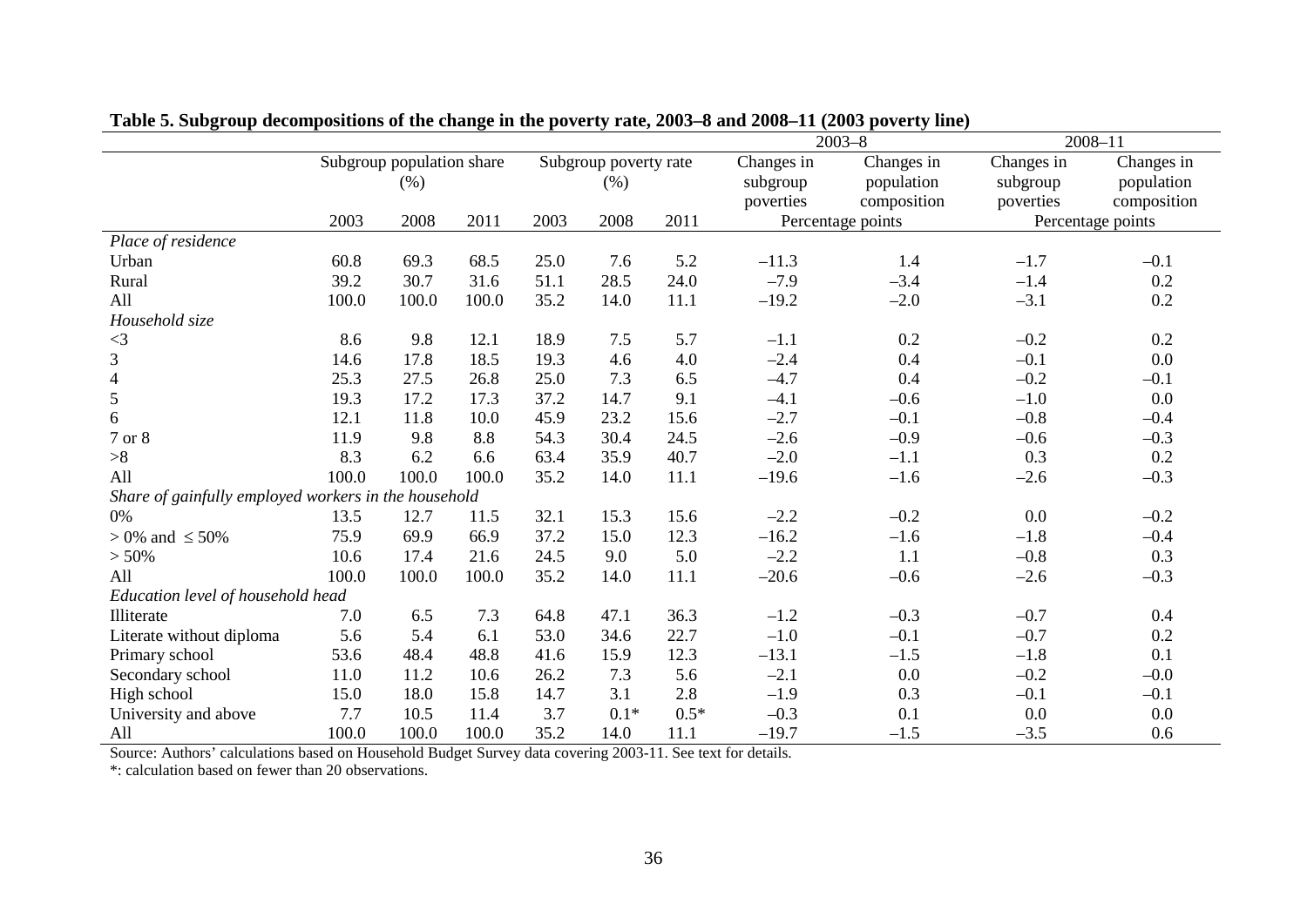|                                                      |                           |       |       |                       |        |            | $2003 - 8$ | $2008 - 11$       |            |                   |
|------------------------------------------------------|---------------------------|-------|-------|-----------------------|--------|------------|------------|-------------------|------------|-------------------|
|                                                      | Subgroup population share |       |       | Subgroup poverty rate |        | Changes in | Changes in | Changes in        | Changes in |                   |
|                                                      |                           | (% )  |       | (% )                  |        | subgroup   | population | subgroup          | population |                   |
|                                                      |                           |       |       |                       |        |            | poverties  | composition       | poverties  | composition       |
|                                                      | 2003                      | 2008  | 2011  | 2003                  | 2008   | 2011       |            | Percentage points |            | Percentage points |
| Place of residence                                   |                           |       |       |                       |        |            |            |                   |            |                   |
| Urban                                                | 60.8                      | 69.3  | 68.5  | 25.0                  | 7.6    | 5.2        | $-11.3$    | 1.4               | $-1.7$     | $-0.1$            |
| Rural                                                | 39.2                      | 30.7  | 31.6  | 51.1                  | 28.5   | 24.0       | $-7.9$     | $-3.4$            | $-1.4$     | 0.2               |
| All                                                  | 100.0                     | 100.0 | 100.0 | 35.2                  | 14.0   | 11.1       | $-19.2$    | $-2.0$            | $-3.1$     | 0.2               |
| Household size                                       |                           |       |       |                       |        |            |            |                   |            |                   |
| $\leq$ 3                                             | 8.6                       | 9.8   | 12.1  | 18.9                  | 7.5    | 5.7        | $-1.1$     | 0.2               | $-0.2$     | 0.2               |
| 3                                                    | 14.6                      | 17.8  | 18.5  | 19.3                  | 4.6    | 4.0        | $-2.4$     | 0.4               | $-0.1$     | 0.0               |
| $\overline{\mathbf{4}}$                              | 25.3                      | 27.5  | 26.8  | 25.0                  | 7.3    | 6.5        | $-4.7$     | 0.4               | $-0.2$     | $-0.1$            |
| 5                                                    | 19.3                      | 17.2  | 17.3  | 37.2                  | 14.7   | 9.1        | $-4.1$     | $-0.6$            | $-1.0$     | 0.0               |
| 6                                                    | 12.1                      | 11.8  | 10.0  | 45.9                  | 23.2   | 15.6       | $-2.7$     | $-0.1$            | $-0.8$     | $-0.4$            |
| 7 or 8                                               | 11.9                      | 9.8   | 8.8   | 54.3                  | 30.4   | 24.5       | $-2.6$     | $-0.9$            | $-0.6$     | $-0.3$            |
| >8                                                   | 8.3                       | 6.2   | 6.6   | 63.4                  | 35.9   | 40.7       | $-2.0$     | $-1.1$            | 0.3        | 0.2               |
| All                                                  | 100.0                     | 100.0 | 100.0 | 35.2                  | 14.0   | 11.1       | $-19.6$    | $-1.6$            | $-2.6$     | $-0.3$            |
| Share of gainfully employed workers in the household |                           |       |       |                       |        |            |            |                   |            |                   |
| 0%                                                   | 13.5                      | 12.7  | 11.5  | 32.1                  | 15.3   | 15.6       | $-2.2$     | $-0.2$            | 0.0        | $-0.2$            |
| $> 0\%$ and $\leq 50\%$                              | 75.9                      | 69.9  | 66.9  | 37.2                  | 15.0   | 12.3       | $-16.2$    | $-1.6$            | $-1.8$     | $-0.4$            |
| > 50%                                                | 10.6                      | 17.4  | 21.6  | 24.5                  | 9.0    | 5.0        | $-2.2$     | 1.1               | $-0.8$     | 0.3               |
| All                                                  | 100.0                     | 100.0 | 100.0 | 35.2                  | 14.0   | 11.1       | $-20.6$    | $-0.6$            | $-2.6$     | $-0.3$            |
| Education level of household head                    |                           |       |       |                       |        |            |            |                   |            |                   |
| Illiterate                                           | 7.0                       | 6.5   | 7.3   | 64.8                  | 47.1   | 36.3       | $-1.2$     | $-0.3$            | $-0.7$     | 0.4               |
| Literate without diploma                             | 5.6                       | 5.4   | 6.1   | 53.0                  | 34.6   | 22.7       | $-1.0$     | $-0.1$            | $-0.7$     | 0.2               |
| Primary school                                       | 53.6                      | 48.4  | 48.8  | 41.6                  | 15.9   | 12.3       | $-13.1$    | $-1.5$            | $-1.8$     | 0.1               |
| Secondary school                                     | 11.0                      | 11.2  | 10.6  | 26.2                  | 7.3    | 5.6        | $-2.1$     | 0.0               | $-0.2$     | $-0.0$            |
| High school                                          | 15.0                      | 18.0  | 15.8  | 14.7                  | 3.1    | 2.8        | $-1.9$     | 0.3               | $-0.1$     | $-0.1$            |
| University and above                                 | 7.7                       | 10.5  | 11.4  | 3.7                   | $0.1*$ | $0.5*$     | $-0.3$     | 0.1               | 0.0        | 0.0               |
| All                                                  | 100.0                     | 100.0 | 100.0 | 35.2                  | 14.0   | 11.1       | $-19.7$    | $-1.5$            | $-3.5$     | 0.6               |

**Table 5. Subgroup decompositions of the change in the poverty rate, 2003–8 and 2008–11 (2003 poverty line)**

Source: Authors' calculations based on Household Budget Survey data covering 2003-11. See text for details.

\*: calculation based on fewer than 20 observations.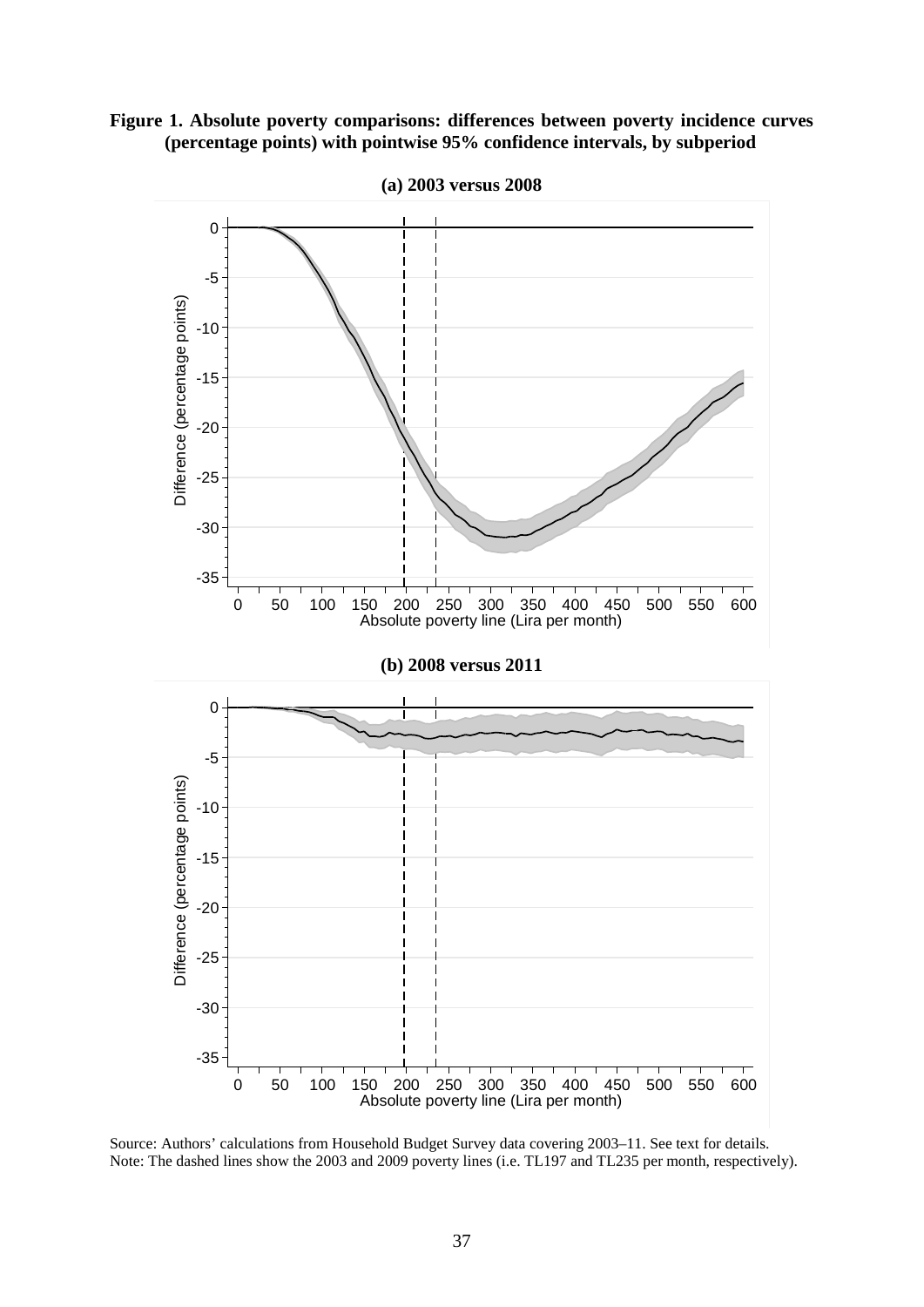



**(a) 2003 versus 2008**

Source: Authors' calculations from Household Budget Survey data covering 2003–11. See text for details. Note: The dashed lines show the 2003 and 2009 poverty lines (i.e. TL197 and TL235 per month, respectively).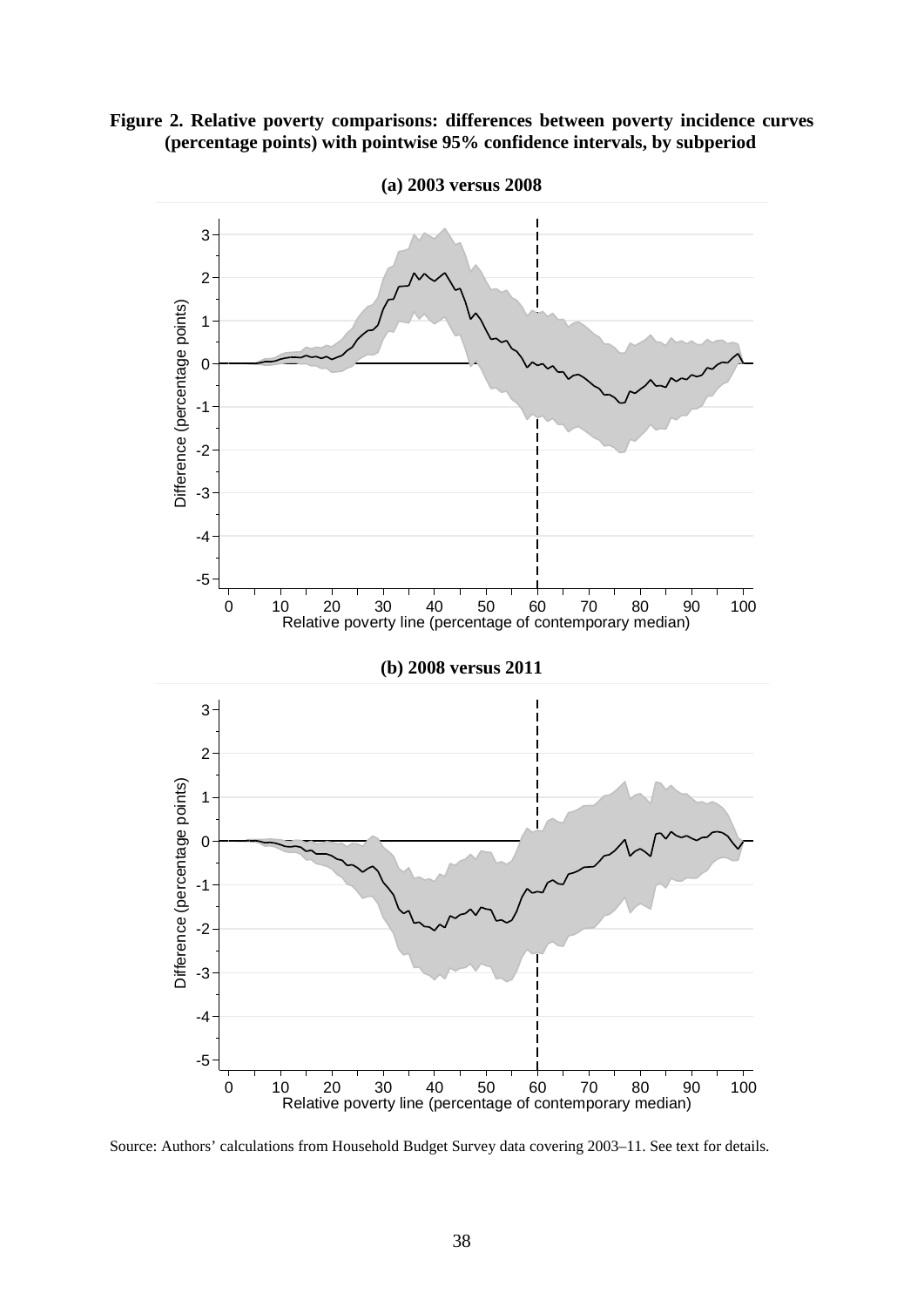



**(a) 2003 versus 2008**

Source: Authors' calculations from Household Budget Survey data covering 2003–11. See text for details.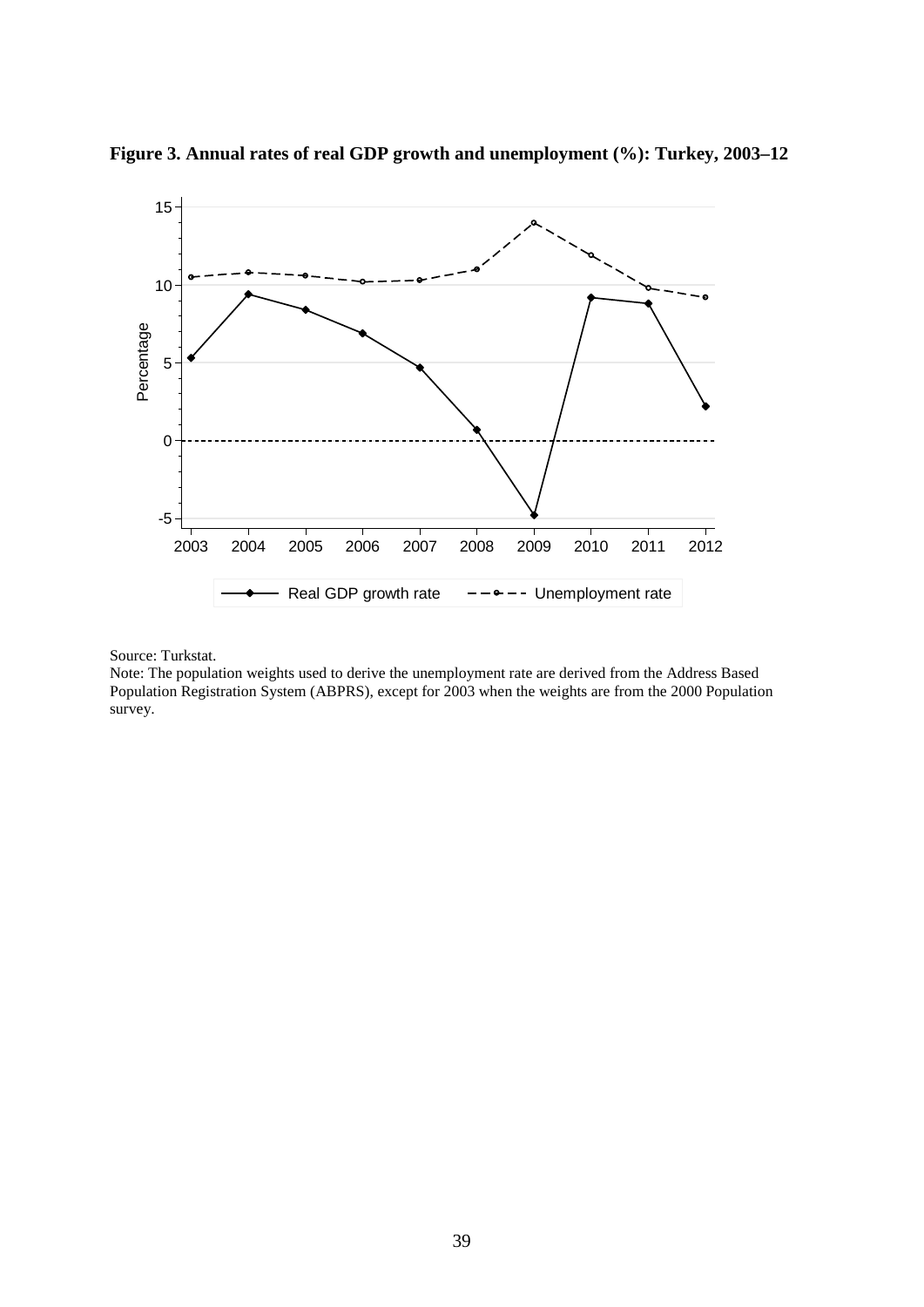

**Figure 3. Annual rates of real GDP growth and unemployment (%): Turkey, 2003–12**

Source: Turkstat.

Note: The population weights used to derive the unemployment rate are derived from the Address Based Population Registration System (ABPRS), except for 2003 when the weights are from the 2000 Population survey.